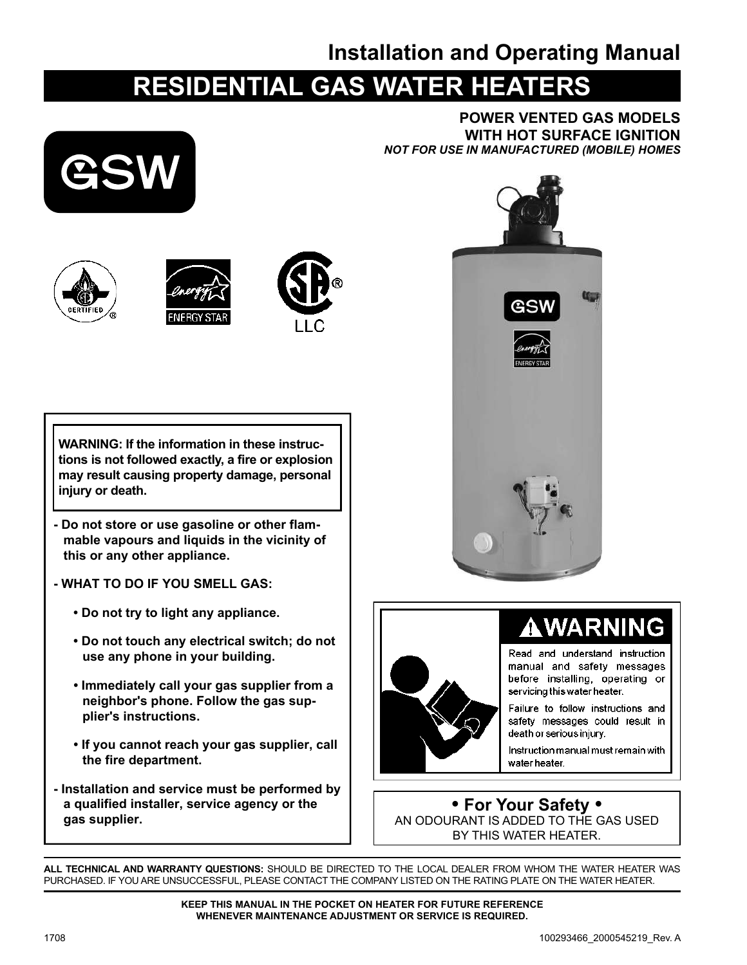### **Installation and Operating Manual**

# **RESIDENTIAL GAS WATER HEATERS**

**POWER VENTED GAS MODELS WITH HOT SURFACE IGNITION** *NOT FOR USE IN MANUFACTURED (MOBILE) HOMES*







**WARNING: If the information in these instructions is not followed exactly, a fire or explosion may result causing property damage, personal injury or death.**

- **Do not store or use gasoline or other flammable vapours and liquids in the vicinity of this or any other appliance.**
- **WHAT TO DO IF YOU SMELL GAS:**
	- **Do not try to light any appliance.**
	- **Do not touch any electrical switch; do not use any phone in your building.**
	- **Immediately call your gas supplier from a neighbor's phone. Follow the gas supplier's instructions.**
	- **If you cannot reach your gas supplier, call the fire department.**
- **Installation and service must be performed by a qualified installer, service agency or the gas supplier.**





# **AWARNING**

Read and understand instruction manual and safety messages before installing, operating or servicing this water heater.

Failure to follow instructions and safety messages could result in death or serious injury.

Instruction manual must remain with water heater.

**• For Your Safety •** AN ODOURANTIS ADDED TO THE GAS USED BY THIS WATER HEATER.

**ALL TECHNICAL AND WARRANTY QUESTIONS:** SHOULD BE DIRECTED TO THE LOCAL DEALER FROM WHOM THE WATER HEATER WAS PURCHASED. IF YOU ARE UNSUCCESSFUL, PLEASE CONTACT THE COMPANY LISTED ON THE RATING PLATE ON THE WATER HEATER.

> **KEEP THIS MANUAL IN THE POCKET ON HEATER FOR FUTURE REFERENCE WHENEVER MAINTENANCE ADJUSTMENT OR SERVICE IS REQUIRED.**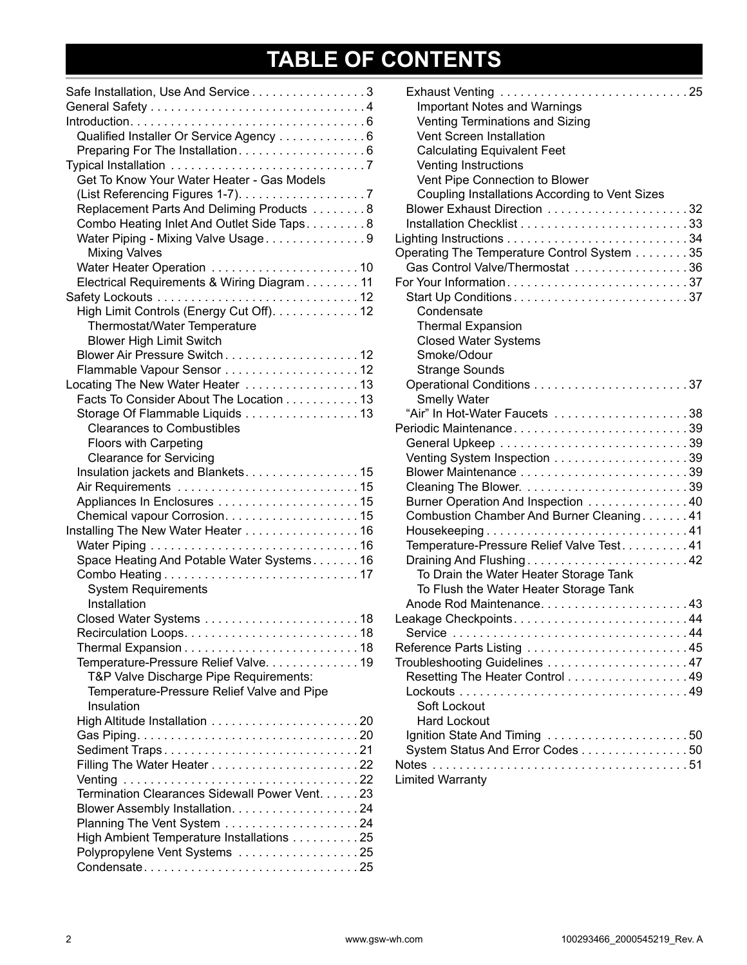# **TABLE OF CONTENTS**

| Safe Installation, Use And Service 3           |  |
|------------------------------------------------|--|
|                                                |  |
|                                                |  |
| Qualified Installer Or Service Agency 6        |  |
| Preparing For The Installation6                |  |
|                                                |  |
| Get To Know Your Water Heater - Gas Models     |  |
|                                                |  |
| Replacement Parts And Deliming Products 8      |  |
| Combo Heating Inlet And Outlet Side Taps8      |  |
| Water Piping - Mixing Valve Usage9             |  |
| <b>Mixing Valves</b>                           |  |
| Water Heater Operation 10                      |  |
| Electrical Requirements & Wiring Diagram 11    |  |
|                                                |  |
| High Limit Controls (Energy Cut Off). 12       |  |
| Thermostat/Water Temperature                   |  |
| <b>Blower High Limit Switch</b>                |  |
|                                                |  |
|                                                |  |
| Locating The New Water Heater 13               |  |
| Facts To Consider About The Location 13        |  |
| Storage Of Flammable Liquids 13                |  |
| <b>Clearances to Combustibles</b>              |  |
| Floors with Carpeting                          |  |
| <b>Clearance for Servicing</b>                 |  |
|                                                |  |
|                                                |  |
|                                                |  |
|                                                |  |
| Installing The New Water Heater 16             |  |
|                                                |  |
| Space Heating And Potable Water Systems16      |  |
|                                                |  |
| <b>System Requirements</b>                     |  |
| Installation                                   |  |
|                                                |  |
|                                                |  |
|                                                |  |
| Temperature-Pressure Relief Valve. 19          |  |
| T&P Valve Discharge Pipe Requirements:         |  |
| Temperature-Pressure Relief Valve and Pipe     |  |
| Insulation                                     |  |
|                                                |  |
|                                                |  |
| Sediment Traps21                               |  |
|                                                |  |
|                                                |  |
| Termination Clearances Sidewall Power Vent. 23 |  |
|                                                |  |
|                                                |  |
| High Ambient Temperature Installations 25      |  |
| Polypropylene Vent Systems 25                  |  |
| Condensate25                                   |  |

| Exhaust Venting 25                             |  |
|------------------------------------------------|--|
| <b>Important Notes and Warnings</b>            |  |
| Venting Terminations and Sizing                |  |
| Vent Screen Installation                       |  |
| <b>Calculating Equivalent Feet</b>             |  |
| Venting Instructions                           |  |
| Vent Pipe Connection to Blower                 |  |
| Coupling Installations According to Vent Sizes |  |
|                                                |  |
|                                                |  |
|                                                |  |
| Operating The Temperature Control System 35    |  |
| Gas Control Valve/Thermostat 36                |  |
|                                                |  |
|                                                |  |
| Condensate                                     |  |
| <b>Thermal Expansion</b>                       |  |
| <b>Closed Water Systems</b>                    |  |
| Smoke/Odour                                    |  |
| <b>Strange Sounds</b>                          |  |
|                                                |  |
| <b>Smelly Water</b>                            |  |
| "Air" In Hot-Water Faucets 38                  |  |
| Periodic Maintenance39                         |  |
|                                                |  |
|                                                |  |
|                                                |  |
|                                                |  |
| Burner Operation And Inspection 40             |  |
| Combustion Chamber And Burner Cleaning41       |  |
|                                                |  |
| Temperature-Pressure Relief Valve Test41       |  |
| Draining And Flushing42                        |  |
| To Drain the Water Heater Storage Tank         |  |
| To Flush the Water Heater Storage Tank         |  |
|                                                |  |
| Leakage Checkpoints44                          |  |
|                                                |  |
|                                                |  |
|                                                |  |
| Resetting The Heater Control 49                |  |
|                                                |  |
| Soft Lockout                                   |  |
| <b>Hard Lockout</b>                            |  |
| Ignition State And Timing 50                   |  |
| System Status And Error Codes 50               |  |
|                                                |  |
| <b>Limited Warranty</b>                        |  |
|                                                |  |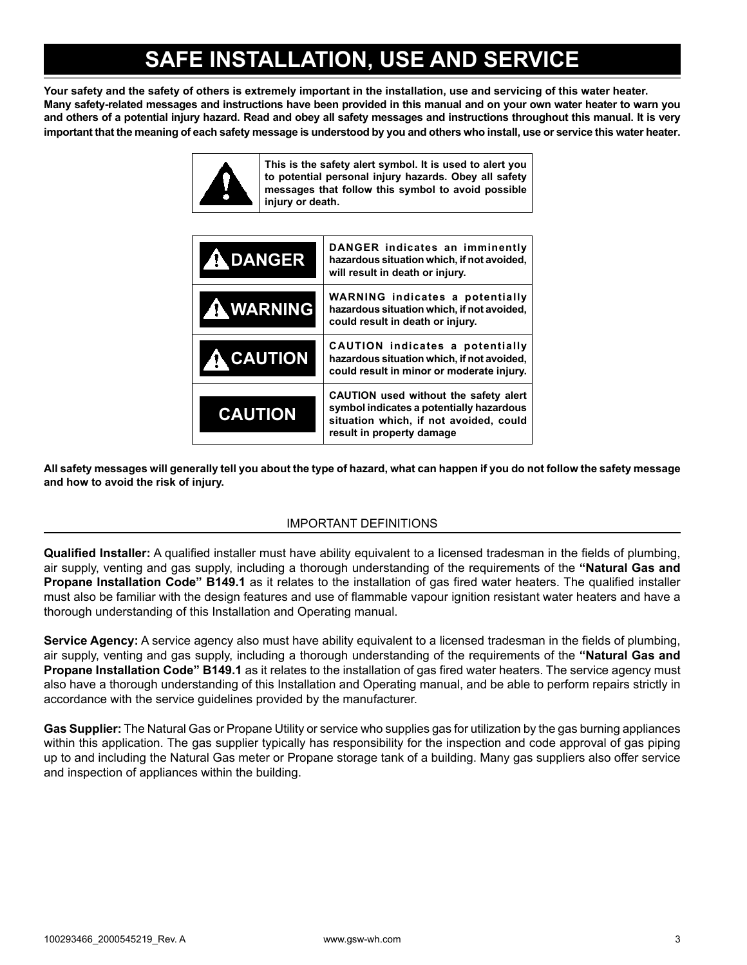### **SAFE INSTALLATION, USE AND SERVICE**

**Your safety and the safety of others is extremely important in the installation, use and servicing of this water heater. Many safety-related messages and instructions have been provided in this manual and on your own water heater to warn you and others of a potential injury hazard. Read and obey all safety messages and instructions throughout this manual. It is very important that the meaning of each safety message is understood by you and others who install, use or service this water heater.**



| <b>A DANGER</b>  | DANGER indicates an imminently<br>hazardous situation which, if not avoided,<br>will result in death or injury.                                          |
|------------------|----------------------------------------------------------------------------------------------------------------------------------------------------------|
| <b>A WARNING</b> | <b>WARNING</b> indicates a potentially<br>hazardous situation which, if not avoided,<br>could result in death or injury.                                 |
| <b>A</b> CAUTION | <b>CAUTION</b> indicates a potentially<br>hazardous situation which, if not avoided,<br>could result in minor or moderate injury.                        |
| <b>CAUTION</b>   | CAUTION used without the safety alert<br>symbol indicates a potentially hazardous<br>situation which, if not avoided, could<br>result in property damage |

**All safety messages will generally tell you about the type of hazard, what can happen if you do not follow the safety message and how to avoid the risk of injury.**

#### IMPORTANT DEFINITIONS

**Qualified Installer:** A qualified installer must have ability equivalent to a licensed tradesman in the fields of plumbing, air supply, venting and gas supply, including a thorough understanding of the requirements of the **"Natural Gas and Propane Installation Code" B149.1** as it relates to the installation of gas fired water heaters. The qualified installer must also be familiar with the design features and use of flammable vapour ignition resistant water heaters and have a thorough understanding of this Installation and Operating manual.

**Service Agency:** A service agency also must have ability equivalent to a licensed tradesman in the fields of plumbing, air supply, venting and gas supply, including a thorough understanding of the requirements of the **"Natural Gas and Propane Installation Code" B149.1** as it relates to the installation of gas fired water heaters. The service agency must also have a thorough understanding of this Installation and Operating manual, and be able to perform repairs strictly in accordance with the service guidelines provided by the manufacturer.

**Gas Supplier:** The Natural Gas or Propane Utility or service who supplies gas for utilization by the gas burning appliances within this application. The gas supplier typically has responsibility for the inspection and code approval of gas piping up to and including the Natural Gas meter or Propane storage tank of a building. Many gas suppliers also offer service and inspection of appliances within the building.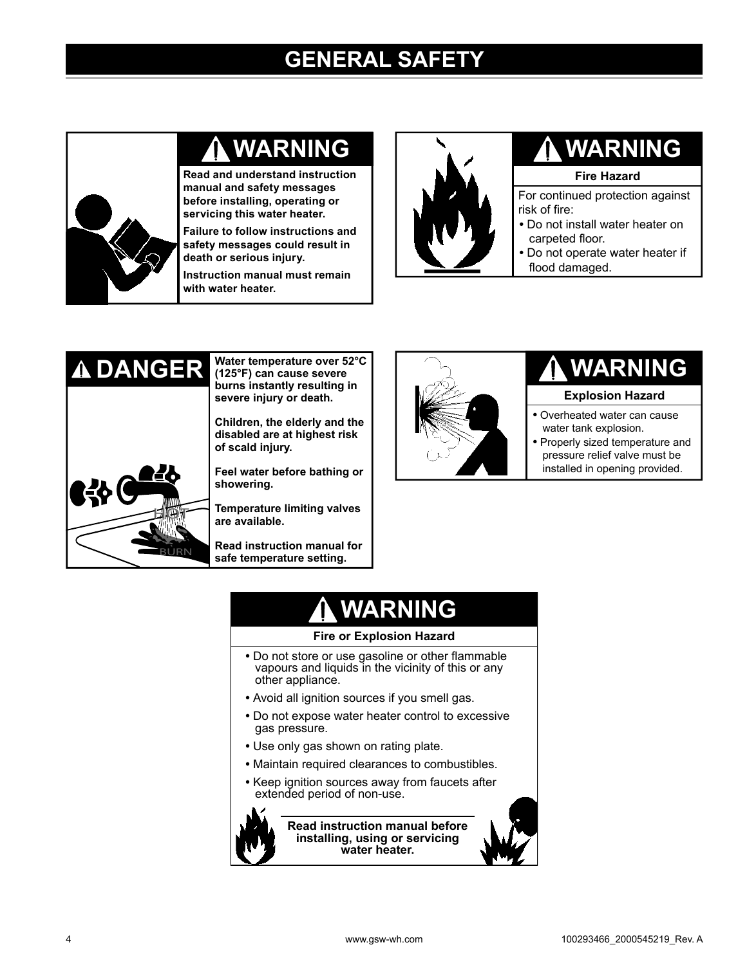### **GENERAL SAFETY**



# **WARNING**

**Read and understand instruction manual and safety messages before installing, operating or servicing this water heater.**

**Failure to follow instructions and safety messages could result in death or serious injury.**

**Instruction manual must remain with water heater.**



## **WARNING**

#### **Fire Hazard**

For continued protection against risk of fire:

- Do not install water heater on carpeted floor.
- Do not operate water heater if flood damaged.



**Water temperature over 52°C (125°F) can cause severe burns instantly resulting in severe injury or death.**

**Children, the elderly and the disabled are at highest risk of scald injury.**

**Feel water before bathing or showering.**

**Temperature limiting valves are available.**

**Read instruction manual for**   $s$ afe temperature setting.



# **WARNING**

#### **Explosion Hazard**

- **•** Overheated water can cause water tank explosion.
- **•** Properly sized temperature and pressure relief valve must be installed in opening provided.

# **WARNING**

#### **Fire or Explosion Hazard**

- Do not store or use gasoline or other flammable vapours and liquids in the vicinity of this or any other appliance.
- Avoid all ignition sources if you smell gas.
- Do not expose water heater control to excessive gas pressure.
- Use only gas shown on rating plate.
- Maintain required clearances to combustibles.
- Keep ignition sources away from faucets after extended period of non-use.



**Read instruction manual before installing, using or servicing water heater.**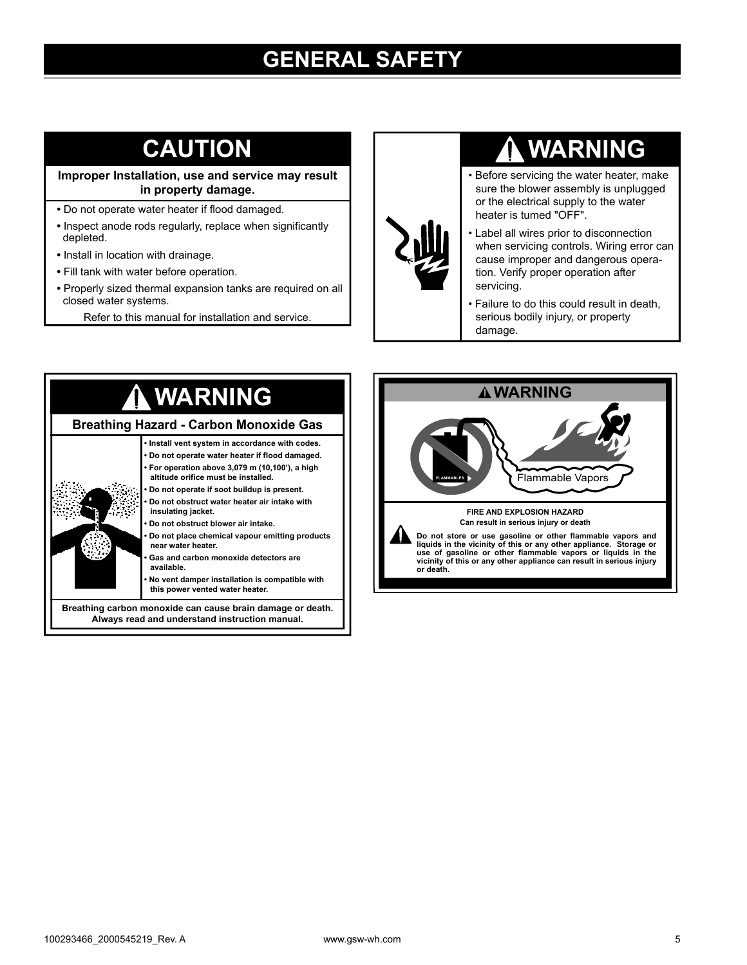### **GENERAL SAFETY**

# **CAUTION**

**Improper Installation, use and service may result in property damage.**

- Do not operate water heater if flood damaged.
- Inspect anode rods regularly, replace when significantly depleted.
- Install in location with drainage.
- Fill tank with water before operation.
- Properly sized thermal expansion tanks are required on all closed water systems.

Refer to this manual for installation and service.

## **WARNING**

- Before servicing the water heater, make sure the blower assembly is unplugged or the electrical supply to the water heater is tumed "OFF".
- Label all wires prior to disconnection when servicing controls. Wiring error can cause improper and dangerous operation. Verify proper operation after servicing.
- Failure to do this could result in death, serious bodily injury, or property damage.



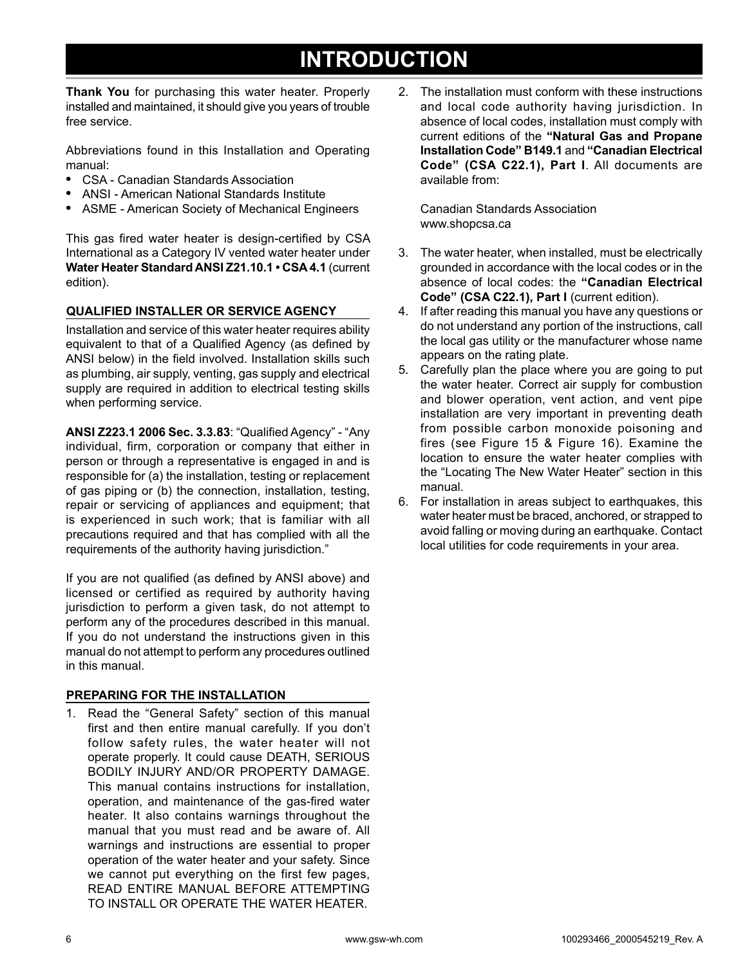### **INTRODUCTION**

**Thank You** for purchasing this water heater. Properly installed and maintained, it should give you years of trouble free service.

Abbreviations found in this Installation and Operating manual:

- CSA Canadian Standards Association
- ANSI American National Standards Institute
- ASME American Society of Mechanical Engineers

This gas fired water heater is design-certified by CSA International as a Category IV vented water heater under **Water Heater Standard ANSI Z21.10.1 • CSA 4.1** (current edition).

#### **QUALIFIED INSTALLER OR SERVICE AGENCY**

Installation and service of this water heater requires ability equivalent to that of a Qualified Agency (as defined by ANSI below) in the field involved. Installation skills such as plumbing, air supply, venting, gas supply and electrical supply are required in addition to electrical testing skills when performing service.

**ANSI Z223.1 2006 Sec. 3.3.83**: "Qualified Agency" - "Any individual, firm, corporation or company that either in person or through a representative is engaged in and is responsible for (a) the installation, testing or replacement of gas piping or (b) the connection, installation, testing, repair or servicing of appliances and equipment; that is experienced in such work; that is familiar with all precautions required and that has complied with all the requirements of the authority having jurisdiction."

If you are not qualified (as defined by ANSI above) and licensed or certified as required by authority having jurisdiction to perform a given task, do not attempt to perform any of the procedures described in this manual. If you do not understand the instructions given in this manual do not attempt to perform any procedures outlined in this manual.

#### **PREPARING FOR THE INSTALLATION**

1. Read the "General Safety" section of this manual first and then entire manual carefully. If you don't follow safety rules, the water heater will not operate properly. It could cause DEATH, SERIOUS BODILY INJURY AND/OR PROPERTY DAMAGE. This manual contains instructions for installation, operation, and maintenance of the gas-fired water heater. It also contains warnings throughout the manual that you must read and be aware of. All warnings and instructions are essential to proper operation of the water heater and your safety. Since we cannot put everything on the first few pages, READ ENTIRE MANUAL BEFORE ATTEMPTING TO INSTALL OR OPERATE THE WATER HEATER.

2. The installation must conform with these instructions and local code authority having jurisdiction. In absence of local codes, installation must comply with current editions of the **"Natural Gas and Propane Installation Code" B149.1** and **"Canadian Electrical**  Code" (CSA C22.1), Part I. All documents are available from:

Canadian Standards Association www.shopcsa.ca

- 3. The water heater, when installed, must be electrically grounded in accordance with the local codes or in the absence of local codes: the **"Canadian Electrical Code" (CSA C22.1), Part I** (current edition).
- 4. If after reading this manual you have any questions or do not understand any portion of the instructions, call the local gas utility or the manufacturer whose name appears on the rating plate.
- 5. Carefully plan the place where you are going to put the water heater. Correct air supply for combustion and blower operation, vent action, and vent pipe installation are very important in preventing death from possible carbon monoxide poisoning and fires (see Figure 15 & Figure 16). Examine the location to ensure the water heater complies with the "Locating The New Water Heater" section in this manual.
- 6. For installation in areas subject to earthquakes, this water heater must be braced, anchored, or strapped to avoid falling or moving during an earthquake. Contact local utilities for code requirements in your area.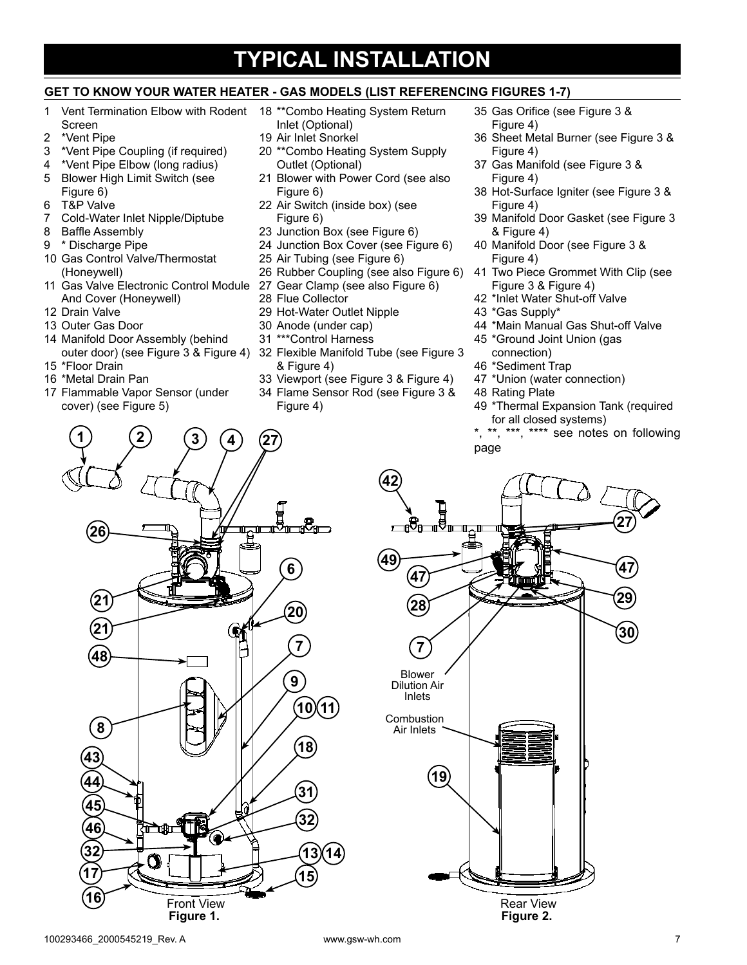### **TYPICAL INSTALLATION**

#### **GET TO KNOW YOUR WATER HEATER - GAS MODELS (LIST REFERENCING FIGURES 1-7)**

- 1 Vent Termination Elbow with Rodent Screen
- 2 \*Vent Pipe
- 3 \*Vent Pipe Coupling (if required)
- 4 \*Vent Pipe Elbow (long radius)
- 5 Blower High Limit Switch (see Figure 6)
- 6 T&P Valve
- 7 Cold-Water Inlet Nipple/Diptube
- 8 Baffle Assembly
- 9 \* Discharge Pipe
- 10 Gas Control Valve/Thermostat (Honeywell)
- 11 Gas Valve Electronic Control Module 27 Gear Clamp (see also Figure 6) And Cover (Honeywell)
- 12 Drain Valve
- 13 Outer Gas Door
- 14 Manifold Door Assembly (behind
- 15 \*Floor Drain
- 16 \*Metal Drain Pan
- 17 Flammable Vapor Sensor (under cover) (see Figure 5)
- 18 \*\*Combo Heating System Return Inlet (Optional)
- 19 Air Inlet Snorkel
- 20 \*\*Combo Heating System Supply Outlet (Optional)
- 21 Blower with Power Cord (see also Figure 6)
- 22 Air Switch (inside box) (see Figure 6)
- 23 Junction Box (see Figure 6)
- 24 Junction Box Cover (see Figure 6)
- 25 Air Tubing (see Figure 6)
- 26 Rubber Coupling (see also Figure 6)
- 
- 28 Flue Collector
- 29 Hot-Water Outlet Nipple
- 30 Anode (under cap)
- 31 \*\*\*Control Harness
- outer door) (see Figure 3 & Figure 4) 32 Flexible Manifold Tube (see Figure 3 & Figure 4)
	- 33 Viewport (see Figure 3 & Figure 4)
	- 34 Flame Sensor Rod (see Figure 3 & Figure 4)
- 35 Gas Orifice (see Figure 3 & Figure 4)
- 36 Sheet Metal Burner (see Figure 3 & Figure 4)
- 37 Gas Manifold (see Figure 3 & Figure 4)
- 38 Hot-Surface Igniter (see Figure 3 & Figure 4)
- 39 Manifold Door Gasket (see Figure 3 & Figure 4)
- 40 Manifold Door (see Figure 3 & Figure 4)
- 41 Two Piece Grommet With Clip (see Figure 3 & Figure 4)
- 42 \*Inlet Water Shut-off Valve
- 43 \*Gas Supply\*
- 44 \*Main Manual Gas Shut-off Valve
- 45 \*Ground Joint Union (gas connection)
- 46 \*Sediment Trap
- 47 \*Union (water connection)
- 48 Rating Plate
- 49 \*Thermal Expansion Tank (required for all closed systems)
- \*\*, \*\*\*, \*\*\*\* see notes on following page



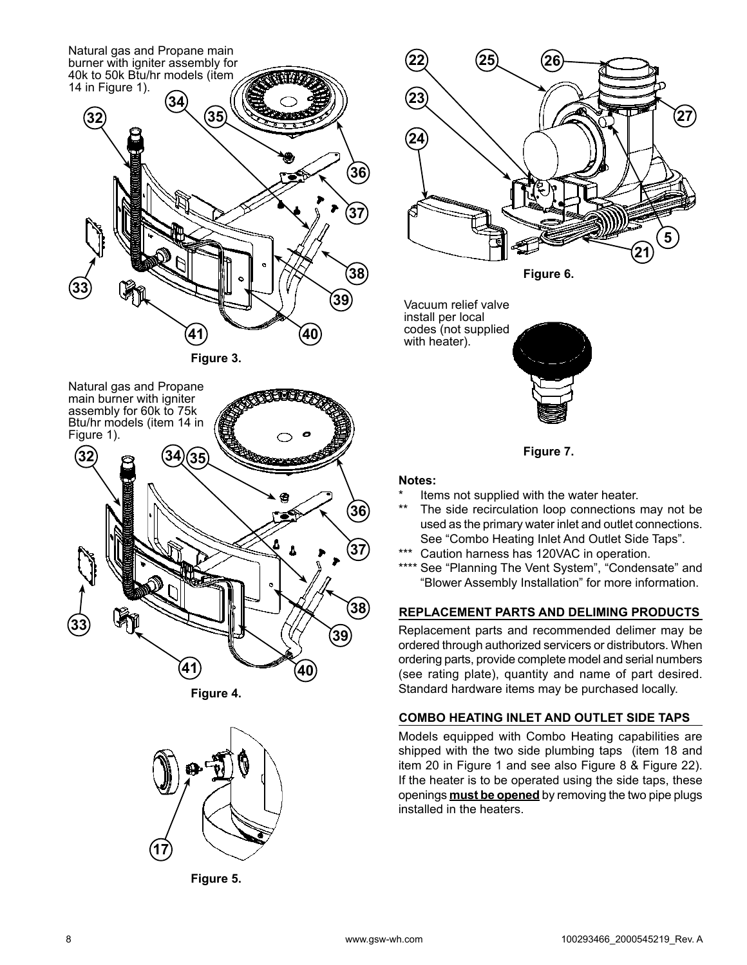

**Figure 3.** 



**Figure 4.** 



**Figure 5.** 

**26 27 22 25 23 24 5 21**

**Figure 6.** 

Vacuum relief valve install per local codes (not supplied with heater).



**Figure 7.** 

#### **Notes:**

- Items not supplied with the water heater.
- The side recirculation loop connections may not be used as the primary water inlet and outlet connections. See "Combo Heating Inlet And Outlet Side Taps".
- Caution harness has 120VAC in operation.
- See "Planning The Vent System", "Condensate" and "Blower Assembly Installation" for more information.

#### **REPLACEMENT PARTS AND DELIMING PRODUCTS**

Replacement parts and recommended delimer may be ordered through authorized servicers or distributors. When ordering parts, provide complete model and serial numbers (see rating plate), quantity and name of part desired. Standard hardware items may be purchased locally.

#### **COMBO HEATING INLET AND OUTLET SIDE TAPS**

Models equipped with Combo Heating capabilities are shipped with the two side plumbing taps (item 18 and item 20 in Figure 1 and see also Figure 8 & Figure 22). If the heater is to be operated using the side taps, these openings **must be opened** by removing the two pipe plugs installed in the heaters.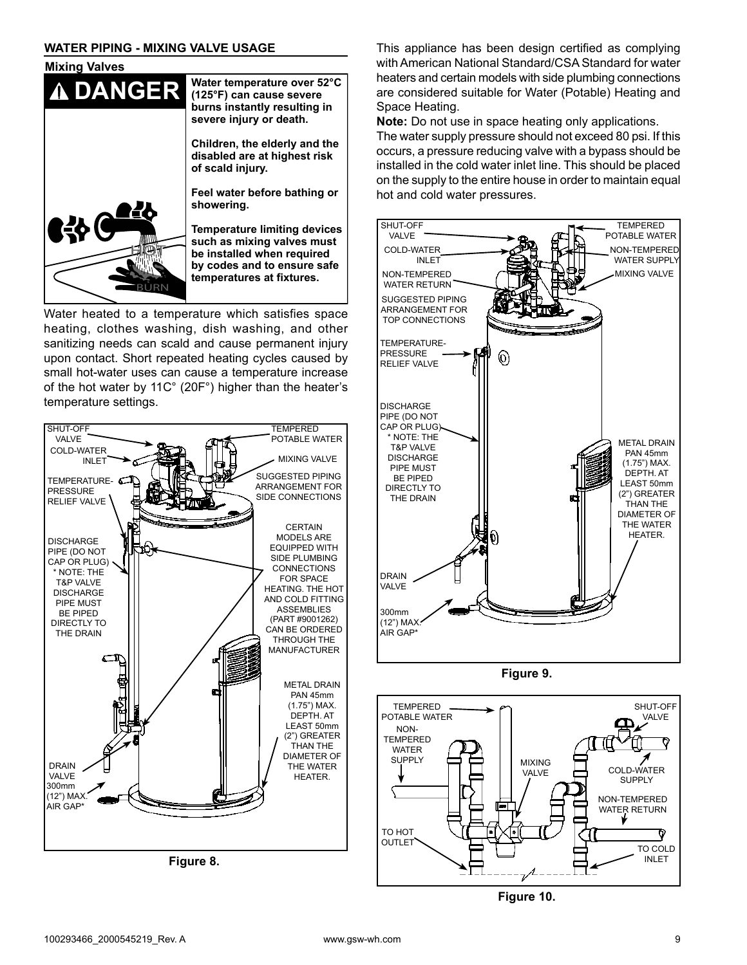#### **WATER PIPING - MIXING VALVE USAGE**

#### **Mixing Valves**



Water heated to a temperature which satisfies space heating, clothes washing, dish washing, and other sanitizing needs can scald and cause permanent injury upon contact. Short repeated heating cycles caused by small hot-water uses can cause a temperature increase of the hot water by 11C° (20F°) higher than the heater's temperature settings.



**Figure 8.** 

This appliance has been design certified as complying with American National Standard/CSA Standard for water heaters and certain models with side plumbing connections are considered suitable for Water (Potable) Heating and Space Heating.

**Note:** Do not use in space heating only applications.

The water supply pressure should not exceed 80 psi. If this occurs, a pressure reducing valve with a bypass should be installed in the cold water inlet line. This should be placed on the supply to the entire house in order to maintain equal hot and cold water pressures.







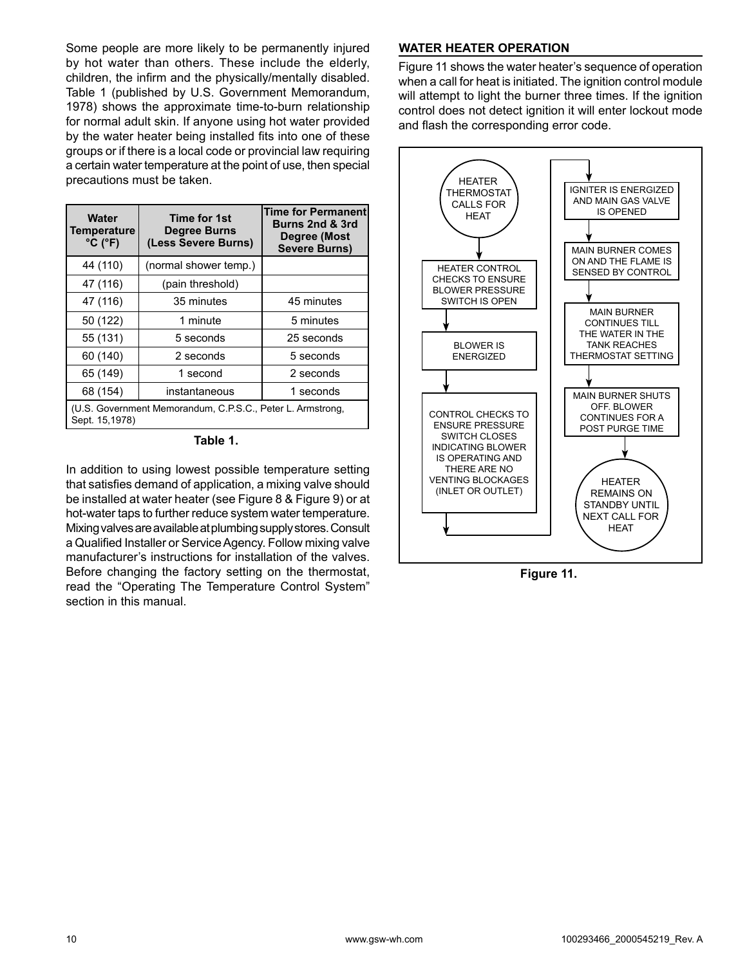Some people are more likely to be permanently injured by hot water than others. These include the elderly, children, the infirm and the physically/mentally disabled. Table 1 (published by U.S. Government Memorandum, 1978) shows the approximate time-to-burn relationship for normal adult skin. If anyone using hot water provided by the water heater being installed fits into one of these groups or if there is a local code or provincial law requiring a certain water temperature at the point of use, then special precautions must be taken.

| <b>Water</b><br><b>Temperature</b><br>$^{\circ}$ C ( $^{\circ}$ F)           | <b>Time for 1st</b><br><b>Degree Burns</b><br>(Less Severe Burns) | <b>Time for Permanent</b><br><b>Burns 2nd &amp; 3rd</b><br>Degree (Most<br><b>Severe Burns)</b> |  |  |  |
|------------------------------------------------------------------------------|-------------------------------------------------------------------|-------------------------------------------------------------------------------------------------|--|--|--|
| 44 (110)                                                                     | (normal shower temp.)                                             |                                                                                                 |  |  |  |
| 47 (116)                                                                     | (pain threshold)                                                  |                                                                                                 |  |  |  |
| 47 (116)                                                                     | 35 minutes                                                        | 45 minutes                                                                                      |  |  |  |
| 50 (122)                                                                     | 1 minute                                                          | 5 minutes                                                                                       |  |  |  |
| 55 (131)                                                                     | 5 seconds                                                         | 25 seconds                                                                                      |  |  |  |
| 60 (140)                                                                     | 2 seconds                                                         | 5 seconds                                                                                       |  |  |  |
| 65 (149)                                                                     | 1 second                                                          | 2 seconds                                                                                       |  |  |  |
| 68 (154)                                                                     | instantaneous                                                     | 1 seconds                                                                                       |  |  |  |
| (U.S. Government Memorandum, C.P.S.C., Peter L. Armstrong,<br>Sept. 15,1978) |                                                                   |                                                                                                 |  |  |  |

**Table 1.** 

In addition to using lowest possible temperature setting that satisfies demand of application, a mixing valve should be installed at water heater (see Figure 8 & Figure 9) or at hot-water taps to further reduce system water temperature. Mixing valves are available at plumbing supply stores. Consult a Qualified Installer or Service Agency. Follow mixing valve manufacturer's instructions for installation of the valves. Before changing the factory setting on the thermostat, read the "Operating The Temperature Control System" section in this manual.

#### **WATER HEATER OPERATION**

Figure 11 shows the water heater's sequence of operation when a call for heat is initiated. The ignition control module will attempt to light the burner three times. If the ignition control does not detect ignition it will enter lockout mode and flash the corresponding error code.



**Figure 11.**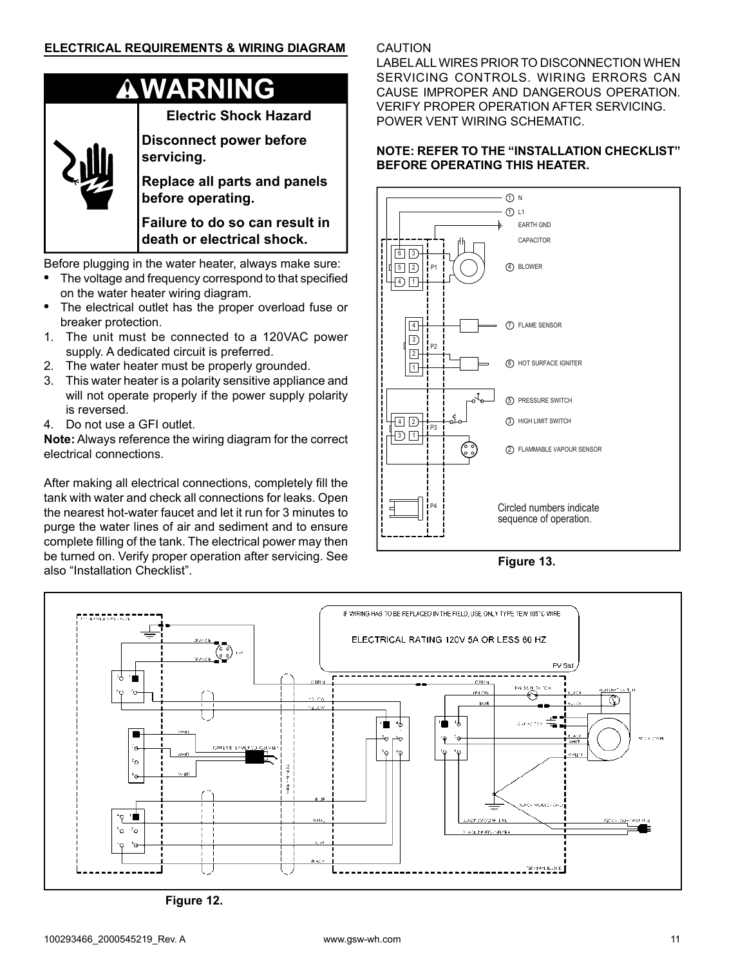

**Disconnect power before servicing.**

**Replace all parts and panels before operating.**

**Failure to do so can result in death or electrical shock.**

Before plugging in the water heater, always make sure:

- The voltage and frequency correspond to that specified on the water heater wiring diagram.
- The electrical outlet has the proper overload fuse or breaker protection.
- 1. The unit must be connected to a 120VAC power supply. A dedicated circuit is preferred.
- 2. The water heater must be properly grounded.
- 3. This water heater is a polarity sensitive appliance and will not operate properly if the power supply polarity is reversed.
- 4. Do not use a GFI outlet.

**Note:** Always reference the wiring diagram for the correct electrical connections.

After making all electrical connections, completely fill the tank with water and check all connections for leaks. Open the nearest hot-water faucet and let it run for 3 minutes to purge the water lines of air and sediment and to ensure complete filling of the tank. The electrical power may then be turned on. Verify proper operation after servicing. See also "Installation Checklist".

#### CAUTION

LABEL ALL WIRES PRIOR TO DISCONNECTION WHEN SERVICING CONTROLS. WIRING ERRORS CAN CAUSE IMPROPER AND DANGEROUS OPERATION. VERIFY PROPER OPERATION AFTER SERVICING. POWER VENT WIRING SCHEMATIC.

#### **NOTE: REFER TO THE "INSTALLATION CHECKLIST" BEFORE OPERATING THIS HEATER.**



**Figure 13.**



**Figure 12.**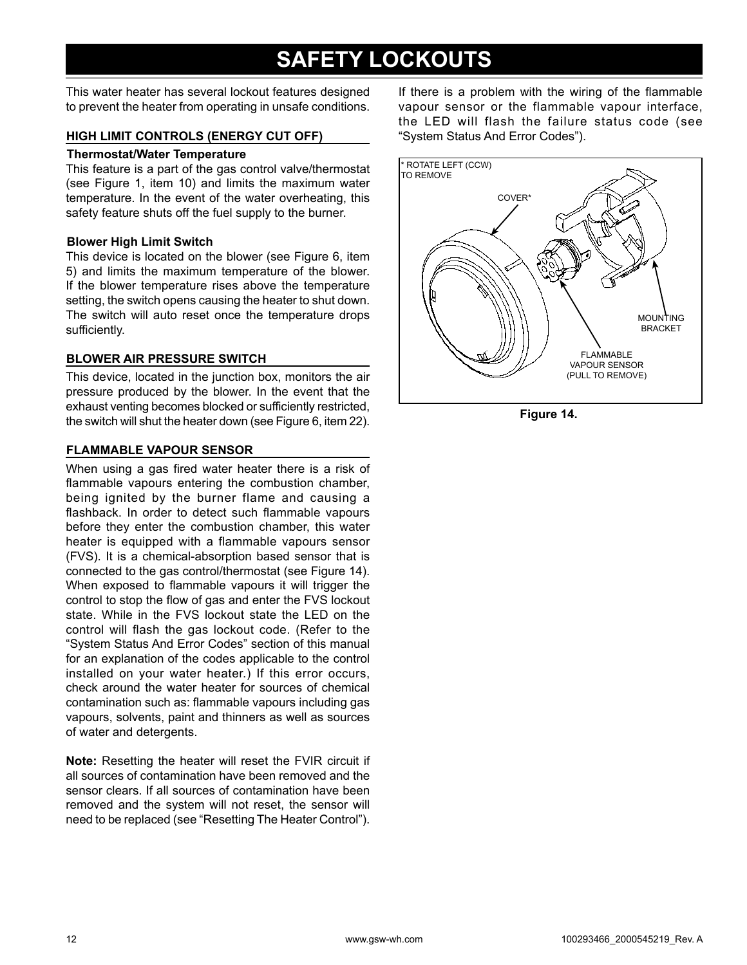### **SAFETY LOCKOUTS**

This water heater has several lockout features designed to prevent the heater from operating in unsafe conditions.

#### **HIGH LIMIT CONTROLS (ENERGY CUT OFF)**

#### **Thermostat/Water Temperature**

This feature is a part of the gas control valve/thermostat (see Figure 1, item 10) and limits the maximum water temperature. In the event of the water overheating, this safety feature shuts off the fuel supply to the burner.

#### **Blower High Limit Switch**

This device is located on the blower (see Figure 6, item 5) and limits the maximum temperature of the blower. If the blower temperature rises above the temperature setting, the switch opens causing the heater to shut down. The switch will auto reset once the temperature drops sufficiently.

#### **BLOWER AIR PRESSURE SWITCH**

This device, located in the junction box, monitors the air pressure produced by the blower. In the event that the exhaust venting becomes blocked or sufficiently restricted, the switch will shut the heater down (see Figure 6, item 22).

#### **FLAMMABLE VAPOUR SENSOR**

When using a gas fired water heater there is a risk of flammable vapours entering the combustion chamber, being ignited by the burner flame and causing a flashback. In order to detect such flammable vapours before they enter the combustion chamber, this water heater is equipped with a flammable vapours sensor (FVS). It is a chemical-absorption based sensor that is connected to the gas control/thermostat (see Figure 14). When exposed to flammable vapours it will trigger the control to stop the flow of gas and enter the FVS lockout state. While in the FVS lockout state the LED on the control will flash the gas lockout code. (Refer to the "System Status And Error Codes" section of this manual for an explanation of the codes applicable to the control installed on your water heater.) If this error occurs, check around the water heater for sources of chemical contamination such as: flammable vapours including gas vapours, solvents, paint and thinners as well as sources of water and detergents.

**Note:** Resetting the heater will reset the FVIR circuit if all sources of contamination have been removed and the sensor clears. If all sources of contamination have been removed and the system will not reset, the sensor will need to be replaced (see "Resetting The Heater Control").

If there is a problem with the wiring of the flammable vapour sensor or the flammable vapour interface, the LED will flash the failure status code (see "System Status And Error Codes").



**Figure 14.**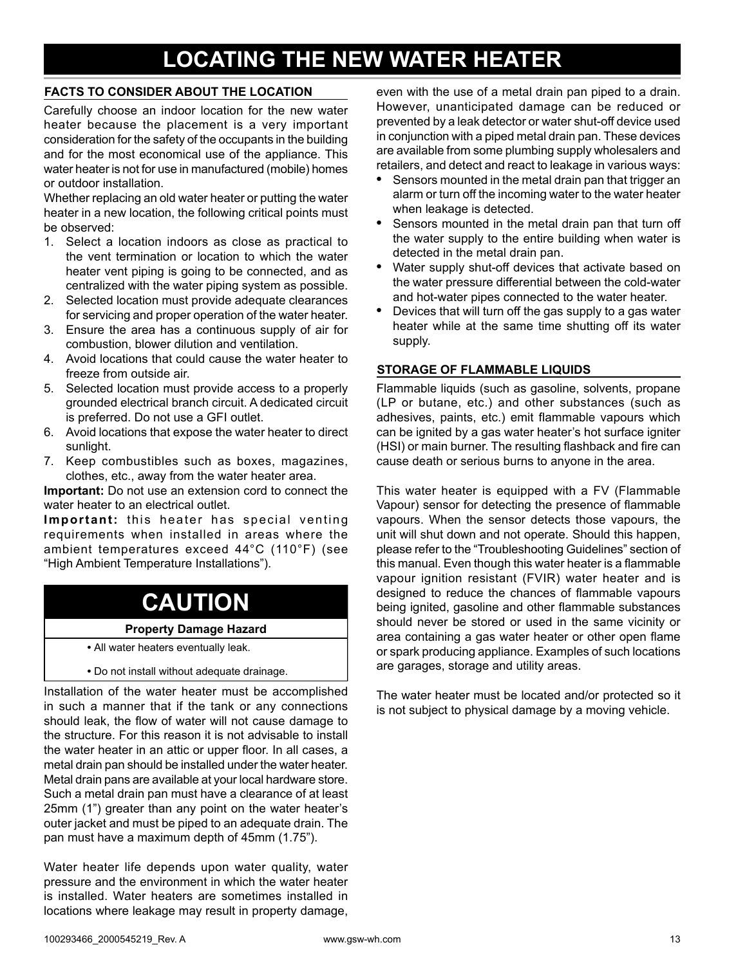# **LOCATING THE NEW WATER HEATER**

#### **FACTS TO CONSIDER ABOUT THE LOCATION**

Carefully choose an indoor location for the new water heater because the placement is a very important consideration for the safety of the occupants in the building and for the most economical use of the appliance. This water heater is not for use in manufactured (mobile) homes or outdoor installation.

Whether replacing an old water heater or putting the water heater in a new location, the following critical points must be observed:

- 1. Select a location indoors as close as practical to the vent termination or location to which the water heater vent piping is going to be connected, and as centralized with the water piping system as possible.
- 2. Selected location must provide adequate clearances for servicing and proper operation of the water heater.
- 3. Ensure the area has a continuous supply of air for combustion, blower dilution and ventilation.
- 4. Avoid locations that could cause the water heater to freeze from outside air.
- 5. Selected location must provide access to a properly grounded electrical branch circuit. A dedicated circuit is preferred. Do not use a GFI outlet.
- 6. Avoid locations that expose the water heater to direct sunlight.
- 7. Keep combustibles such as boxes, magazines, clothes, etc., away from the water heater area.

**Important:** Do not use an extension cord to connect the water heater to an electrical outlet.

**Important:** this heater has special venting requirements when installed in areas where the ambient temperatures exceed 44°C (110°F) (see "High Ambient Temperature Installations").

### **CAUTION**

#### **Property Damage Hazard**

- All water heaters eventually leak.
- Do not install without adequate drainage.

Installation of the water heater must be accomplished in such a manner that if the tank or any connections should leak, the flow of water will not cause damage to the structure. For this reason it is not advisable to install the water heater in an attic or upper floor. In all cases, a metal drain pan should be installed under the water heater. Metal drain pans are available at your local hardware store. Such a metal drain pan must have a clearance of at least 25mm (1") greater than any point on the water heater's outer jacket and must be piped to an adequate drain. The pan must have a maximum depth of 45mm (1.75").

Water heater life depends upon water quality, water pressure and the environment in which the water heater is installed. Water heaters are sometimes installed in locations where leakage may result in property damage,

even with the use of a metal drain pan piped to a drain. However, unanticipated damage can be reduced or prevented by a leak detector or water shut-off device used in conjunction with a piped metal drain pan. These devices are available from some plumbing supply wholesalers and retailers, and detect and react to leakage in various ways:

- Sensors mounted in the metal drain pan that trigger an alarm or turn off the incoming water to the water heater when leakage is detected.
- Sensors mounted in the metal drain pan that turn off the water supply to the entire building when water is detected in the metal drain pan.
- Water supply shut-off devices that activate based on the water pressure differential between the cold-water and hot-water pipes connected to the water heater.
- Devices that will turn off the gas supply to a gas water heater while at the same time shutting off its water supply.

#### **STORAGE OF FLAMMABLE LIQUIDS**

Flammable liquids (such as gasoline, solvents, propane (LP or butane, etc.) and other substances (such as adhesives, paints, etc.) emit flammable vapours which can be ignited by a gas water heater's hot surface igniter (HSI) or main burner. The resulting flashback and fire can cause death or serious burns to anyone in the area.

This water heater is equipped with a FV (Flammable Vapour) sensor for detecting the presence of flammable vapours. When the sensor detects those vapours, the unit will shut down and not operate. Should this happen, please refer to the "Troubleshooting Guidelines" section of this manual. Even though this water heater is a flammable vapour ignition resistant (FVIR) water heater and is designed to reduce the chances of flammable vapours being ignited, gasoline and other flammable substances should never be stored or used in the same vicinity or area containing a gas water heater or other open flame or spark producing appliance. Examples of such locations are garages, storage and utility areas.

The water heater must be located and/or protected so it is not subject to physical damage by a moving vehicle.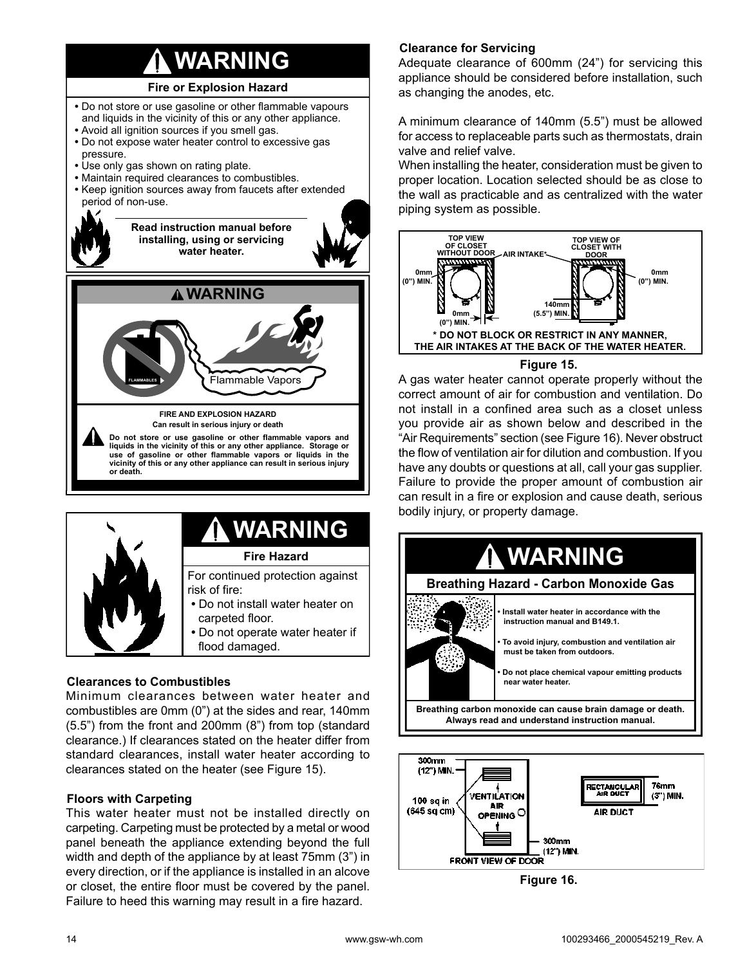# **WARNING**

#### **Fire or Explosion Hazard**

- Do not store or use gasoline or other flammable vapours and liquids in the vicinity of this or any other appliance.
- Avoid all ignition sources if you smell gas.
- Do not expose water heater control to excessive gas pressure.
- Use only gas shown on rating plate.
- Maintain required clearances to combustibles. **•** Keep ignition sources away from faucets after extended
- period of non-use.

**Read instruction manual before installing, using or servicing water heater.**





### **Fire Hazard WARNING**

For continued protection against risk of fire:

- Do not install water heater on carpeted floor.
- Do not operate water heater if flood damaged.

#### **Clearances to Combustibles**

standard clearances, install water heater according to Minimum clearances between water heater and combustibles are 0mm (0") at the sides and rear, 140mm  $(5.5)$  from the front and 200mm  $(8)$  from top (standard clearance.) If clearances stated on the heater differ from clearances stated on the heater (see Figure 15).

#### **Floors with Carpeting**

This water heater must not be installed directly on carpeting. Carpeting must be protected by a metal or wood panel beneath the appliance extending beyond the full width and depth of the appliance by at least 75mm (3") in every direction, or if the appliance is installed in an alcove or closet, the entire floor must be covered by the panel. Failure to heed this warning may result in a fire hazard.

### **Clearance for Servicing**

Adequate clearance of 600mm (24") for servicing this appliance should be considered before installation, such as changing the anodes, etc.

A minimum clearance of 140mm (5.5") must be allowed for access to replaceable parts such as thermostats, drain valve and relief valve.

When installing the heater, consideration must be given to proper location. Location selected should be as close to the wall as practicable and as centralized with the water piping system as possible.



**Figure 15.** 

A gas water heater cannot operate properly without the correct amount of air for combustion and ventilation. Do not install in a confined area such as a closet unless you provide air as shown below and described in the "Air Requirements" section (see Figure 16). Never obstruct the flow of ventilation air for dilution and combustion. If you have any doubts or questions at all, call your gas supplier. Failure to provide the proper amount of combustion air can result in a fire or explosion and cause death, serious bodily injury, or property damage.





**Figure 16.**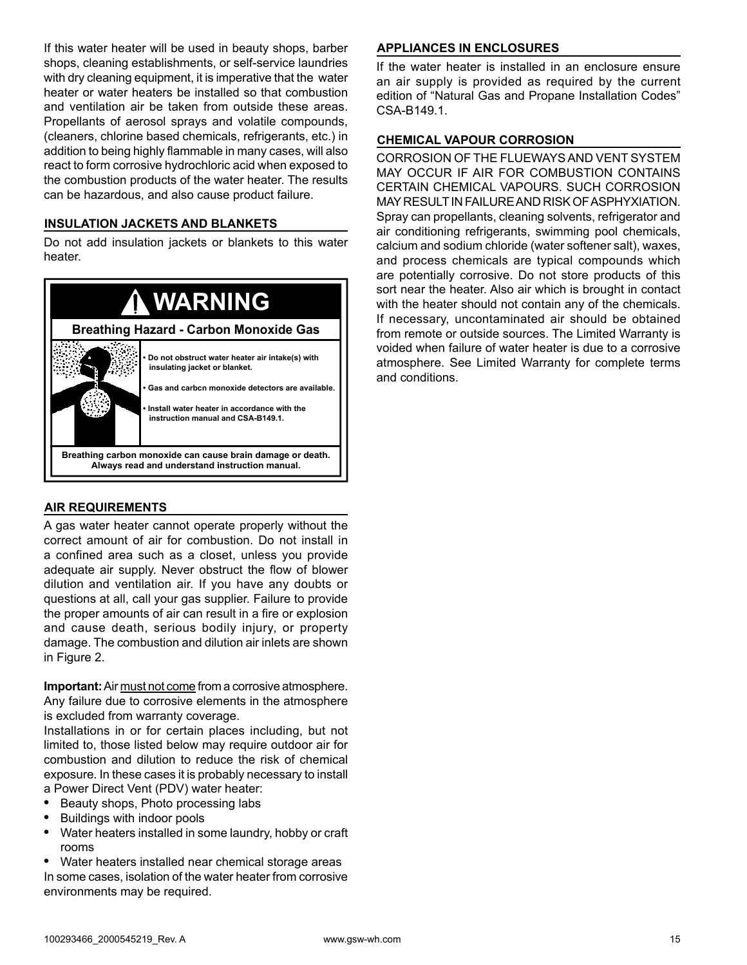If this water heater will be used in beauty shops, barber shops, cleaning establishments, or self-service laundries with dry cleaning equipment, it is imperative that the water heater or water heaters be installed so that combustion and ventilation air be taken from outside these areas. Propellants of aerosol sprays and volatile compounds, (cleaners, chlorine based chemicals, refrigerants, etc.) in addition to being highly flammable in many cases, will also react to form corrosive hydrochloric acid when exposed to the combustion products of the water heater. The results can be hazardous, and also cause product failure.

#### **INSULATION JACKETS AND BLANKETS**

Do not add insulation jackets or blankets to this water heater.



#### **AIR REQUIREMENTS**

A gas water heater cannot operate properly without the correct amount of air for combustion. Do not install in a confined area such as a closet, unless you provide adequate air supply. Never obstruct the flow of blower dilution and ventilation air. If you have any doubts or questions at all, call your gas supplier. Failure to provide the proper amounts of air can result in a fire or explosion and cause death, serious bodily injury, or property damage. The combustion and dilution air inlets are shown in Figure 2.

**Important:** Air must not come from a corrosive atmosphere. Any failure due to corrosive elements in the atmosphere is excluded from warranty coverage.

Installations in or for certain places including, but not limited to, those listed below may require outdoor air for combustion and dilution to reduce the risk of chemical exposure. In these cases it is probably necessary to install a Power Direct Vent (PDV) water heater:

- Beauty shops, Photo processing labs
- Buildings with indoor pools
- Water heaters installed in some laundry, hobby or craft rooms
- Water heaters installed near chemical storage areas In some cases, isolation of the water heater from corrosive environments may be required.

#### **APPLIANCES IN ENCLOSURES**

If the water heater is installed in an enclosure ensure an air supply is provided as required by the current edition of "Natural Gas and Propane Installation Codes" CSA-B149.1.

#### **CHEMICAL VAPOUR CORROSION**

CORROSION OF THE FLUEWAYS AND VENT SYSTEM MAY OCCUR IF AIR FOR COMBUSTION CONTAINS CERTAIN CHEMICAL VAPOURS . SUCH CORROSION MAY RESULT IN FAILURE AND RISK OF ASPHYXIATION. Spray can propellants, cleaning solvents, refrigerator and air conditioning refrigerants, swimming pool chemicals, calcium and sodium chloride (water softener salt), waxes, and process chemicals are typical compounds which are potentially corrosive. Do not store products of this sort near the heater. Also air which is brought in contact with the heater should not contain any of the chemicals. If necessary, uncontaminated air should be obtained from remote or outside sources. The Limited Warranty is voided when failure of water heater is due to a corrosive atmosphere. See Limited Warranty for complete terms and conditions.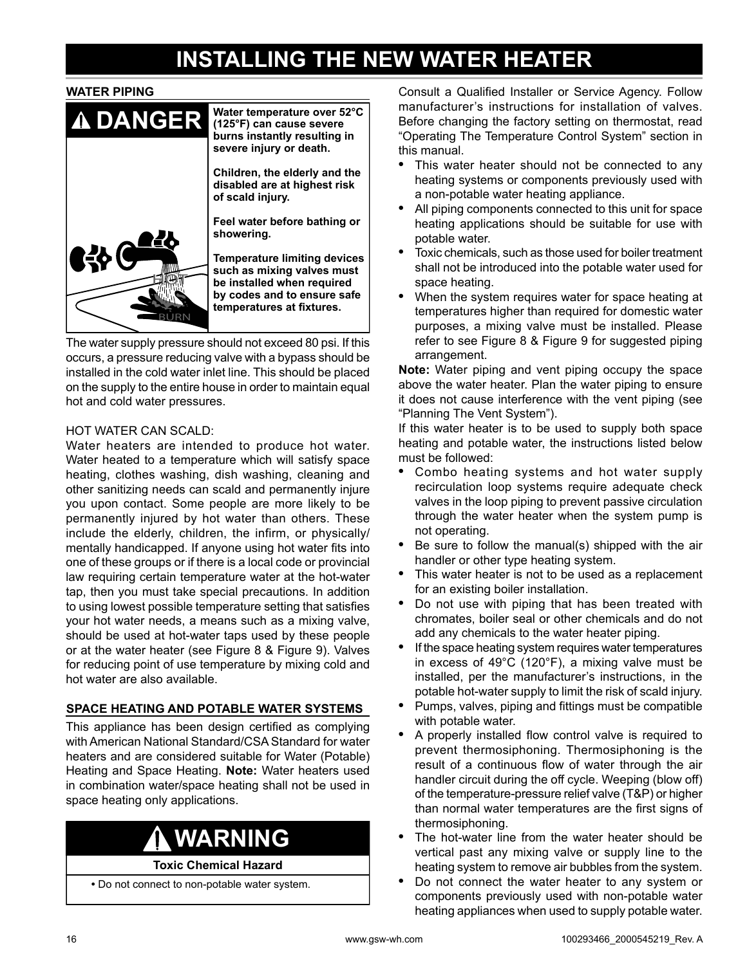# **INSTALLING THE NEW WATER HEATER**

#### **WATER PIPING**



The water supply pressure should not exceed 80 psi. If this occurs, a pressure reducing valve with a bypass should be installed in the cold water inlet line. This should be placed on the supply to the entire house in order to maintain equal hot and cold water pressures.

#### HOT WATER CAN SCALD:

Water heaters are intended to produce hot water. Water heated to a temperature which will satisfy space heating, clothes washing, dish washing, cleaning and other sanitizing needs can scald and permanently injure you upon contact. Some people are more likely to be permanently injured by hot water than others. These include the elderly, children, the infirm, or physically/ mentally handicapped. If anyone using hot water fits into one of these groups or if there is a local code or provincial law requiring certain temperature water at the hot-water tap, then you must take special precautions. In addition to using lowest possible temperature setting that satisfies your hot water needs, a means such as a mixing valve, should be used at hot-water taps used by these people or at the water heater (see Figure 8 & Figure 9). Valves for reducing point of use temperature by mixing cold and hot water are also available.

#### **SPACE HEATING AND POTABLE WATER SYSTEMS**

This appliance has been design certified as complying with American National Standard/CSA Standard for water heaters and are considered suitable for Water (Potable) Heating and Space Heating. **Note:** Water heaters used in combination water/space heating shall not be used in space heating only applications.

# **WARNING**

**Toxic Chemical Hazard**

**•** Do not connect to non-potable water system.

Consult a Qualified Installer or Service Agency. Follow manufacturer's instructions for installation of valves. Before changing the factory setting on thermostat, read "Operating The Temperature Control System" section in this manual.

- This water heater should not be connected to any heating systems or components previously used with a non-potable water heating appliance.
- All piping components connected to this unit for space heating applications should be suitable for use with potable water.
- Toxic chemicals, such as those used for boiler treatment shall not be introduced into the potable water used for space heating.
- When the system requires water for space heating at temperatures higher than required for domestic water purposes, a mixing valve must be installed. Please refer to see Figure 8 & Figure 9 for suggested piping arrangement.

**Note:** Water piping and vent piping occupy the space above the water heater. Plan the water piping to ensure it does not cause interference with the vent piping (see "Planning The Vent System").

If this water heater is to be used to supply both space heating and potable water, the instructions listed below must be followed:

- Combo heating systems and hot water supply recirculation loop systems require adequate check valves in the loop piping to prevent passive circulation through the water heater when the system pump is not operating.
- Be sure to follow the manual(s) shipped with the air handler or other type heating system.
- This water heater is not to be used as a replacement for an existing boiler installation.
- Do not use with piping that has been treated with chromates, boiler seal or other chemicals and do not add any chemicals to the water heater piping.
- If the space heating system requires water temperatures in excess of 49°C (120°F), a mixing valve must be installed, per the manufacturer's instructions, in the potable hot-water supply to limit the risk of scald injury.
- Pumps, valves, piping and fittings must be compatible with potable water.
- A properly installed flow control valve is required to prevent thermosiphoning. Thermosiphoning is the result of a continuous flow of water through the air handler circuit during the off cycle. Weeping (blow off) of the temperature-pressure relief valve (T&P) or higher than normal water temperatures are the first signs of thermosiphoning.
- The hot-water line from the water heater should be vertical past any mixing valve or supply line to the heating system to remove air bubbles from the system.
- Do not connect the water heater to any system or components previously used with non-potable water heating appliances when used to supply potable water.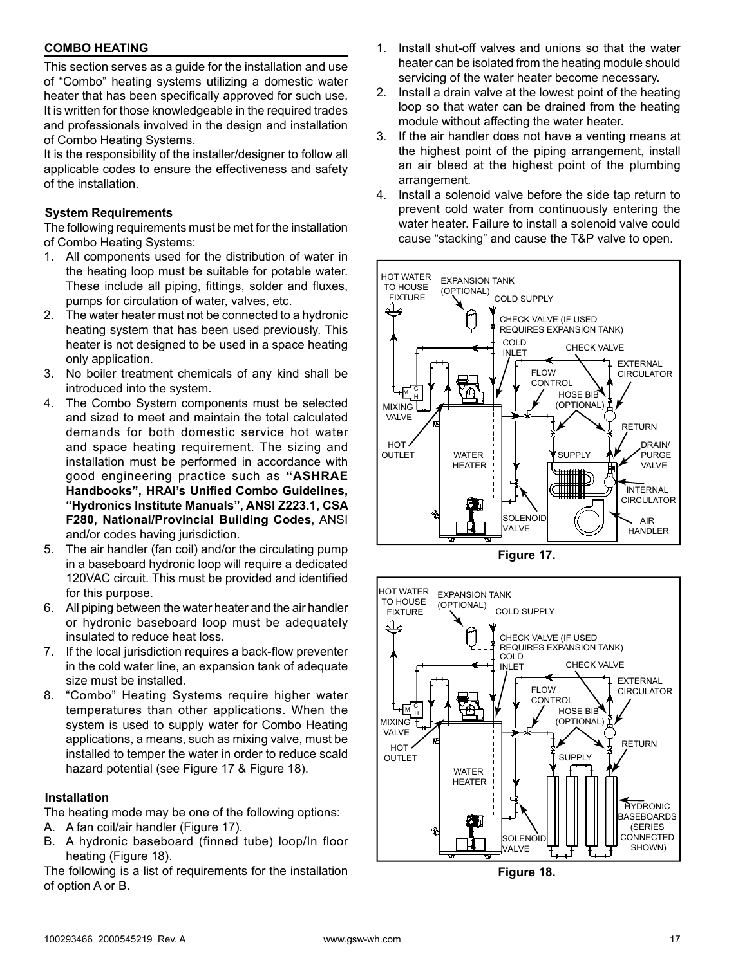#### **COMBO HEATING**

This section serves as a guide for the installation and use of "Combo" heating systems utilizing a domestic water heater that has been specifically approved for such use. It is written for those knowledgeable in the required trades and professionals involved in the design and installation of Combo Heating Systems.

It is the responsibility of the installer/designer to follow all applicable codes to ensure the effectiveness and safety of the installation.

#### **System Requirements**

The following requirements must be met for the installation of Combo Heating Systems:

- 1. All components used for the distribution of water in the heating loop must be suitable for potable water. These include all piping, fittings, solder and fluxes, pumps for circulation of water, valves, etc.
- 2. The water heater must not be connected to a hydronic heating system that has been used previously. This heater is not designed to be used in a space heating only application.
- 3. No boiler treatment chemicals of any kind shall be introduced into the system.
- 4. The Combo System components must be selected and sized to meet and maintain the total calculated demands for both domestic service hot water and space heating requirement. The sizing and installation must be performed in accordance with good engineering practice such as **"ASHRAE Handbooks", HRAI's Unified Combo Guidelines, "Hydronics Institute Manuals", ANSI Z223.1, CSA F280, National/Provincial Building Codes**, ANSI and/or codes having jurisdiction.
- 5. The air handler (fan coil) and/or the circulating pump in a baseboard hydronic loop will require a dedicated 120VAC circuit. This must be provided and identified for this purpose.
- 6. All piping between the water heater and the air handler or hydronic baseboard loop must be adequately insulated to reduce heat loss.
- 7. If the local jurisdiction requires a back-flow preventer in the cold water line, an expansion tank of adequate size must be installed.
- 8. "Combo" Heating Systems require higher water temperatures than other applications. When the system is used to supply water for Combo Heating applications, a means, such as mixing valve, must be installed to temper the water in order to reduce scald hazard potential (see Figure 17 & Figure 18).

#### **Installation**

The heating mode may be one of the following options:

- A. A fan coil/air handler (Figure 17).
- B. A hydronic baseboard (finned tube) loop/In floor heating (Figure 18).

The following is a list of requirements for the installation of option A or B.

- 1. Install shut-off valves and unions so that the water heater can be isolated from the heating module should servicing of the water heater become necessary.
- 2. Install a drain valve at the lowest point of the heating loop so that water can be drained from the heating module without affecting the water heater.
- 3. If the air handler does not have a venting means at the highest point of the piping arrangement, install an air bleed at the highest point of the plumbing arrangement.
- 4. Install a solenoid valve before the side tap return to prevent cold water from continuously entering the water heater. Failure to install a solenoid valve could cause "stacking" and cause the T&P valve to open.



**Figure 17.** 



**Figure 18.**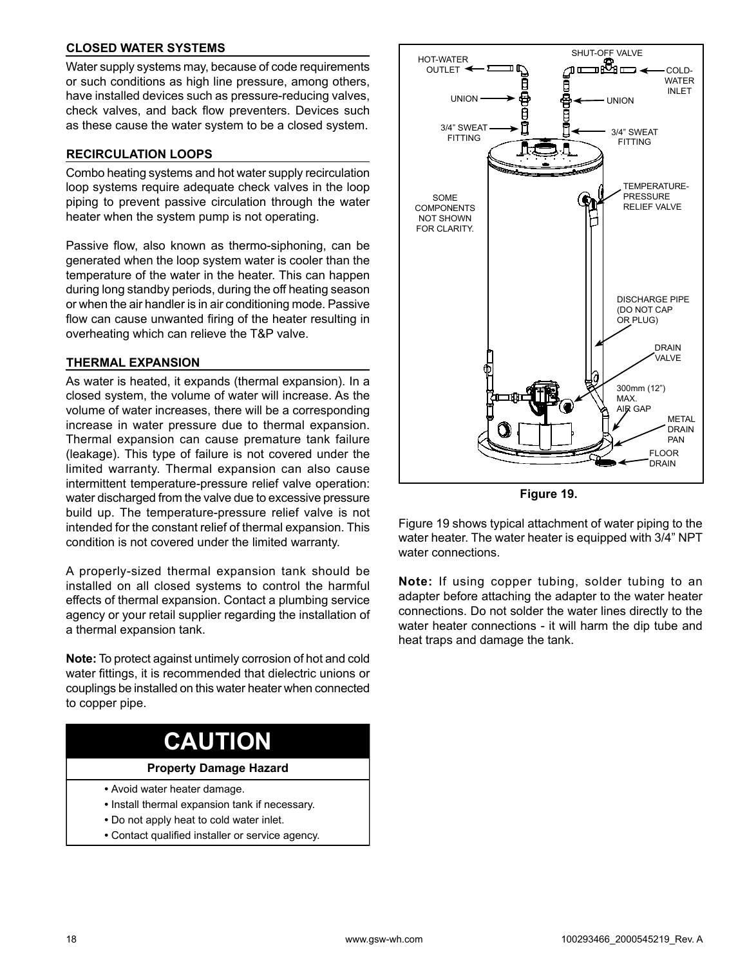#### **CLOSED WATER SYSTEMS**

Water supply systems may, because of code requirements or such conditions as high line pressure, among others, have installed devices such as pressure-reducing valves, check valves, and back flow preventers. Devices such as these cause the water system to be a closed system.

#### **RECIRCULATION LOOPS**

Combo heating systems and hot water supply recirculation loop systems require adequate check valves in the loop piping to prevent passive circulation through the water heater when the system pump is not operating.

Passive flow, also known as thermo-siphoning, can be generated when the loop system water is cooler than the temperature of the water in the heater. This can happen during long standby periods, during the off heating season or when the air handler is in air conditioning mode. Passive flow can cause unwanted firing of the heater resulting in overheating which can relieve the T&P valve.

#### **THERMAL EXPANSION**

As water is heated, it expands (thermal expansion). In a closed system, the volume of water will increase. As the volume of water increases, there will be a corresponding increase in water pressure due to thermal expansion. Thermal expansion can cause premature tank failure (leakage). This type of failure is not covered under the limited warranty. Thermal expansion can also cause intermittent temperature-pressure relief valve operation: water discharged from the valve due to excessive pressure build up. The temperature-pressure relief valve is not intended for the constant relief of thermal expansion. This condition is not covered under the limited warranty.

A properly-sized thermal expansion tank should be installed on all closed systems to control the harmful effects of thermal expansion. Contact a plumbing service agency or your retail supplier regarding the installation of a thermal expansion tank.

**Note:** To protect against untimely corrosion of hot and cold water fittings, it is recommended that dielectric unions or couplings be installed on this water heater when connected to copper pipe.

| <b>CAUTION</b>                                                                                                                                                                 |
|--------------------------------------------------------------------------------------------------------------------------------------------------------------------------------|
| <b>Property Damage Hazard</b>                                                                                                                                                  |
| • Avoid water heater damage.<br>• Install thermal expansion tank if necessary.<br>• Do not apply heat to cold water inlet.<br>• Contact qualified installer or service agency. |



**Figure 19.** 

Figure 19 shows typical attachment of water piping to the water heater. The water heater is equipped with 3/4" NPT water connections.

**Note:** If using copper tubing, solder tubing to an adapter before attaching the adapter to the water heater connections. Do not solder the water lines directly to the water heater connections - it will harm the dip tube and heat traps and damage the tank.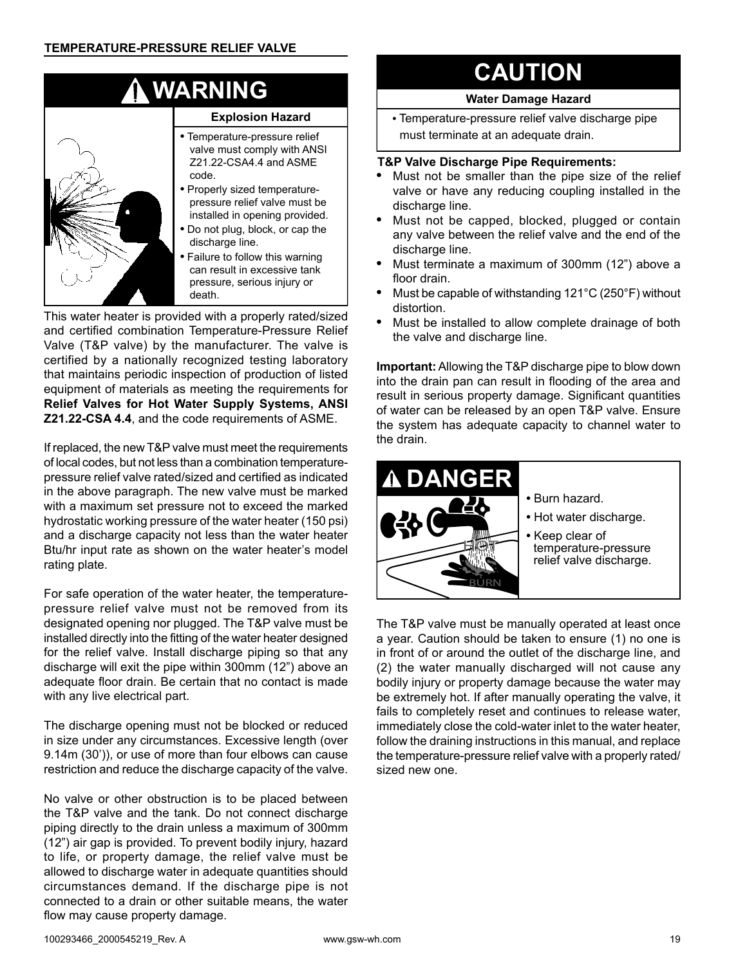

This water heater is provided with a properly rated/sized and certified combination Temperature-Pressure Relief Valve (T&P valve) by the manufacturer. The valve is certified by a nationally recognized testing laboratory that maintains periodic inspection of production of listed equipment of materials as meeting the requirements for **Relief Valves for Hot Water Supply Systems, ANSI Z21.22-CSA 4.4**, and the code requirements of ASME.

If replaced, the new T&P valve must meet the requirements of local codes, but not less than a combination temperaturepressure relief valve rated/sized and certified as indicated in the above paragraph. The new valve must be marked with a maximum set pressure not to exceed the marked hydrostatic working pressure of the water heater (150 psi) and a discharge capacity not less than the water heater Btu/hr input rate as shown on the water heater's model rating plate.

For safe operation of the water heater, the temperaturepressure relief valve must not be removed from its designated opening nor plugged. The T&P valve must be installed directly into the fitting of the water heater designed for the relief valve. Install discharge piping so that any discharge will exit the pipe within 300mm (12") above an adequate floor drain . Be certain that no contact is made with any live electrical part.

The discharge opening must not be blocked or reduced in size under any circumstances. Excessive length (over 9.14m (30')), or use of more than four elbows can cause restriction and reduce the discharge capacity of the valve.

No valve or other obstruction is to be placed between the T&P valve and the tank. Do not connect discharge piping directly to the drain unless a maximum of 300mm (12") air gap is provided. To prevent bodily injury, hazard to life, or property damage, the relief valve must be allowed to discharge water in adequate quantities should circumstances demand. If the discharge pipe is not connected to a drain or other suitable means, the water flow may cause property damage.

# **CAUTION**

#### **Water Damage Hazard**

**•** Temperature-pressure relief valve discharge pipe must terminate at an adequate drain.

#### **T&P Valve Discharge Pipe Requirements:**

- Must not be smaller than the pipe size of the relief valve or have any reducing coupling installed in the discharge line.
- Must not be capped, blocked, plugged or contain any valve between the relief valve and the end of the discharge line.
- Must terminate a maximum of 300mm (12") above a floor drain.
- Must be capable of withstanding 121°C (250°F) without distortion.
- Must be installed to allow complete drainage of both the valve and discharge line.

**Important:** Allowing the T&P discharge pipe to blow down into the drain pan can result in flooding of the area and result in serious property damage. Significant quantities of water can be released by an open T&P valve. Ensure the system has adequate capacity to channel water to the drain.



The T&P valve must be manually operated at least once a year. Caution should be taken to ensure (1) no one is in front of or around the outlet of the discharge line, and (2) the water manually discharged will not cause any bodily injury or property damage because the water may be extremely hot. If after manually operating the valve, it fails to completely reset and continues to release water, immediately close the cold-water inlet to the water heater, follow the draining instructions in this manual, and replace the temperature-pressure relief valve with a properly rated/ sized new one.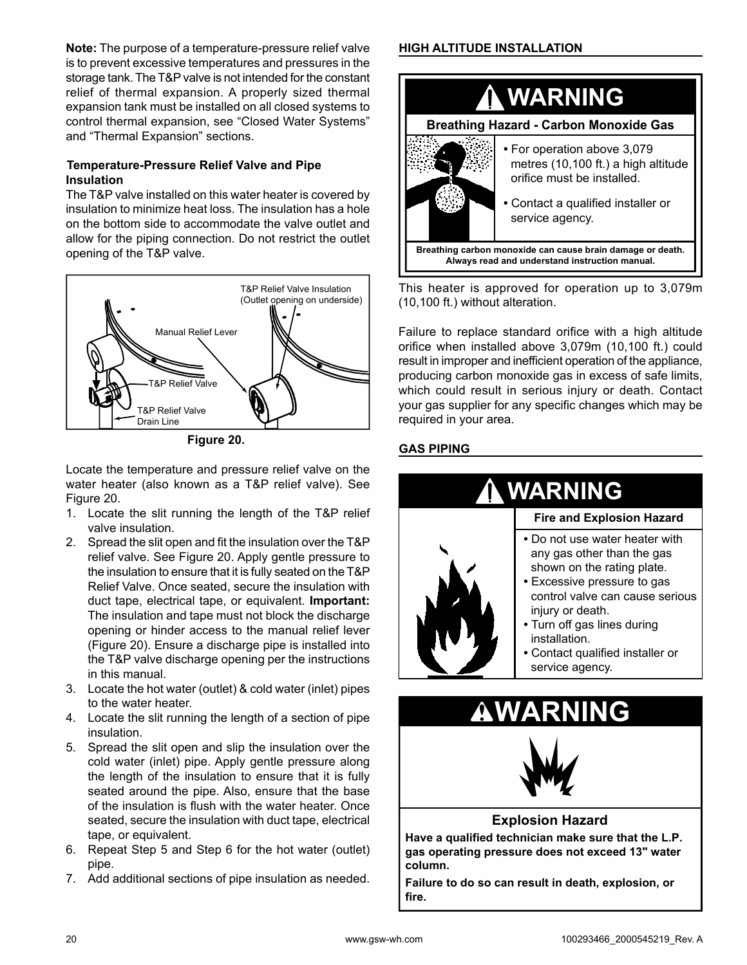**Note:** The purpose of a temperature-pressure relief valve is to prevent excessive temperatures and pressures in the storage tank. The T&P valve is not intended for the constant relief of thermal expansion. A properly sized thermal expansion tank must be installed on all closed systems to control thermal expansion, see "Closed Water Systems" and "Thermal Expansion" sections.

#### **Temperature-Pressure Relief Valve and Pipe Insulation**

The T&P valve installed on this water heater is covered by insulation to minimize heat loss. The insulation has a hole on the bottom side to accommodate the valve outlet and allow for the piping connection. Do not restrict the outlet opening of the T&P valve.



**Figure 20.** 

Locate the temperature and pressure relief valve on the water heater (also known as a T&P relief valve). See Figure 20.

- 1. Locate the slit running the length of the T&P relief valve insulation.
- 2. Spread the slit open and fit the insulation over the T&P relief valve. See Figure 20. Apply gentle pressure to the insulation to ensure that it is fully seated on the T&P Relief Valve. Once seated, secure the insulation with duct tape, electrical tape, or equivalent. **Important:** The insulation and tape must not block the discharge opening or hinder access to the manual relief lever (Figure 20). Ensure a discharge pipe is installed into the T&P valve discharge opening per the instructions in this manual.
- 3. Locate the hot water (outlet) & cold water (inlet) pipes to the water heater.
- 4. Locate the slit running the length of a section of pipe insulation.
- 5. Spread the slit open and slip the insulation over the cold water (inlet) pipe. Apply gentle pressure along the length of the insulation to ensure that it is fully seated around the pipe. Also, ensure that the base of the insulation is flush with the water heater. Once seated, secure the insulation with duct tape, electrical tape, or equivalent.
- 6. Repeat Step 5 and Step 6 for the hot water (outlet) pipe.
- 7. Add additional sections of pipe insulation as needed.

#### **HIGH ALTITUDE INSTALLATION**



This heater is approved for operation up to 3,079m (10,100 ft.) without alteration.

Failure to replace standard orifice with a high altitude orifice when installed above 3,079m (10,100 ft.) could result in improper and inefficient operation of the appliance, producing carbon monoxide gas in excess of safe limits, which could result in serious injury or death. Contact your gas supplier for any specific changes which may be required in your area.

### **GAS PIPING**



#### **Explosion Hazard**

**Have a qualified technician make sure that the L.P. gas operating pressure does not exceed 13" water column.**

**Failure to do so can result in death, explosion, or fire.**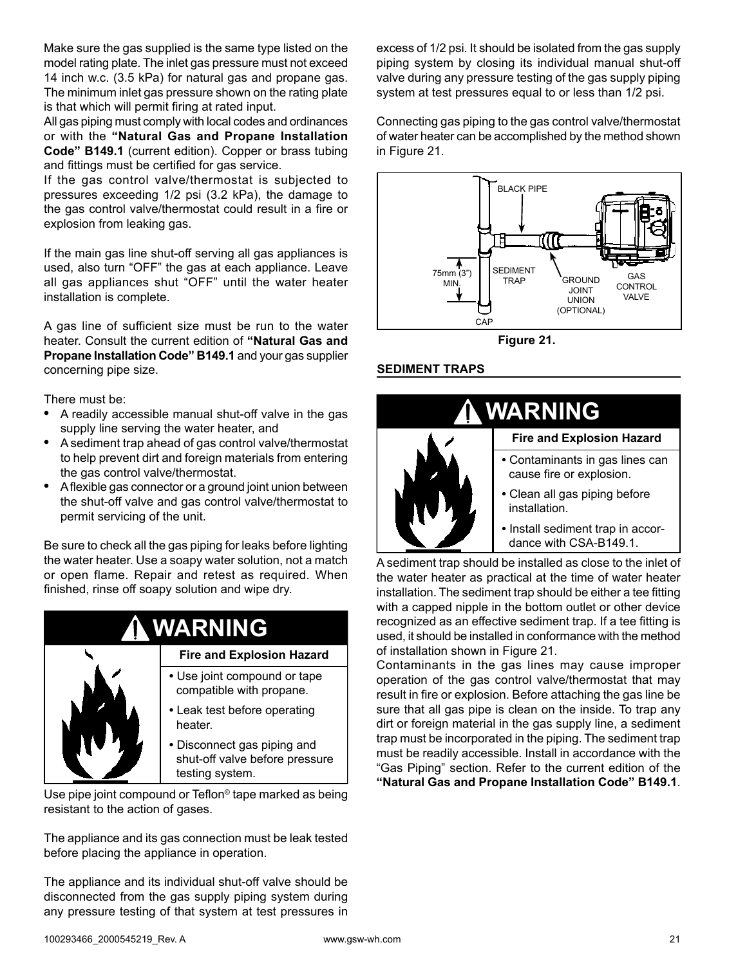Make sure the gas supplied is the same type listed on the model rating plate. The inlet gas pressure must not exceed 14 inch w.c. (3.5 kPa) for natural gas and propane gas. The minimum inlet gas pressure shown on the rating plate is that which will permit firing at rated input.

All gas piping must comply with local codes and ordinances or with the **"Natural Gas and Propane Installation Code" B149.1** (current edition). Copper or brass tubing and fittings must be certified for gas service.

If the gas control valve/thermostat is subjected to pressures exceeding 1/2 psi (3.2 kPa), the damage to the gas control valve/thermostat could result in a fire or explosion from leaking gas.

If the main gas line shut-off serving all gas appliances is used, also turn "OFF" the gas at each appliance. Leave all gas appliances shut "OFF" until the water heater installation is complete.

A gas line of sufficient size must be run to the water heater. Consult the current edition of **"Natural Gas and Propane Installation Code" B149.1** and your gas supplier concerning pipe size.

There must be:

- A readily accessible manual shut-off valve in the gas supply line serving the water heater, and
- A sediment trap ahead of gas control valve/thermostat to help prevent dirt and foreign materials from entering the gas control valve/thermostat.
- A flexible gas connector or a ground joint union between the shut-off valve and gas control valve/thermostat to permit servicing of the unit.

Be sure to check all the gas piping for leaks before lighting the water heater. Use a soapy water solution, not a match or open flame. Repair and retest as required. When finished, rinse off soapy solution and wipe dry.



Use pipe joint compound or Teflon© tape marked as being resistant to the action of gases.

The appliance and its gas connection must be leak tested before placing the appliance in operation.

The appliance and its individual shut-off valve should be disconnected from the gas supply piping system during any pressure testing of that system at test pressures in

excess of 1/2 psi. It should be isolated from the gas supply piping system by closing its individual manual shut-off valve during any pressure testing of the gas supply piping system at test pressures equal to or less than 1/2 psi.

Connecting gas piping to the gas control valve/thermostat of water heater can be accomplished by the method shown in Figure 21.



**Figure 21.** 

#### **SEDIMENT TRAPS**



A sediment trap should be installed as close to the inlet of the water heater as practical at the time of water heater installation. The sediment trap should be either a tee fitting with a capped nipple in the bottom outlet or other device recognized as an effective sediment trap. If a tee fitting is used, it should be installed in conformance with the method of installation shown in Figure 21.

Contaminants in the gas lines may cause improper operation of the gas control valve/thermostat that may result in fire or explosion. Before attaching the gas line be sure that all gas pipe is clean on the inside. To trap any dirt or foreign material in the gas supply line, a sediment trap must be incorporated in the piping. The sediment trap must be readily accessible. Install in accordance with the "Gas Piping" section. Refer to the current edition of the **"Natural Gas and Propane Installation Code" B149.1** .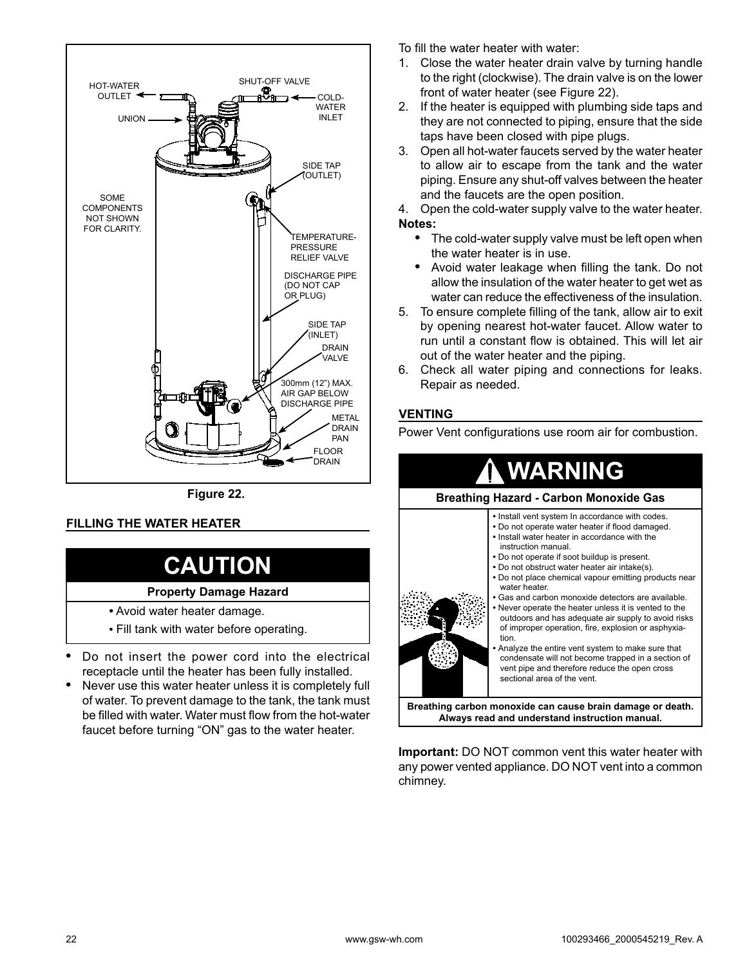

**Figure 22.** 

#### **FILLING THE WATER HEATER**

# **CAUTION**

#### **Property Damage Hazard**

- **•** Avoid water heater damage.
- **•** Fill tank with water before operating.
- Do not insert the power cord into the electrical receptacle until the heater has been fully installed.
- Never use this water heater unless it is completely full of water. To prevent damage to the tank, the tank must be filled with water. Water must flow from the hot-water faucet before turning "ON" gas to the water heater.

To fill the water heater with water:

- 1. Close the water heater drain valve by turning handle to the right (clockwise). The drain valve is on the lower front of water heater (see Figure 22).
- 2. If the heater is equipped with plumbing side taps and they are not connected to piping, ensure that the side taps have been closed with pipe plugs.
- 3. Open all hot-water faucets served by the water heater to allow air to escape from the tank and the water piping. Ensure any shut-off valves between the heater and the faucets are the open position.

4. Open the cold-water supply valve to the water heater. **Notes:**

- The cold-water supply valve must be left open when the water heater is in use.
- Avoid water leakage when filling the tank. Do not allow the insulation of the water heater to get wet as water can reduce the effectiveness of the insulation.
- 5. To ensure complete filling of the tank, allow air to exit by opening nearest hot-water faucet. Allow water to run until a constant flow is obtained. This will let air out of the water heater and the piping.
- 6. Check all water piping and connections for leaks. Repair as needed.

#### **VENTING**

Power Vent configurations use room air for combustion.



**Important:** DO NOT common vent this water heater with any power vented appliance. DO NOT vent into a common chimney.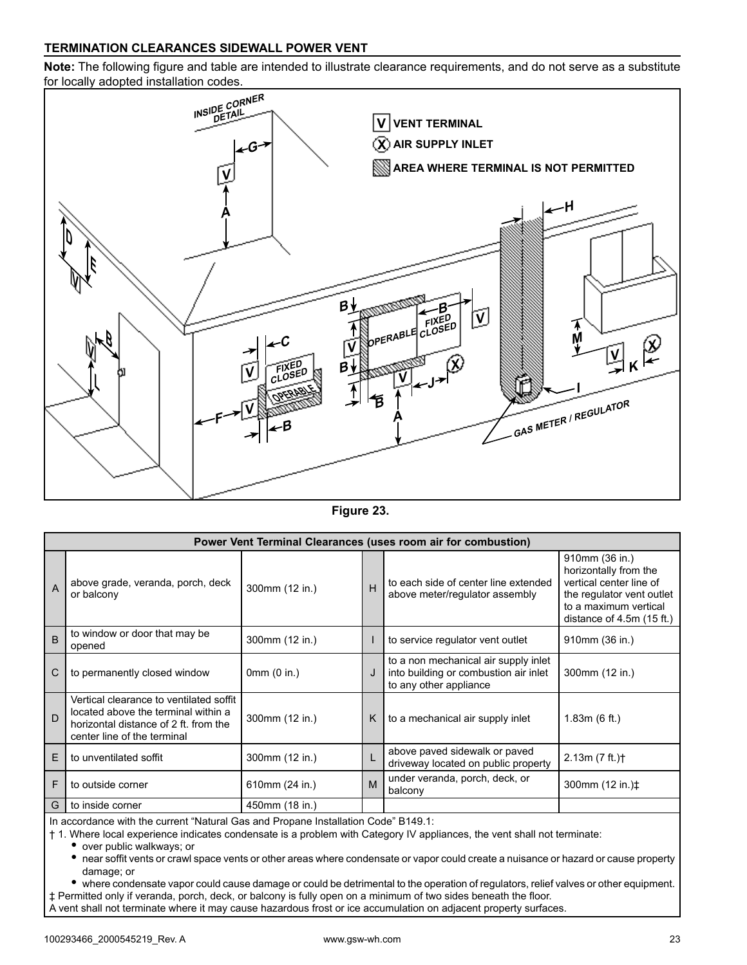#### **TERMINATION CLEARANCES SIDEWALL POWER VENT**

**Note:** The following figure and table are intended to illustrate clearance requirements, and do not serve as a substitute for locally adopted installation codes.



**Figure 23.** 

|              | Power Vent Terminal Clearances (uses room air for combustion)                                                                                          |                |   |                                                                                                         |                                                                                                                                                       |  |  |  |
|--------------|--------------------------------------------------------------------------------------------------------------------------------------------------------|----------------|---|---------------------------------------------------------------------------------------------------------|-------------------------------------------------------------------------------------------------------------------------------------------------------|--|--|--|
| A            | above grade, veranda, porch, deck<br>or balcony                                                                                                        | 300mm (12 in.) | H | to each side of center line extended<br>above meter/requlator assembly                                  | 910mm (36 in.)<br>horizontally from the<br>vertical center line of<br>the regulator vent outlet<br>to a maximum vertical<br>distance of 4.5m (15 ft.) |  |  |  |
| <sub>B</sub> | to window or door that may be<br>opened                                                                                                                | 300mm (12 in.) |   | to service regulator vent outlet                                                                        | 910mm (36 in.)                                                                                                                                        |  |  |  |
| С            | to permanently closed window                                                                                                                           | 0mm (0 in.)    | J | to a non mechanical air supply inlet<br>into building or combustion air inlet<br>to any other appliance | 300mm (12 in.)                                                                                                                                        |  |  |  |
| D            | Vertical clearance to ventilated soffit<br>located above the terminal within a<br>horizontal distance of 2 ft. from the<br>center line of the terminal | 300mm (12 in.) | K | to a mechanical air supply inlet                                                                        | 1.83m(6 ft.)                                                                                                                                          |  |  |  |
| E            | to unventilated soffit                                                                                                                                 | 300mm (12 in.) |   | above paved sidewalk or paved<br>driveway located on public property                                    | 2.13m (7 ft.)                                                                                                                                         |  |  |  |
| F            | to outside corner                                                                                                                                      | 610mm (24 in.) | M | under veranda, porch, deck, or<br>balcony                                                               | 300mm (12 in.) $\ddagger$                                                                                                                             |  |  |  |
| G            | to inside corner                                                                                                                                       | 450mm (18 in.) |   |                                                                                                         |                                                                                                                                                       |  |  |  |

In accordance with the current "Natural Gas and Propane Installation Code" B149.1:

† 1. Where local experience indicates condensate is a problem with Category IV appliances, the vent shall not terminate:

**•** over public walkways; or

**•** near soffit vents or crawl space vents or other areas where condensate or vapor could create a nuisance or hazard or cause property damage; or

**•** where condensate vapor could cause damage or could be detrimental to the operation of regulators, relief valves or other equipment. ‡ Permitted only if veranda, porch, deck, or balcony is fully open on a minimum of two sides beneath the floor.

A vent shall not terminate where it may cause hazardous frost or ice accumulation on adjacent property surfaces.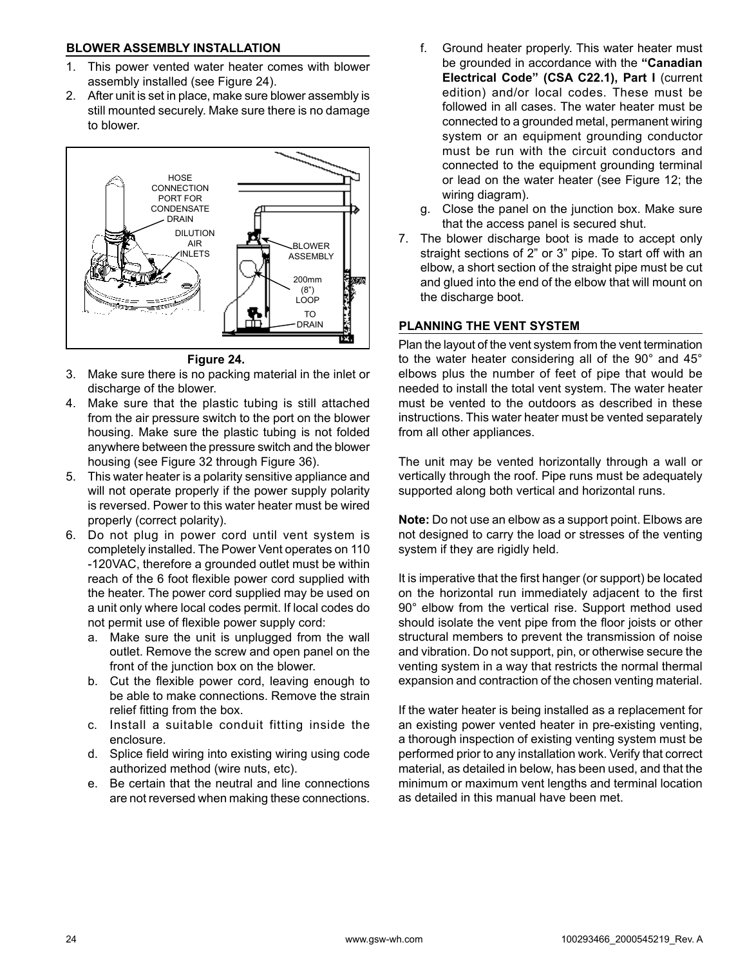#### **BLOWER ASSEMBLY INSTALLATION**

- 1. This power vented water heater comes with blower assembly installed (see Figure 24).
- 2. After unit is set in place, make sure blower assembly is still mounted securely. Make sure there is no damage to blower.



#### **Figure 24.**

- 3. Make sure there is no packing material in the inlet or discharge of the blower.
- 4. Make sure that the plastic tubing is still attached from the air pressure switch to the port on the blower housing. Make sure the plastic tubing is not folded anywhere between the pressure switch and the blower housing (see Figure 32 through Figure 36).
- 5. This water heater is a polarity sensitive appliance and will not operate properly if the power supply polarity is reversed. Power to this water heater must be wired properly (correct polarity).
- 6. Do not plug in power cord until vent system is completely installed. The Power Vent operates on 110 -120VAC, therefore a grounded outlet must be within reach of the 6 foot flexible power cord supplied with the heater. The power cord supplied may be used on a unit only where local codes permit. If local codes do not permit use of flexible power supply cord:
	- a. Make sure the unit is unplugged from the wall outlet. Remove the screw and open panel on the front of the junction box on the blower.
	- b. Cut the flexible power cord, leaving enough to be able to make connections. Remove the strain relief fitting from the box.
	- c. Install a suitable conduit fitting inside the enclosure.
	- d. Splice field wiring into existing wiring using code authorized method (wire nuts, etc).
	- e. Be certain that the neutral and line connections are not reversed when making these connections.
- f. Ground heater properly. This water heater must be grounded in accordance with the **"Canadian Electrical Code" (CSA C22.1), Part I** (current edition) and/or local codes. These must be followed in all cases. The water heater must be connected to a grounded metal, permanent wiring system or an equipment grounding conductor must be run with the circuit conductors and connected to the equipment grounding terminal or lead on the water heater (see Figure 12; the wiring diagram).
- g. Close the panel on the junction box. Make sure that the access panel is secured shut.
- 7. The blower discharge boot is made to accept only straight sections of 2" or 3" pipe. To start off with an elbow, a short section of the straight pipe must be cut and glued into the end of the elbow that will mount on the discharge boot.

#### **PLANNING THE VENT SYSTEM**

Plan the layout of the vent system from the vent termination to the water heater considering all of the 90° and 45° elbows plus the number of feet of pipe that would be needed to install the total vent system. The water heater must be vented to the outdoors as described in these instructions. This water heater must be vented separately from all other appliances.

The unit may be vented horizontally through a wall or vertically through the roof. Pipe runs must be adequately supported along both vertical and horizontal runs.

**Note:** Do not use an elbow as a support point. Elbows are not designed to carry the load or stresses of the venting system if they are rigidly held.

It is imperative that the first hanger (or support) be located on the horizontal run immediately adjacent to the first 90° elbow from the vertical rise. Support method used should isolate the vent pipe from the floor joists or other structural members to prevent the transmission of noise and vibration. Do not support, pin, or otherwise secure the venting system in a way that restricts the normal thermal expansion and contraction of the chosen venting material.

If the water heater is being installed as a replacement for an existing power vented heater in pre-existing venting, a thorough inspection of existing venting system must be performed prior to any installation work. Verify that correct material, as detailed in below, has been used, and that the minimum or maximum vent lengths and terminal location as detailed in this manual have been met.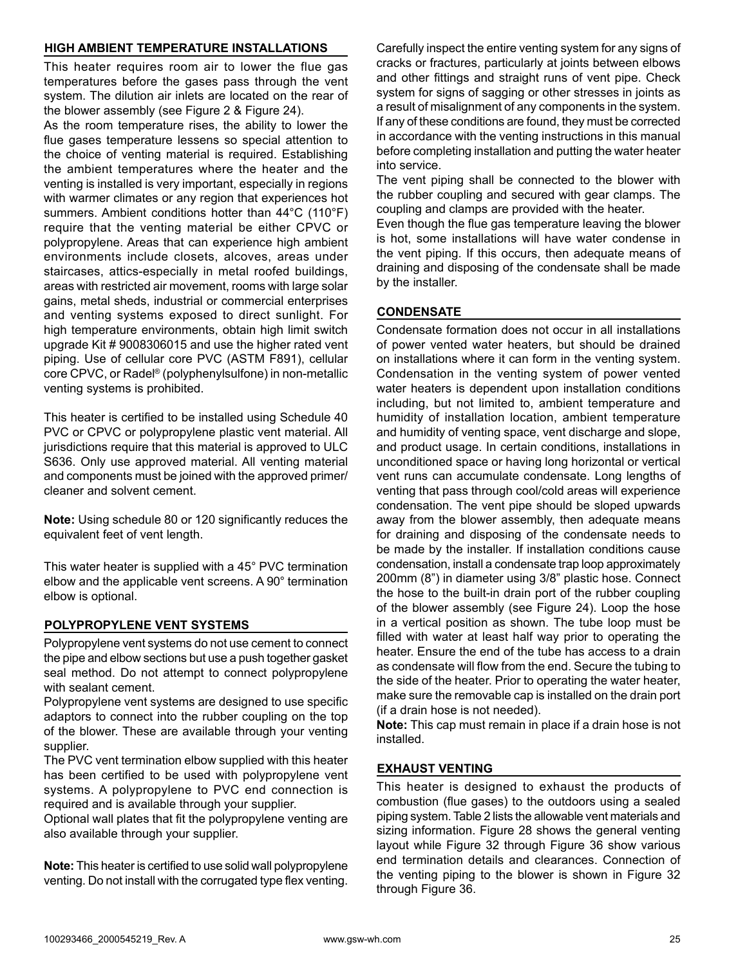#### **HIGH AMBIENT TEMPERATURE INSTALLATIONS**

This heater requires room air to lower the flue gas temperatures before the gases pass through the vent system. The dilution air inlets are located on the rear of the blower assembly (see Figure 2 & Figure 24).

As the room temperature rises, the ability to lower the flue gases temperature lessens so special attention to the choice of venting material is required. Establishing the ambient temperatures where the heater and the venting is installed is very important, especially in regions with warmer climates or any region that experiences hot summers. Ambient conditions hotter than 44°C (110°F) require that the venting material be either CPVC or polypropylene. Areas that can experience high ambient environments include closets, alcoves, areas under staircases, attics-especially in metal roofed buildings, areas with restricted air movement, rooms with large solar gains, metal sheds, industrial or commercial enterprises and venting systems exposed to direct sunlight. For high temperature environments, obtain high limit switch upgrade Kit # 9008306015 and use the higher rated vent piping. Use of cellular core PVC (ASTM F891), cellular core CPVC, or Radel® (polyphenylsulfone) in non-metallic venting systems is prohibited.

This heater is certified to be installed using Schedule 40 PVC or CPVC or polypropylene plastic vent material. All jurisdictions require that this material is approved to ULC S636. Only use approved material. All venting material and components must be joined with the approved primer/ cleaner and solvent cement.

**Note:** Using schedule 80 or 120 significantly reduces the equivalent feet of vent length.

This water heater is supplied with a 45° PVC termination elbow and the applicable vent screens. A 90° termination elbow is optional.

#### **POLYPROPYLENE VENT SYSTEMS**

Polypropylene vent systems do not use cement to connect the pipe and elbow sections but use a push together gasket seal method. Do not attempt to connect polypropylene with sealant cement.

Polypropylene vent systems are designed to use specific adaptors to connect into the rubber coupling on the top of the blower. These are available through your venting supplier.

The PVC vent termination elbow supplied with this heater has been certified to be used with polypropylene vent systems. A polypropylene to PVC end connection is required and is available through your supplier.

Optional wall plates that fit the polypropylene venting are also available through your supplier.

**Note:** This heater is certified to use solid wall polypropylene venting. Do not install with the corrugated type flex venting. Carefully inspect the entire venting system for any signs of cracks or fractures, particularly at joints between elbows and other fittings and straight runs of vent pipe. Check system for signs of sagging or other stresses in joints as a result of misalignment of any components in the system. If any of these conditions are found, they must be corrected in accordance with the venting instructions in this manual before completing installation and putting the water heater into service.

The vent piping shall be connected to the blower with the rubber coupling and secured with gear clamps. The coupling and clamps are provided with the heater.

Even though the flue gas temperature leaving the blower is hot, some installations will have water condense in the vent piping. If this occurs, then adequate means of draining and disposing of the condensate shall be made by the installer.

#### **CONDENSATE**

Condensate formation does not occur in all installations of power vented water heaters, but should be drained on installations where it can form in the venting system. Condensation in the venting system of power vented water heaters is dependent upon installation conditions including, but not limited to, ambient temperature and humidity of installation location, ambient temperature and humidity of venting space, vent discharge and slope, and product usage. In certain conditions, installations in unconditioned space or having long horizontal or vertical vent runs can accumulate condensate. Long lengths of venting that pass through cool/cold areas will experience condensation. The vent pipe should be sloped upwards away from the blower assembly, then adequate means for draining and disposing of the condensate needs to be made by the installer. If installation conditions cause condensation, install a condensate trap loop approximately 200mm (8") in diameter using 3/8" plastic hose. Connect the hose to the built-in drain port of the rubber coupling of the blower assembly (see Figure 24). Loop the hose in a vertical position as shown. The tube loop must be filled with water at least half way prior to operating the heater. Ensure the end of the tube has access to a drain as condensate will flow from the end. Secure the tubing to the side of the heater. Prior to operating the water heater, make sure the removable cap is installed on the drain port (if a drain hose is not needed).

**Note:** This cap must remain in place if a drain hose is not installed.

#### **EXHAUST VENTING**

This heater is designed to exhaust the products of combustion (flue gases) to the outdoors using a sealed piping system. Table 2 lists the allowable vent materials and sizing information. Figure 28 shows the general venting layout while Figure 32 through Figure 36 show various end termination details and clearances. Connection of the venting piping to the blower is shown in Figure 32 through Figure 36.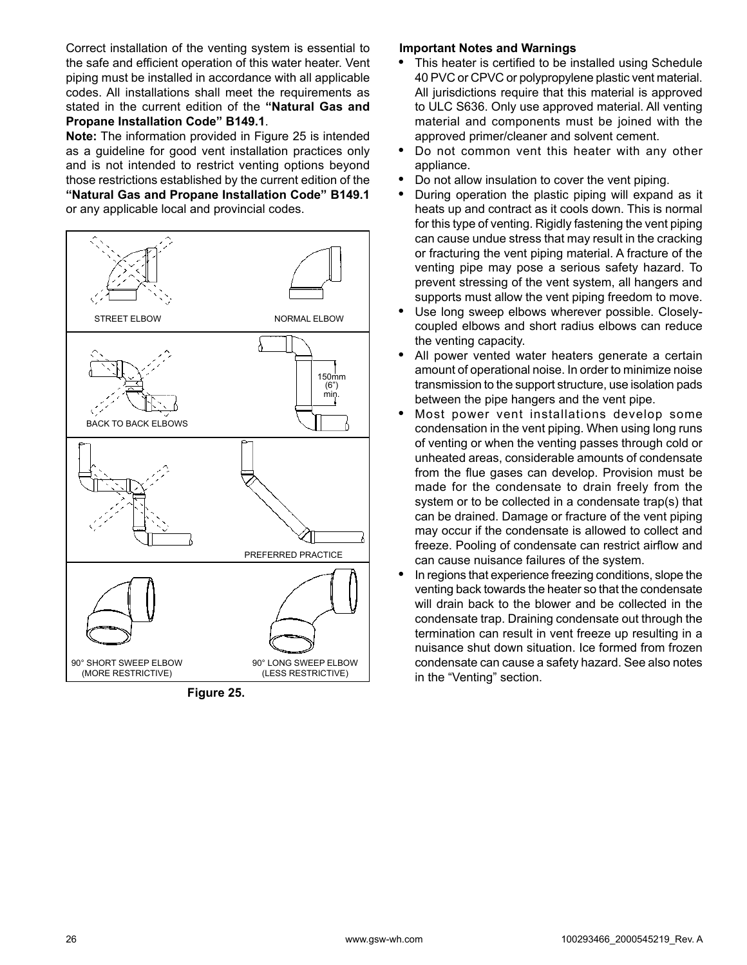Correct installation of the venting system is essential to the safe and efficient operation of this water heater. Vent piping must be installed in accordance with all applicable codes. All installations shall meet the requirements as stated in the current edition of the **"Natural Gas and Propane Installation Code" B149.1** .

**Note:** The information provided in Figure 25 is intended as a guideline for good vent installation practices only and is not intended to restrict venting options beyond those restrictions established by the current edition of the **"Natural Gas and Propane Installation Code" B149.1**  or any applicable local and provincial codes.



**Figure 25.** 

#### **Important Notes and Warnings**

- This heater is certified to be installed using Schedule 40 PVC or CPVC or polypropylene plastic vent material. All jurisdictions require that this material is approved to ULC S636. Only use approved material. All venting material and components must be joined with the approved primer/cleaner and solvent cement.
- Do not common vent this heater with any other appliance.
- Do not allow insulation to cover the vent piping.
- During operation the plastic piping will expand as it heats up and contract as it cools down. This is normal for this type of venting. Rigidly fastening the vent piping can cause undue stress that may result in the cracking or fracturing the vent piping material. A fracture of the venting pipe may pose a serious safety hazard. To prevent stressing of the vent system, all hangers and supports must allow the vent piping freedom to move.
- Use long sweep elbows wherever possible. Closelycoupled elbows and short radius elbows can reduce the venting capacity.
- All power vented water heaters generate a certain amount of operational noise. In order to minimize noise transmission to the support structure, use isolation pads between the pipe hangers and the vent pipe.
- Most power vent installations develop some condensation in the vent piping. When using long runs of venting or when the venting passes through cold or unheated areas, considerable amounts of condensate from the flue gases can develop. Provision must be made for the condensate to drain freely from the system or to be collected in a condensate trap(s) that can be drained. Damage or fracture of the vent piping may occur if the condensate is allowed to collect and freeze. Pooling of condensate can restrict airflow and can cause nuisance failures of the system.
- In regions that experience freezing conditions, slope the venting back towards the heater so that the condensate will drain back to the blower and be collected in the condensate trap. Draining condensate out through the termination can result in vent freeze up resulting in a nuisance shut down situation. Ice formed from frozen condensate can cause a safety hazard. See also notes in the "Venting" section.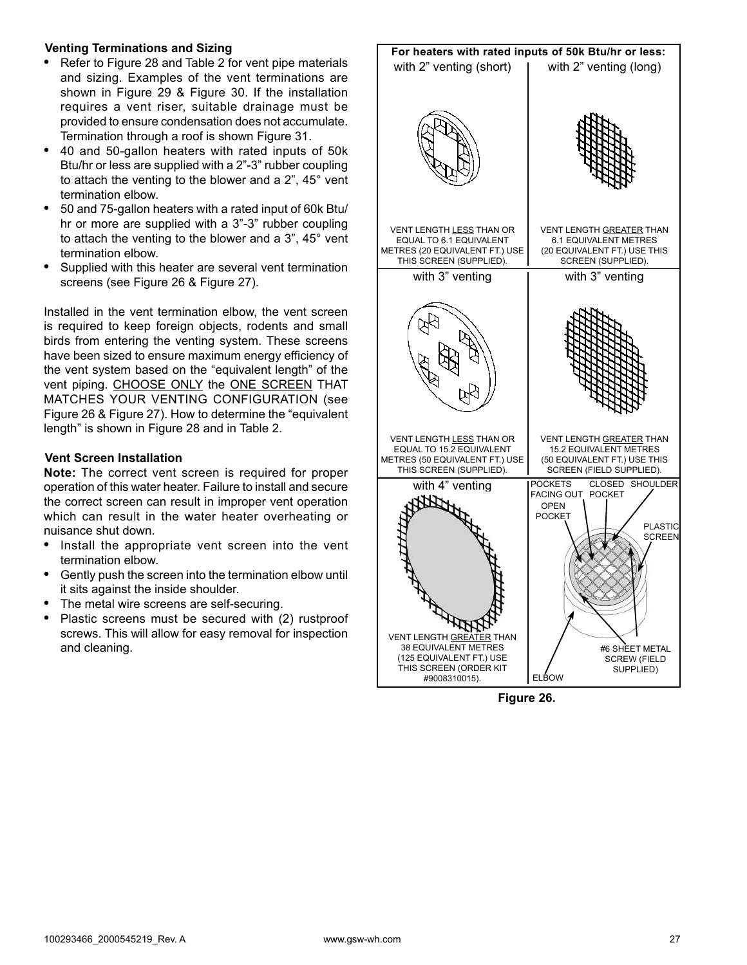#### **Venting Terminations and Sizing**

- Refer to Figure 28 and Table 2 for vent pipe materials and sizing. Examples of the vent terminations are shown in Figure 29 & Figure 30. If the installation requires a vent riser, suitable drainage must be provided to ensure condensation does not accumulate. Termination through a roof is shown Figure 31.
- 40 and 50-gallon heaters with rated inputs of 50k Btu/hr or less are supplied with a 2"-3" rubber coupling to attach the venting to the blower and a 2", 45° vent termination elbow.
- 50 and 75-gallon heaters with a rated input of 60k Btu/ hr or more are supplied with a 3"-3" rubber coupling to attach the venting to the blower and a 3", 45° vent termination elbow.
- Supplied with this heater are several vent termination screens (see Figure 26 & Figure 27).

Installed in the vent termination elbow, the vent screen is required to keep foreign objects, rodents and small birds from entering the venting system. These screens have been sized to ensure maximum energy efficiency of the vent system based on the "equivalent length" of the vent piping. CHOOSE ONLY the ONE SCREEN THAT MATCHES YOUR VENTING CONFIGURATION (see Figure 26 & Figure 27). How to determine the "equivalent length" is shown in Figure 28 and in Table 2.

#### **Vent Screen Installation**

**Note:** The correct vent screen is required for proper operation of this water heater. Failure to install and secure the correct screen can result in improper vent operation which can result in the water heater overheating or nuisance shut down.

- Install the appropriate vent screen into the vent termination elbow.
- Gently push the screen into the termination elbow until it sits against the inside shoulder.
- The metal wire screens are self-securing.
- Plastic screens must be secured with (2) rustproof screws. This will allow for easy removal for inspection and cleaning.



**Figure 26.**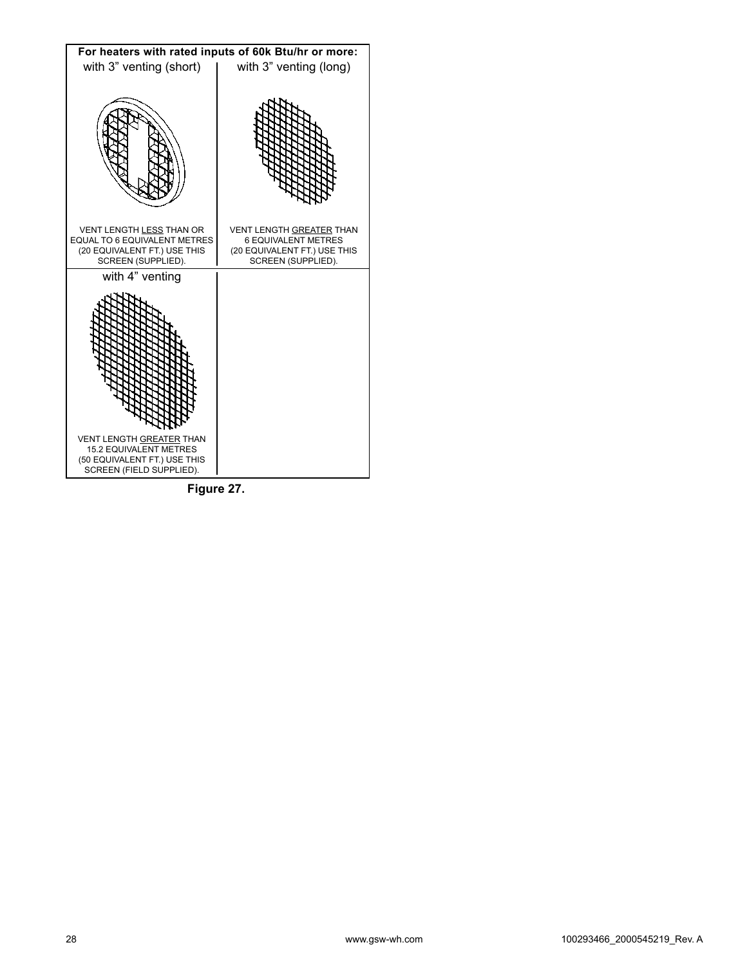

**Figure 27.**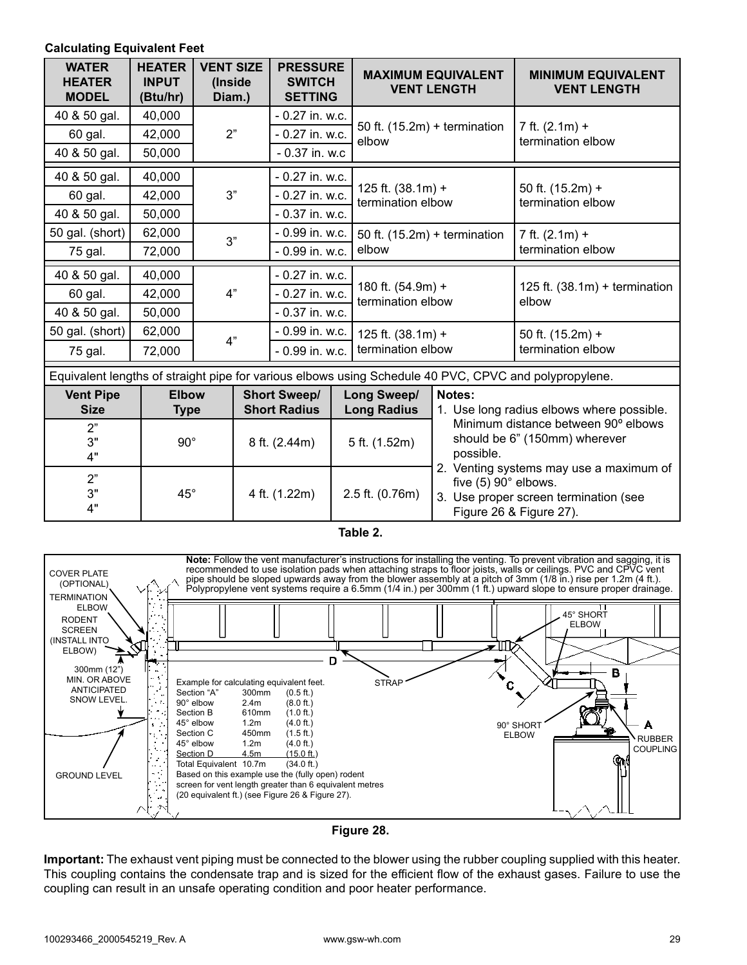#### **Calculating Equivalent Feet**

| <b>WATER</b><br><b>HEATER</b><br><b>MODEL</b> | <b>HEATER</b><br><b>INPUT</b><br>(Btu/hr) | <b>VENT SIZE</b><br>(Inside<br>Diam.) |                 | <b>PRESSURE</b><br><b>SWITCH</b><br><b>SETTING</b> |  | <b>MAXIMUM EQUIVALENT</b><br><b>VENT LENGTH</b> |  |                                  | <b>MINIMUM EQUIVALENT</b><br><b>VENT LENGTH</b>                                                             |
|-----------------------------------------------|-------------------------------------------|---------------------------------------|-----------------|----------------------------------------------------|--|-------------------------------------------------|--|----------------------------------|-------------------------------------------------------------------------------------------------------------|
| 40 & 50 gal.                                  | 40,000                                    |                                       | - 0.27 in. w.c. |                                                    |  | 50 ft. $(15.2m)$ + termination                  |  |                                  | 7 ft. $(2.1m) +$                                                                                            |
| 60 gal.                                       | 42,000                                    | 2"                                    |                 | - 0.27 in. w.c.                                    |  | elbow                                           |  |                                  | termination elbow                                                                                           |
| 40 & 50 gal.                                  | 50,000                                    |                                       |                 | - 0.37 in. w.c                                     |  |                                                 |  |                                  |                                                                                                             |
| 40 & 50 gal.                                  | 40,000                                    |                                       |                 | - 0.27 in. w.c.                                    |  |                                                 |  |                                  |                                                                                                             |
| 60 gal.                                       | 42,000                                    | 3"                                    |                 | - 0.27 in. w.c.                                    |  | 125 ft. (38.1m) +<br>termination elbow          |  |                                  | 50 ft. (15.2m) +<br>termination elbow                                                                       |
| 40 & 50 gal.                                  | 50,000                                    |                                       |                 | - 0.37 in. w.c.                                    |  |                                                 |  |                                  |                                                                                                             |
| 50 gal. (short)                               | 62,000                                    | 3"                                    |                 | - 0.99 in. w.c.                                    |  | 50 ft. $(15.2m)$ + termination                  |  |                                  | 7 ft. $(2.1m) +$                                                                                            |
| 75 gal.                                       | 72,000                                    |                                       |                 | - 0.99 in. w.c.                                    |  | elbow                                           |  |                                  | termination elbow                                                                                           |
| 40 & 50 gal.                                  | 40,000                                    |                                       |                 | - 0.27 in. w.c.                                    |  |                                                 |  |                                  |                                                                                                             |
| 60 gal.                                       | 42,000                                    | 4"                                    |                 | - 0.27 in. w.c.                                    |  | 180 ft. (54.9m) +<br>termination elbow          |  |                                  | 125 ft. (38.1m) + termination<br>elbow                                                                      |
| 40 & 50 gal.                                  | 50,000                                    |                                       |                 | - 0.37 in. w.c.                                    |  |                                                 |  |                                  |                                                                                                             |
| 50 gal. (short)                               | 62,000                                    | 4"                                    |                 | - 0.99 in. w.c.                                    |  | 125 ft. (38.1m) +                               |  |                                  | 50 ft. (15.2m) +                                                                                            |
| 75 gal.                                       | 72,000                                    |                                       |                 | - 0.99 in. w.c.                                    |  | termination elbow                               |  |                                  | termination elbow                                                                                           |
|                                               |                                           |                                       |                 |                                                    |  |                                                 |  |                                  | Equivalent lengths of straight pipe for various elbows using Schedule 40 PVC, CPVC and polypropylene.       |
| <b>Vent Pipe</b><br><b>Size</b>               | <b>Elbow</b><br><b>Type</b>               |                                       |                 | <b>Short Sweep/</b><br><b>Short Radius</b>         |  | Long Sweep/<br><b>Long Radius</b>               |  | Notes:                           | 1. Use long radius elbows where possible.                                                                   |
| 2"<br>3"<br>4"                                | $90^{\circ}$                              |                                       |                 | 8 ft. (2.44m)                                      |  | 5 ft. (1.52m)                                   |  | possible.                        | Minimum distance between 90° elbows<br>should be 6" (150mm) wherever                                        |
| 2"<br>3"<br>4"                                | $45^{\circ}$                              |                                       |                 | 4 ft. (1.22m)                                      |  | 2.5 ft. (0.76m)                                 |  | five $(5)$ 90 $^{\circ}$ elbows. | 2. Venting systems may use a maximum of<br>3. Use proper screen termination (see<br>Figure 26 & Figure 27). |







**Important:** The exhaust vent piping must be connected to the blower using the rubber coupling supplied with this heater. This coupling contains the condensate trap and is sized for the efficient flow of the exhaust gases. Failure to use the coupling can result in an unsafe operating condition and poor heater performance.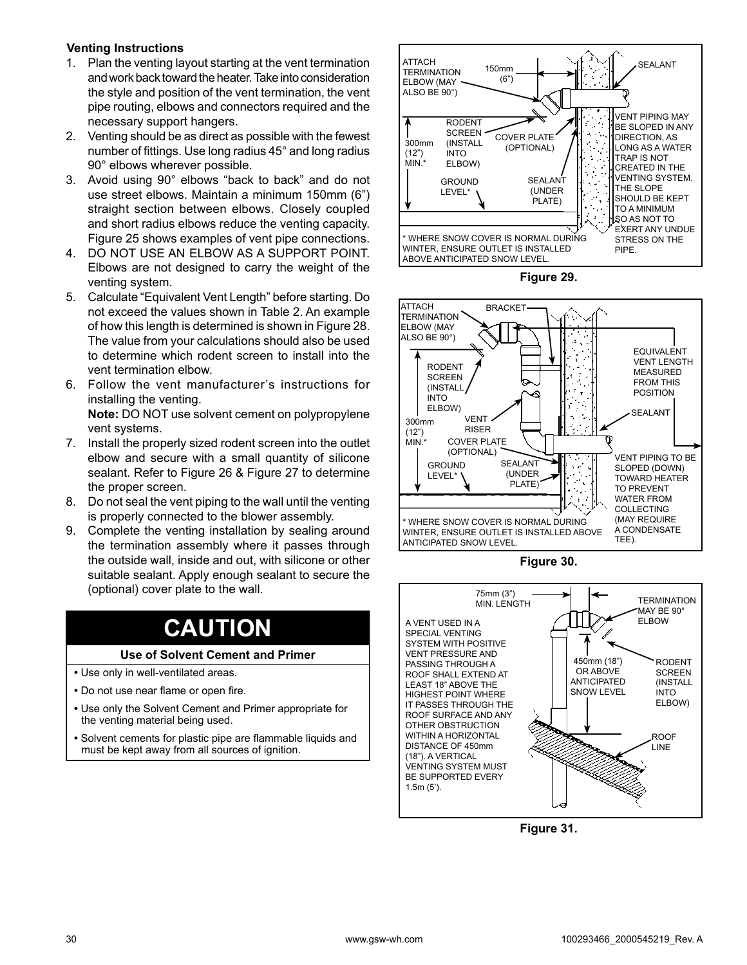#### **Venting Instructions**

- 1. Plan the venting layout starting at the vent termination and work back toward the heater. Take into consideration the style and position of the vent termination, the vent pipe routing, elbows and connectors required and the necessary support hangers.
- 2. Venting should be as direct as possible with the fewest number of fittings. Use long radius 45° and long radius 90° elbows wherever possible.
- 3. Avoid using 90° elbows "back to back" and do not use street elbows. Maintain a minimum 150mm (6") straight section between elbows. Closely coupled and short radius elbows reduce the venting capacity. Figure 25 shows examples of vent pipe connections.
- 4. DO NOT USE AN ELBOW AS A SUPPORT POINT. Elbows are not designed to carry the weight of the venting system.
- 5. Calculate "Equivalent Vent Length" before starting. Do not exceed the values shown in Table 2. An example of how this length is determined is shown in Figure 28. The value from your calculations should also be used to determine which rodent screen to install into the vent termination elbow.
- 6. Follow the vent manufacturer's instructions for installing the venting.

**Note:** DO NOT use solvent cement on polypropylene vent systems.

- 7. Install the properly sized rodent screen into the outlet elbow and secure with a small quantity of silicone sealant. Refer to Figure 26 & Figure 27 to determine the proper screen.
- 8. Do not seal the vent piping to the wall until the venting is properly connected to the blower assembly.
- 9. Complete the venting installation by sealing around the termination assembly where it passes through the outside wall, inside and out, with silicone or other suitable sealant. Apply enough sealant to secure the (optional) cover plate to the wall.

### **CAUTION**

#### **Use of Solvent Cement and Primer**

- Use only in well-ventilated areas.
- Do not use near flame or open fire.
- Use only the Solvent Cement and Primer appropriate for the venting material being used.
- Solvent cements for plastic pipe are flammable liquids and must be kept away from all sources of ignition.



**Figure 29.** 







**Figure 31.**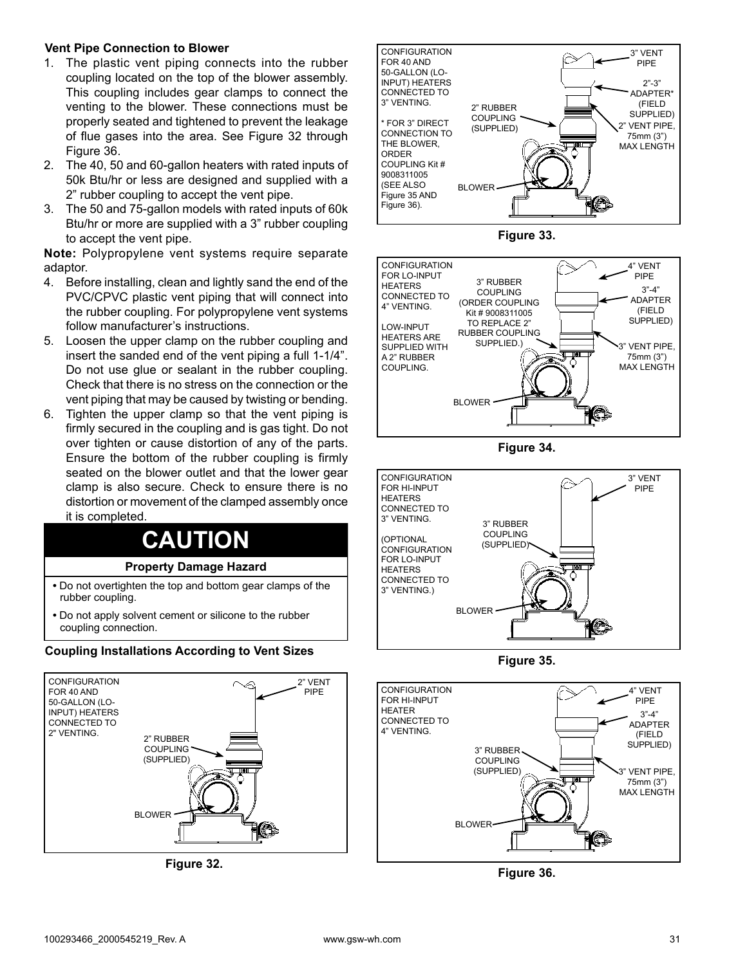#### **Vent Pipe Connection to Blower**

- 1. The plastic vent piping connects into the rubber coupling located on the top of the blower assembly. This coupling includes gear clamps to connect the venting to the blower. These connections must be properly seated and tightened to prevent the leakage of flue gases into the area. See Figure 32 through Figure 36.
- 2. The 40, 50 and 60-gallon heaters with rated inputs of 50k Btu/hr or less are designed and supplied with a 2" rubber coupling to accept the vent pipe.
- 3. The 50 and 75-gallon models with rated inputs of 60k Btu/hr or more are supplied with a 3" rubber coupling to accept the vent pipe.

**Note:** Polypropylene vent systems require separate adaptor.

- 4. Before installing, clean and lightly sand the end of the PVC/CPVC plastic vent piping that will connect into the rubber coupling. For polypropylene vent systems follow manufacturer's instructions.
- 5. Loosen the upper clamp on the rubber coupling and insert the sanded end of the vent piping a full 1-1/4". Do not use glue or sealant in the rubber coupling. Check that there is no stress on the connection or the vent piping that may be caused by twisting or bending.
- 6. Tighten the upper clamp so that the vent piping is firmly secured in the coupling and is gas tight. Do not over tighten or cause distortion of any of the parts. Ensure the bottom of the rubber coupling is firmly seated on the blower outlet and that the lower gear clamp is also secure. Check to ensure there is no distortion or movement of the clamped assembly once it is completed.

# **CAUTION**

#### **Property Damage Hazard**

- Do not overtighten the top and bottom gear clamps of the rubber coupling.
- Do not apply solvent cement or silicone to the rubber coupling connection.

#### **Coupling Installations According to Vent Sizes**







**Figure 33.**



**Figure 34.**







**Figure 36.**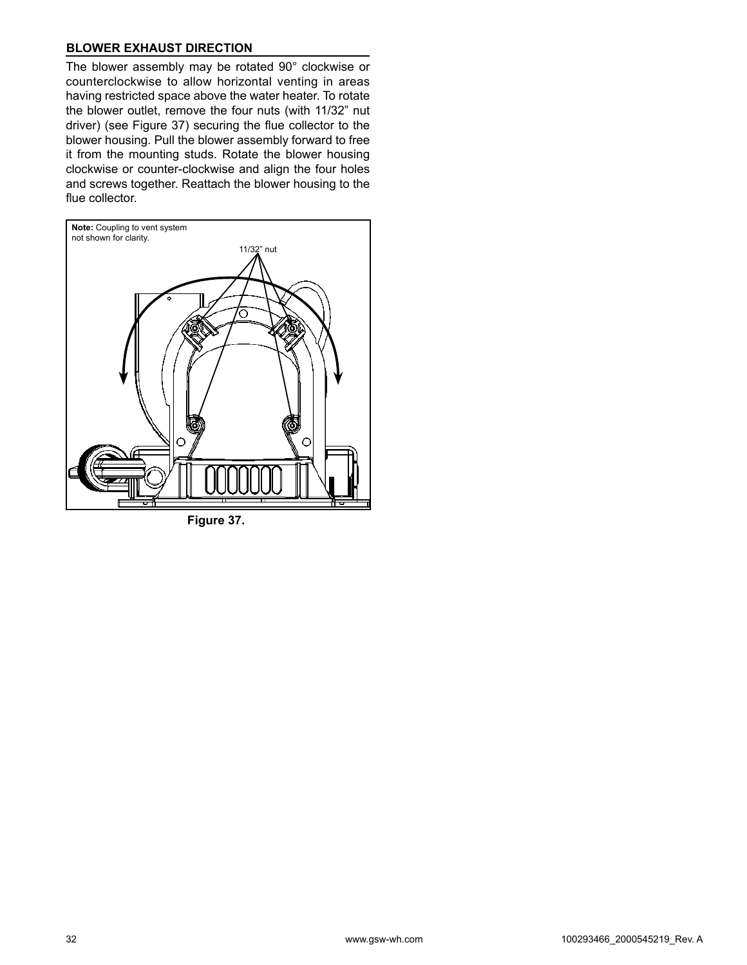#### **BLOWER EXHAUST DIRECTION**

The blower assembly may be rotated 90° clockwise or counterclockwise to allow horizontal venting in areas having restricted space above the water heater. To rotate the blower outlet, remove the four nuts (with 11/32" nut driver) (see Figure 37) securing the flue collector to the blower housing. Pull the blower assembly forward to free it from the mounting studs. Rotate the blower housing clockwise or counter-clockwise and align the four holes and screws together. Reattach the blower housing to the flue collector.



**Figure 37.**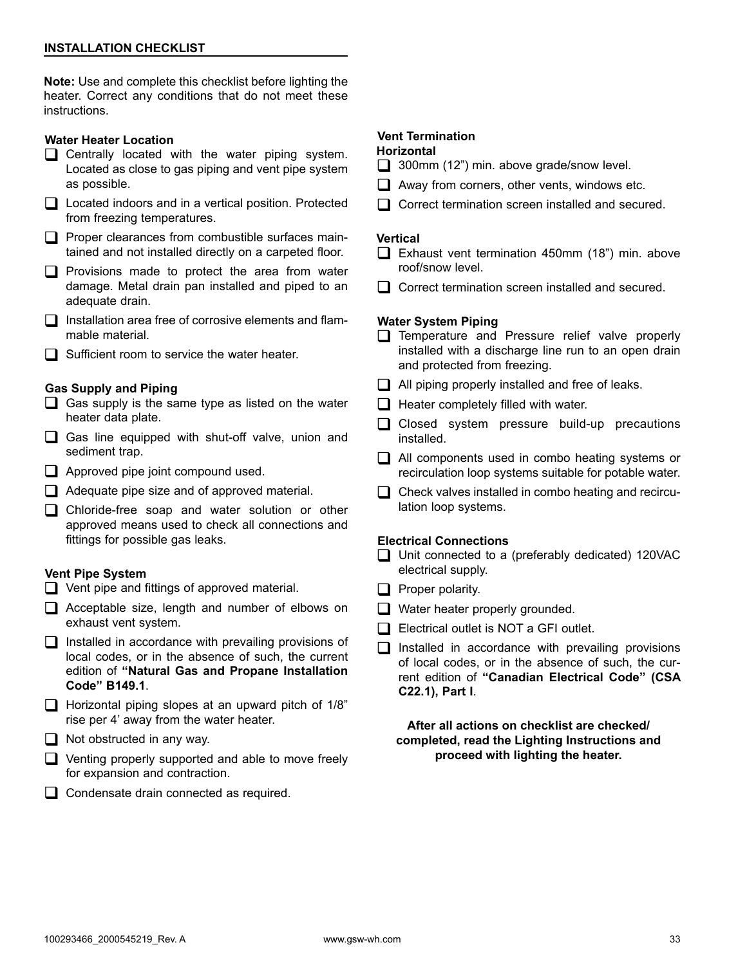**Note:** Use and complete this checklist before lighting the heater. Correct any conditions that do not meet these instructions.

#### **Water Heater Location**

- Centrally located with the water piping system. Located as close to gas piping and vent pipe system as possible.
- □ Located indoors and in a vertical position. Protected from freezing temperatures.
- $\Box$  Proper clearances from combustible surfaces maintained and not installed directly on a carpeted floor.
- $\Box$  Provisions made to protect the area from water damage. Metal drain pan installed and piped to an adequate drain.
- $\Box$  Installation area free of corrosive elements and flammable material.
- $\Box$  Sufficient room to service the water heater.

#### **Gas Supply and Piping**

- $\Box$  Gas supply is the same type as listed on the water heater data plate.
- $\Box$  Gas line equipped with shut-off valve, union and sediment trap.
- $\Box$  Approved pipe joint compound used.
- $\Box$  Adequate pipe size and of approved material.
- □ Chloride-free soap and water solution or other approved means used to check all connections and fittings for possible gas leaks.

#### **Vent Pipe System**

- $\Box$  Vent pipe and fittings of approved material.
- $\Box$  Acceptable size, length and number of elbows on exhaust vent system.
- $\Box$  Installed in accordance with prevailing provisions of local codes, or in the absence of such, the current edition of **"Natural Gas and Propane Installation Code" B149.1** .
- $\Box$  Horizontal piping slopes at an upward pitch of 1/8" rise per 4' away from the water heater.
- $\Box$  Not obstructed in any way.
- $\Box$  Venting properly supported and able to move freely for expansion and contraction.
- Condensate drain connected as required.

#### **Vent Termination**

#### **Horizontal**

- 300mm (12") min. above grade/snow level.
- $\Box$  Away from corners, other vents, windows etc.
- $\Box$  Correct termination screen installed and secured.

#### **Vertical**

- Exhaust vent termination 450mm (18") min. above roof/snow level.
- $\Box$  Correct termination screen installed and secured.

#### **Water System Piping**

- Temperature and Pressure relief valve properly installed with a discharge line run to an open drain and protected from freezing.
- $\Box$  All piping properly installed and free of leaks.
- $\Box$  Heater completely filled with water.
- $\Box$  Closed system pressure build-up precautions installed.
- **■** All components used in combo heating systems or recirculation loop systems suitable for potable water.
- $\Box$  Check valves installed in combo heating and recirculation loop systems.

#### **Electrical Connections**

- □ Unit connected to a (preferably dedicated) 120VAC electrical supply.
- $\Box$  Proper polarity.
- Water heater properly grounded.
- $\Box$  Electrical outlet is NOT a GFI outlet.
- $\Box$  Installed in accordance with prevailing provisions of local codes, or in the absence of such, the current edition of **"Canadian Electrical Code" (CSA C22.1), Part I** .

#### **After all actions on checklist are checked/ completed, read the Lighting Instructions and proceed with lighting the heater.**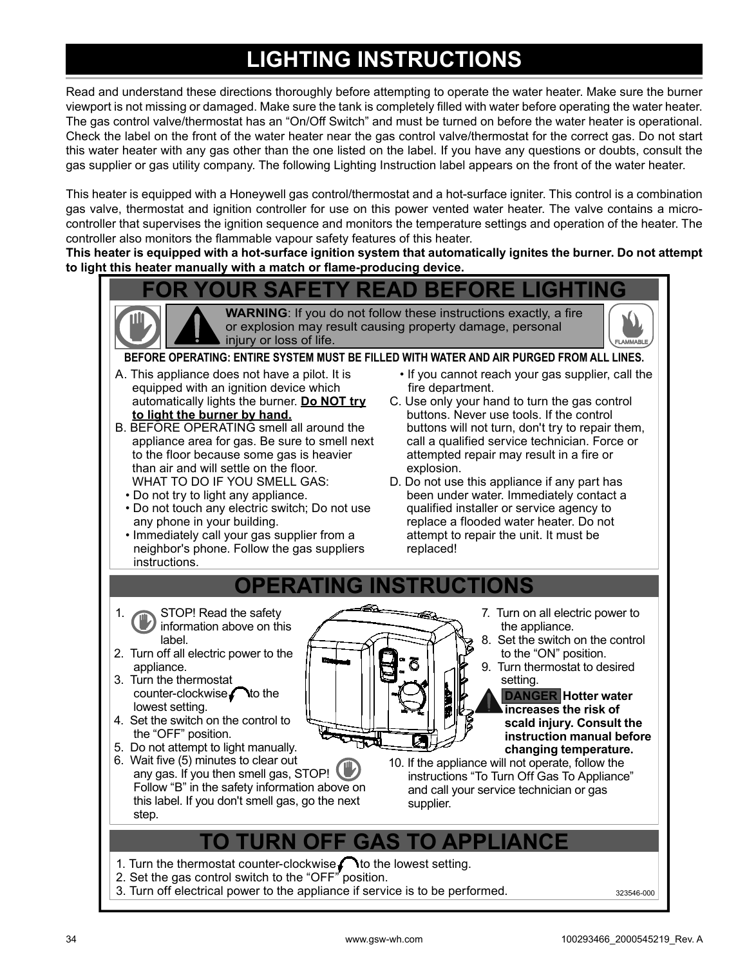# **LIGHTING INSTRUCTIONS**

Read and understand these directions thoroughly before attempting to operate the water heater. Make sure the burner viewport is not missing or damaged. Make sure the tank is completely filled with water before operating the water heater. The gas control valve/thermostat has an "On/Off Switch" and must be turned on before the water heater is operational. Check the label on the front of the water heater near the gas control valve/thermostat for the correct gas. Do not start this water heater with any gas other than the one listed on the label. If you have any questions or doubts, consult the gas supplier or gas utility company. The following Lighting Instruction label appears on the front of the water heater.

This heater is equipped with a Honeywell gas control/thermostat and a hot-surface igniter. This control is a combination gas valve, thermostat and ignition controller for use on this power vented water heater. The valve contains a microcontroller that supervises the ignition sequence and monitors the temperature settings and operation of the heater. The controller also monitors the flammable vapoursafety features of this heater.

**This heater is equipped with a hot-surface ignition system that automatically ignites the burner. Do not attempt to light this heater manually with a match or flame-producing device.**

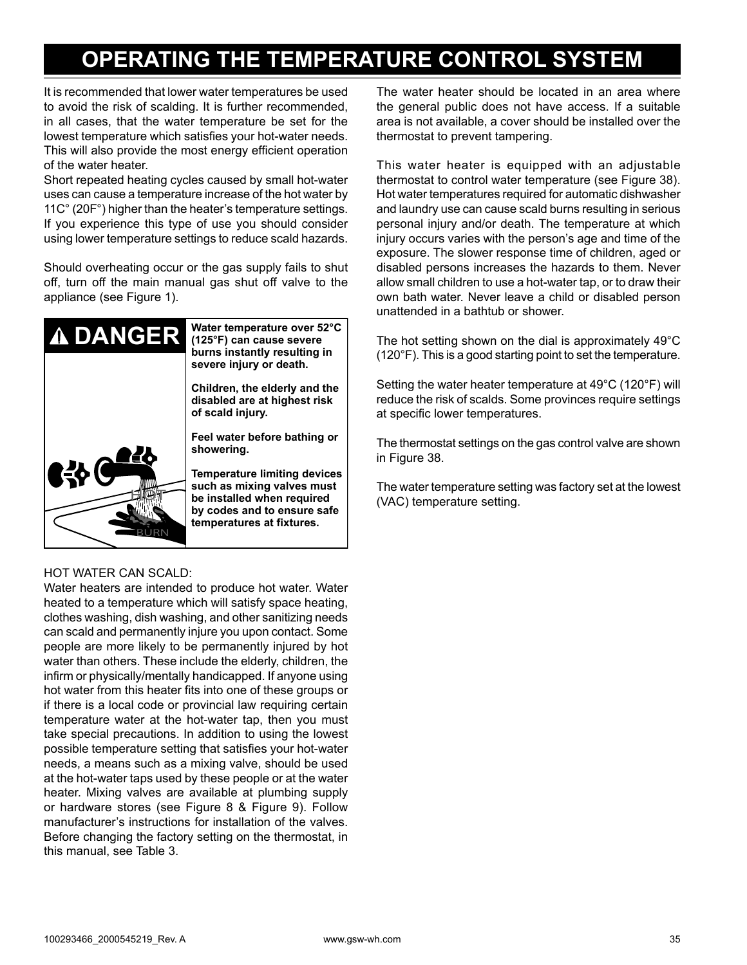### **OPERATING THE TEMPERATURE CONTROL SYSTEM**

It is recommended that lower water temperatures be used to avoid the risk of scalding. It is further recommended, in all cases, that the water temperature be set for the lowest temperature which satisfies your hot-water needs. This will also provide the most energy efficient operation of the water heater.

Short repeated heating cycles caused by small hot-water uses can cause a temperature increase of the hot water by 11C° (20F°) higher than the heater's temperature settings. If you experience this type of use you should consider using lower temperature settings to reduce scald hazards.

Should overheating occur or the gas supply fails to shut off, turn off the main manual gas shut off valve to the appliance (see Figure 1).



#### HOT WATER CAN SCALD:

Water heaters are intended to produce hot water. Water heated to a temperature which will satisfy space heating, clothes washing, dish washing, and other sanitizing needs can scald and permanently injure you upon contact. Some people are more likely to be permanently injured by hot water than others. These include the elderly, children, the infirm or physically/mentally handicapped. If anyone using hot water from this heater fits into one of these groups or if there is a local code or provincial law requiring certain temperature water at the hot-water tap, then you must take special precautions. In addition to using the lowest possible temperature setting that satisfies your hot-water needs, a means such as a mixing valve, should be used at the hot-water taps used by these people or at the water heater. Mixing valves are available at plumbing supply or hardware stores (see Figure 8 & Figure 9). Follow manufacturer's instructions for installation of the valves. Before changing the factory setting on the thermostat, in this manual, see Table 3.

The water heater should be located in an area where the general public does not have access. If a suitable area is not available, a cover should be installed over the thermostat to prevent tampering.

This water heater is equipped with an adjustable thermostat to control water temperature (see Figure 38). Hot water temperatures required for automatic dishwasher and laundry use can cause scald burns resulting in serious personal injury and/or death. The temperature at which injury occurs varies with the person's age and time of the exposure. The slower response time of children, aged or disabled persons increases the hazards to them. Never allow small children to use a hot-water tap, or to draw their own bath water. Never leave a child or disabled person unattended in a bathtub or shower.

The hot setting shown on the dial is approximately 49°C (120°F). This is a good starting point to set the temperature.

Setting the water heater temperature at 49°C (120°F) will reduce the risk of scalds. Some provinces require settings at specific lower temperatures.

The thermostat settings on the gas control valve are shown in Figure 38.

The water temperature setting was factory set at the lowest (VAC) temperature setting.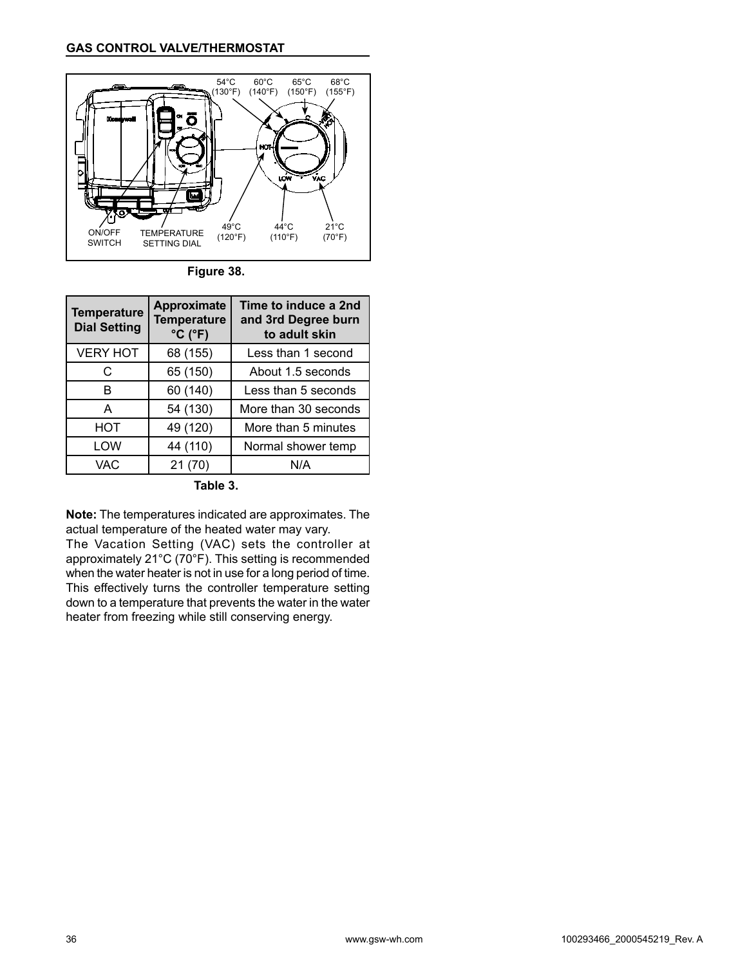

**Figure 38.** 

| <b>Temperature</b><br><b>Dial Setting</b> | <b>Approximate</b><br><b>Temperature</b><br>$^{\circ}$ C ( $^{\circ}$ F) | Time to induce a 2nd<br>and 3rd Degree burn<br>to adult skin |
|-------------------------------------------|--------------------------------------------------------------------------|--------------------------------------------------------------|
| <b>VERY HOT</b>                           | 68 (155)                                                                 | Less than 1 second                                           |
| C                                         | 65 (150)                                                                 | About 1.5 seconds                                            |
| в                                         | 60 (140)                                                                 | Less than 5 seconds                                          |
| A                                         | 54 (130)                                                                 | More than 30 seconds                                         |
| <b>HOT</b>                                | 49 (120)                                                                 | More than 5 minutes                                          |
| LOW                                       | 44 (110)                                                                 | Normal shower temp                                           |
| <b>VAC</b>                                | 21(70)                                                                   | N/A                                                          |

**Table 3.** 

**Note:** The temperatures indicated are approximates. The actual temperature of the heated water may vary. The Vacation Setting (VAC) sets the controller at approximately 21°C (70°F). This setting is recommended when the water heater is not in use for a long period of time. This effectively turns the controller temperature setting down to a temperature that prevents the water in the water heater from freezing while still conserving energy.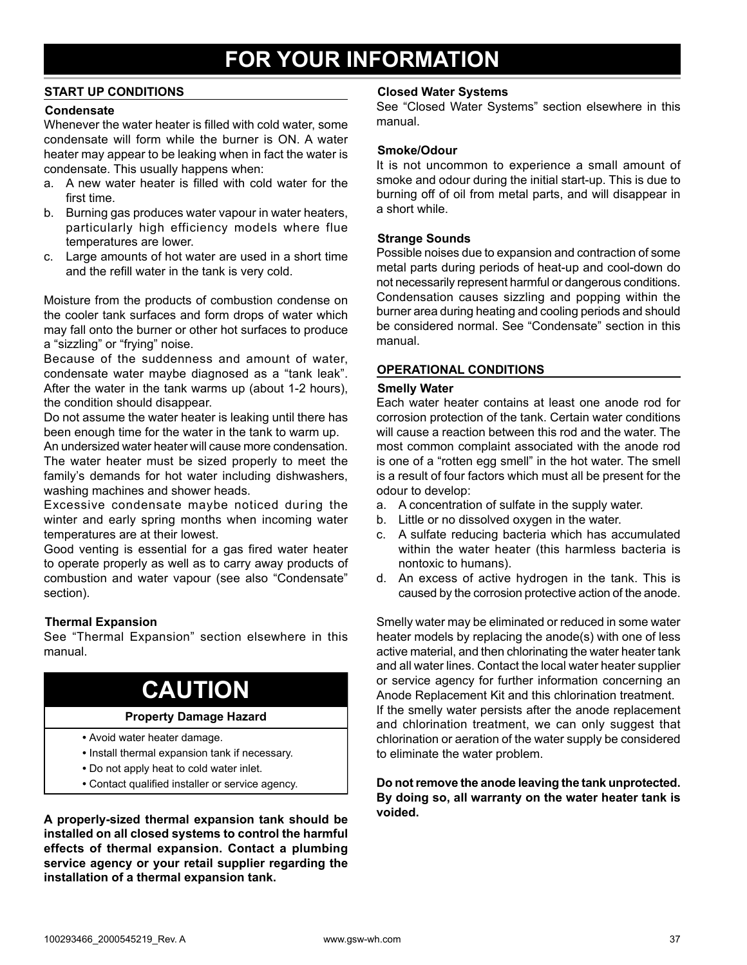#### **START UP CONDITIONS**

#### **Condensate**

Whenever the water heater is filled with cold water, some condensate will form while the burner is ON. A water heater may appear to be leaking when in fact the water is condensate. This usually happens when:

- a. A new water heater is filled with cold water for the first time.
- b. Burning gas produces water vapour in water heaters, particularly high efficiency models where flue temperatures are lower.
- c. Large amounts of hot water are used in a short time and the refill water in the tank is very cold.

Moisture from the products of combustion condense on the cooler tank surfaces and form drops of water which may fall onto the burner or other hot surfaces to produce a "sizzling" or "frying" noise.

Because of the suddenness and amount of water, condensate water maybe diagnosed as a "tank leak". After the water in the tank warms up (about 1-2 hours), the condition should disappear.

Do not assume the water heater is leaking until there has been enough time for the water in the tank to warm up.

An undersized water heater will cause more condensation. The water heater must be sized properly to meet the family's demands for hot water including dishwashers, washing machines and shower heads.

Excessive condensate maybe noticed during the winter and early spring months when incoming water temperatures are at their lowest.

Good venting is essential for a gas fired water heater to operate properly as well as to carry away products of combustion and water vapour (see also "Condensate" section).

#### **Thermal Expansion**

See "Thermal Expansion" section elsewhere in this manual.

# **CAUTION**

#### **Property Damage Hazard**

- Avoid water heater damage.
- Install thermal expansion tank if necessary.
- Do not apply heat to cold water inlet.
- Contact qualified installer or service agency.

**A properly-sized thermal expansion tank should be installed on all closed systems to control the harmful effects of thermal expansion. Contact a plumbing service agency or your retail supplier regarding the installation of a thermal expansion tank.**

#### **Closed Water Systems**

See "Closed Water Systems" section elsewhere in this manual.

#### **Smoke/Odour**

It is not uncommon to experience a small amount of smoke and odour during the initial start-up. This is due to burning off of oil from metal parts, and will disappear in a short while.

#### **Strange Sounds**

Possible noises due to expansion and contraction of some metal parts during periods of heat-up and cool-down do not necessarily represent harmful or dangerous conditions. Condensation causes sizzling and popping within the burner area during heating and cooling periods and should be considered normal. See "Condensate" section in this manual.

#### **OPERATIONAL CONDITIONS**

#### **Smelly Water**

Each water heater contains at least one anode rod for corrosion protection of the tank. Certain water conditions will cause a reaction between this rod and the water. The most common complaint associated with the anode rod is one of a "rotten egg smell" in the hot water. The smell is a result of four factors which must all be present for the odour to develop:

- a. A concentration of sulfate in the supply water.
- b. Little or no dissolved oxygen in the water.
- c. A sulfate reducing bacteria which has accumulated within the water heater (this harmless bacteria is nontoxic to humans).
- d. An excess of active hydrogen in the tank. This is caused by the corrosion protective action of the anode.

Smelly water may be eliminated or reduced in some water heater models by replacing the anode(s) with one of less active material, and then chlorinating the water heater tank and all water lines. Contact the local water heater supplier or service agency for further information concerning an Anode Replacement Kit and this chlorination treatment. If the smelly water persists after the anode replacement and chlorination treatment, we can only suggest that chlorination or aeration of the water supply be considered to eliminate the water problem.

**Do not remove the anode leaving the tank unprotected. By doing so, all warranty on the water heater tank is voided.**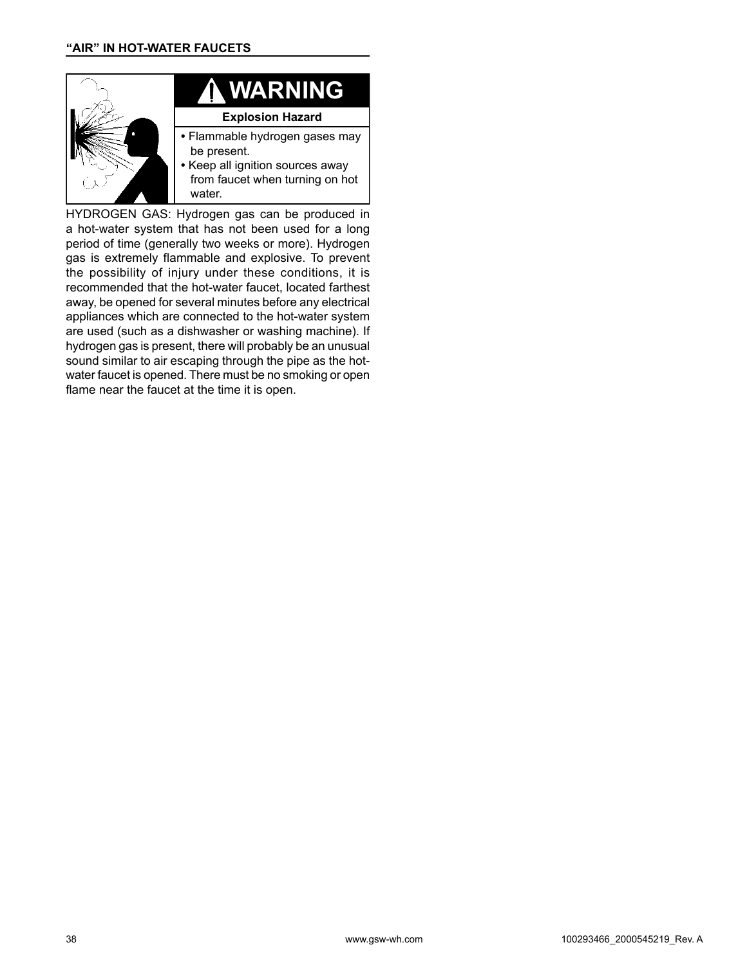

HYDROGEN GAS: Hydrogen gas can be produced in a hot-water system that has not been used for a long period of time (generally two weeks or more). Hydrogen gas is extremely flammable and explosive. To prevent the possibility of injury under these conditions, it is recommended that the hot-water faucet, located farthest away, be opened for several minutes before any electrical appliances which are connected to the hot-water system are used (such as a dishwasher or washing machine). If hydrogen gas is present, there will probably be an unusual sound similar to air escaping through the pipe as the hotwater faucet is opened. There must be no smoking or open flame near the faucet at the time it is open.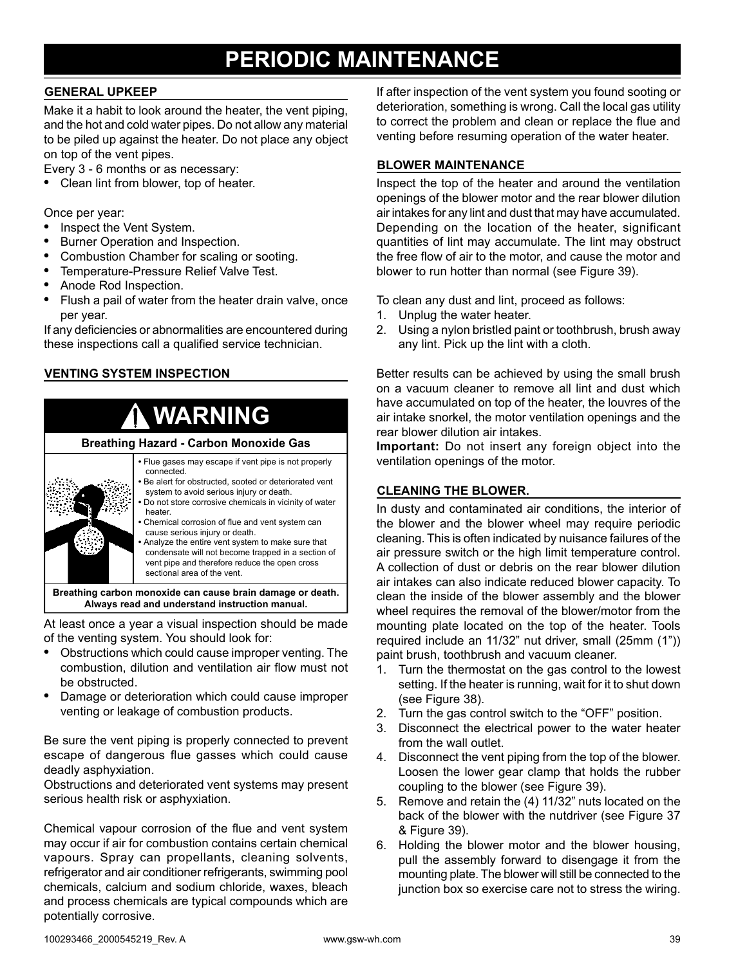### **PERIODIC MAINTENANCE**

#### **GENERAL UPKEEP**

Make it a habit to look around the heater, the vent piping, and the hot and cold water pipes. Do not allow any material to be piled up against the heater. Do not place any object on top of the vent pipes.

Every 3 - 6 months or as necessary:

**•** Clean lint from blower, top of heater.

Once per year:

- Inspect the Vent System.
- Burner Operation and Inspection.
- Combustion Chamber for scaling or sooting.
- Temperature-Pressure Relief Valve Test.
- Anode Rod Inspection.
- Flush a pail of water from the heater drain valve, once per year.

If any deficiencies or abnormalities are encountered during these inspections call a qualified service technician.

#### **VENTING SYSTEM INSPECTION**



At least once a year a visual inspection should be made

of the venting system. You should look for:

- Obstructions which could cause improper venting. The combustion, dilution and ventilation air flow must not be obstructed.
- Damage or deterioration which could cause improper venting or leakage of combustion products.

Be sure the vent piping is properly connected to prevent escape of dangerous flue gasses which could cause deadly asphyxiation.

Obstructions and deteriorated vent systems may present serious health risk or asphyxiation.

Chemical vapour corrosion of the flue and vent system may occur if air for combustion contains certain chemical vapours. Spray can propellants, cleaning solvents, refrigerator and air conditioner refrigerants, swimming pool chemicals, calcium and sodium chloride, waxes, bleach and process chemicals are typical compounds which are potentially corrosive.

If after inspection of the vent system you found sooting or deterioration, something is wrong. Call the local gas utility to correct the problem and clean or replace the flue and venting before resuming operation of the water heater.

#### **BLOWER MAINTENANCE**

Inspect the top of the heater and around the ventilation openings of the blower motor and the rear blower dilution air intakes for any lint and dust that may have accumulated. Depending on the location of the heater, significant quantities of lint may accumulate. The lint may obstruct the free flow of air to the motor, and cause the motor and blower to run hotter than normal (see Figure 39).

To clean any dust and lint, proceed as follows:

- 1. Unplug the water heater.
- 2. Using a nylon bristled paint or toothbrush, brush away any lint. Pick up the lint with a cloth.

Better results can be achieved by using the small brush on a vacuum cleaner to remove all lint and dust which have accumulated on top of the heater, the louvres of the air intake snorkel, the motor ventilation openings and the rear blower dilution air intakes.

**Important:** Do not insert any foreign object into the ventilation openings of the motor.

#### **CLEANING THE BLOWER.**

In dusty and contaminated air conditions, the interior of the blower and the blower wheel may require periodic cleaning. This is often indicated by nuisance failures of the air pressure switch or the high limit temperature control. A collection of dust or debris on the rear blower dilution air intakes can also indicate reduced blower capacity. To clean the inside of the blower assembly and the blower wheel requires the removal of the blower/motor from the mounting plate located on the top of the heater. Tools required include an 11/32" nut driver, small (25mm (1")) paint brush, toothbrush and vacuum cleaner.

- 1. Turn the thermostat on the gas control to the lowest setting. If the heater is running, wait for it to shut down (see Figure 38).
- 2. Turn the gas control switch to the "OFF" position.
- 3. Disconnect the electrical power to the water heater from the wall outlet.
- 4. Disconnect the vent piping from the top of the blower. Loosen the lower gear clamp that holds the rubber coupling to the blower (see Figure 39).
- 5. Remove and retain the (4) 11/32" nuts located on the back of the blower with the nutdriver (see Figure 37 & Figure 39).
- 6. Holding the blower motor and the blower housing, pull the assembly forward to disengage it from the mounting plate. The blower will still be connected to the junction box so exercise care not to stress the wiring.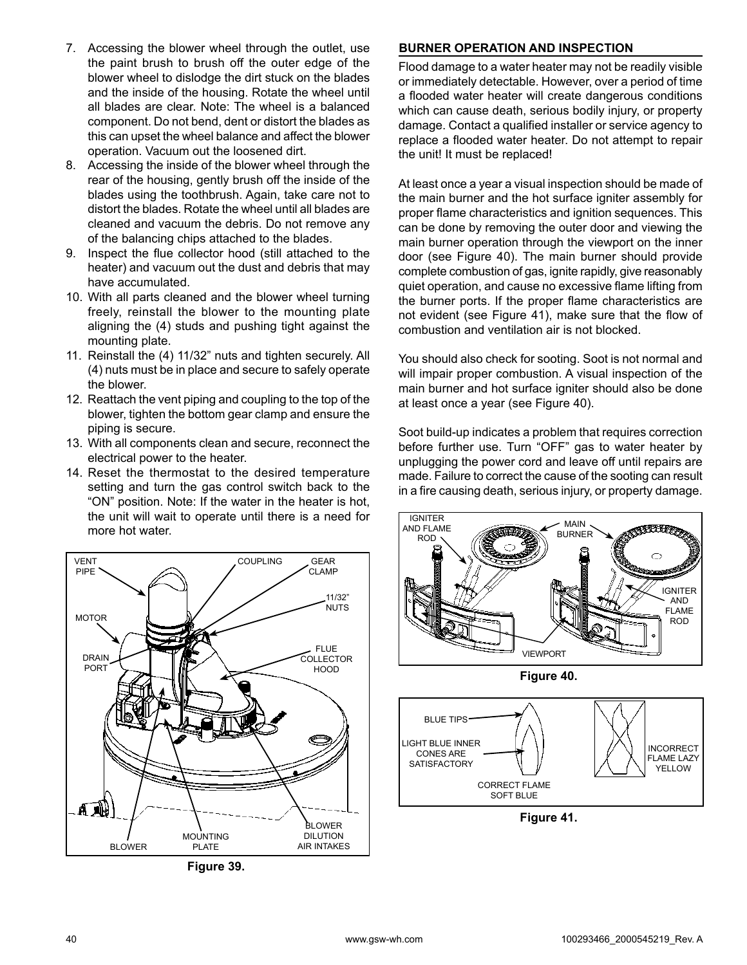- 7. Accessing the blower wheel through the outlet, use the paint brush to brush off the outer edge of the blower wheel to dislodge the dirt stuck on the blades and the inside of the housing. Rotate the wheel until all blades are clear. Note: The wheel is a balanced component. Do not bend, dent or distort the blades as this can upset the wheel balance and affect the blower operation. Vacuum out the loosened dirt.
- 8. Accessing the inside of the blower wheel through the rear of the housing, gently brush off the inside of the blades using the toothbrush. Again, take care not to distort the blades. Rotate the wheel until all blades are cleaned and vacuum the debris. Do not remove any of the balancing chips attached to the blades.
- 9. Inspect the flue collector hood (still attached to the heater) and vacuum out the dust and debris that may have accumulated.
- 10. With all parts cleaned and the blower wheel turning freely, reinstall the blower to the mounting plate aligning the (4) studs and pushing tight against the mounting plate.
- 11. Reinstall the (4) 11/32" nuts and tighten securely. All (4) nuts must be in place and secure to safely operate the blower.
- 12. Reattach the vent piping and coupling to the top of the blower, tighten the bottom gear clamp and ensure the piping is secure.
- 13. With all components clean and secure, reconnect the electrical power to the heater.
- 14. Reset the thermostat to the desired temperature setting and turn the gas control switch back to the "ON" position. Note: If the water in the heater is hot, the unit will wait to operate until there is a need for more hot water.



**Figure 39.** 

#### **BURNER OPERATION AND INSPECTION**

Flood damage to a water heater may not be readily visible or immediately detectable. However, over a period of time a flooded water heater will create dangerous conditions which can cause death, serious bodily injury, or property damage. Contact a qualified installer or service agency to replace a flooded water heater. Do not attempt to repair the unit! It must be replaced!

At least once a year a visual inspection should be made of the main burner and the hot surface igniter assembly for proper flame characteristics and ignition sequences. This can be done by removing the outer door and viewing the main burner operation through the viewport on the inner door (see Figure 40). The main burner should provide complete combustion of gas, ignite rapidly, give reasonably quiet operation, and cause no excessive flame lifting from the burner ports. If the proper flame characteristics are not evident (see Figure 41), make sure that the flow of combustion and ventilation air is not blocked.

You should also check for sooting. Soot is not normal and will impair proper combustion. A visual inspection of the main burner and hot surface igniter should also be done at least once a year (see Figure 40).

Soot build-up indicates a problem that requires correction before further use. Turn "OFF" gas to water heater by unplugging the power cord and leave off until repairs are made. Failure to correct the cause of the sooting can result in a fire causing death, serious injury, or property damage.





**Figure 41.**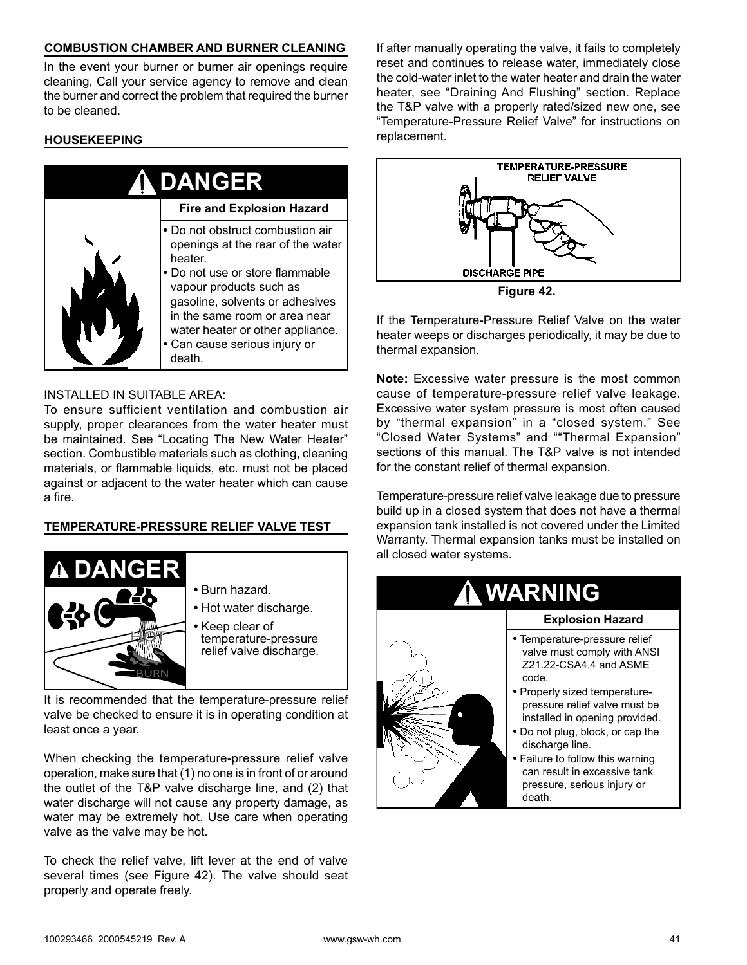#### **COMBUSTION CHAMBER AND BURNER CLEANING**

In the event your burner or burner air openings require cleaning, Call your service agency to remove and clean the burner and correct the problem that required the burner to be cleaned.

#### **HOUSEKEEPING**

| <b>DANGER</b> |                                                                                                                                                                                                                                                                                                   |  |  |
|---------------|---------------------------------------------------------------------------------------------------------------------------------------------------------------------------------------------------------------------------------------------------------------------------------------------------|--|--|
|               | <b>Fire and Explosion Hazard</b>                                                                                                                                                                                                                                                                  |  |  |
|               | • Do not obstruct combustion air<br>openings at the rear of the water<br>heater.<br>• Do not use or store flammable<br>vapour products such as<br>gasoline, solvents or adhesives<br>in the same room or area near<br>water heater or other appliance.<br>• Can cause serious injury or<br>death. |  |  |

#### INSTALLED IN SUITABLE AREA:

To ensure sufficient ventilation and combustion air supply, proper clearances from the water heater must be maintained. See "Locating The New Water Heater" section. Combustible materials such as clothing, cleaning materials, or flammable liquids, etc. must not be placed against or adjacent to the water heater which can cause a fire.

### **TEMPERATURE-PRESSURE RELIEF VALVE TEST**



It is recommended that the temperature-pressure relief valve be checked to ensure it is in operating condition at least once a year.

When checking the temperature-pressure relief valve operation, make sure that (1) no one is in front of or around the outlet of the T&P valve discharge line, and (2) that water discharge will not cause any property damage, as water may be extremely hot. Use care when operating valve as the valve may be hot.

To check the relief valve, lift lever at the end of valve several times (see Figure 42). The valve should seat properly and operate freely.

If after manually operating the valve, it fails to completely reset and continues to release water, immediately close the cold-water inlet to the water heater and drain the water heater, see "Draining And Flushing" section. Replace the T&P valve with a properly rated/sized new one, see "Temperature-Pressure Relief Valve" for instructions on replacement.



**Figure 42.** 

If the Temperature-Pressure Relief Valve on the water heater weeps or discharges periodically, it may be due to thermal expansion.

**Note:** Excessive water pressure is the most common cause of temperature-pressure relief valve leakage. Excessive water system pressure is most often caused by "thermal expansion" in a "closed system." See "Closed Water Systems" and ""Thermal Expansion" sections of this manual. The T&P valve is not intended for the constant relief of thermal expansion.

Temperature-pressure relief valve leakage due to pressure build up in a closed system that does not have a thermal expansion tank installed is not covered under the Limited Warranty. Thermal expansion tanks must be installed on all closed water systems.

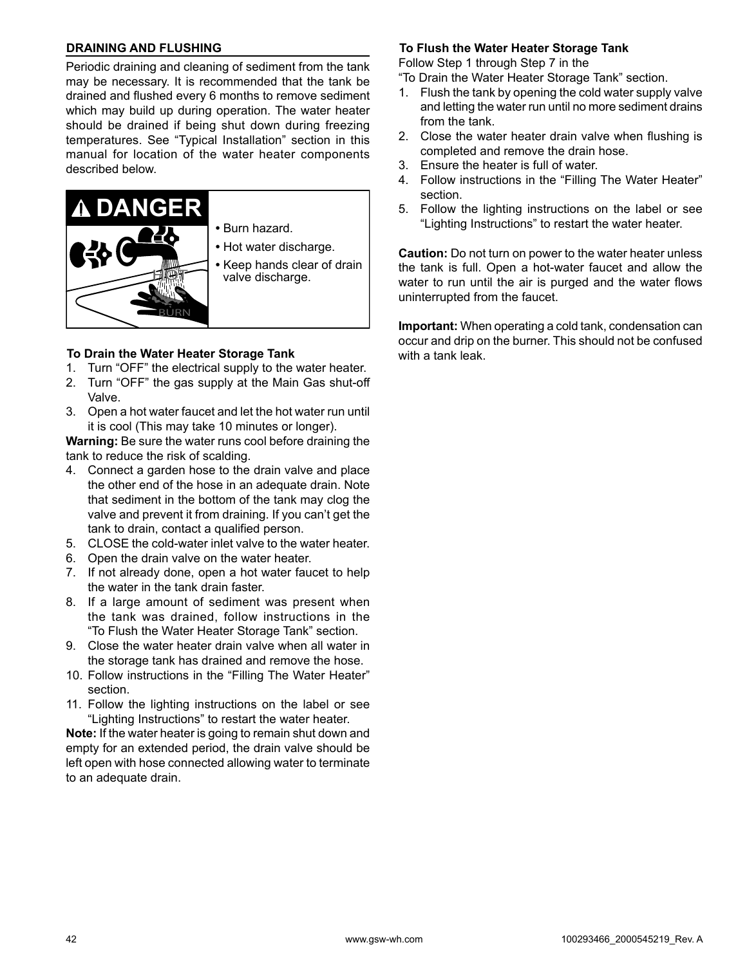#### **DRAINING AND FLUSHING**

Periodic draining and cleaning of sediment from the tank may be necessary. It is recommended that the tank be drained and flushed every 6 months to remove sediment which may build up during operation. The water heater should be drained if being shut down during freezing temperatures. See "Typical Installation" section in this manual for location of the water heater components described below.



#### **To Drain the Water Heater Storage Tank**

- 1. Turn "OFF" the electrical supply to the water heater.
- 2. Turn "OFF" the gas supply at the Main Gas shut-off Valve.
- 3. Open a hot water faucet and let the hot water run until it is cool (This may take 10 minutes or longer).

**Warning:** Be sure the water runs cool before draining the tank to reduce the risk of scalding.

- 4. Connect a garden hose to the drain valve and place the other end of the hose in an adequate drain. Note that sediment in the bottom of the tank may clog the valve and prevent it from draining. If you can't get the tank to drain, contact a qualified person.
- 5. CLOSE the cold-water inlet valve to the water heater.
- 6. Open the drain valve on the water heater.
- 7. If not already done, open a hot water faucet to help the water in the tank drain faster.
- 8. If a large amount of sediment was present when the tank was drained, follow instructions in the "To Flush the Water Heater Storage Tank" section.
- 9. Close the water heater drain valve when all water in the storage tank has drained and remove the hose.
- 10. Follow instructions in the "Filling The Water Heater" section.
- 11. Follow the lighting instructions on the label or see "Lighting Instructions" to restart the water heater.

**Note:** If the water heater is going to remain shut down and empty for an extended period, the drain valve should be left open with hose connected allowing water to terminate to an adequate drain.

#### **To Flush the Water Heater Storage Tank**

Follow Step 1 through Step 7 in the

"To Drain the Water Heater Storage Tank" section.

- 1. Flush the tank by opening the cold water supply valve and letting the water run until no more sediment drains from the tank.
- 2. Close the water heater drain valve when flushing is completed and remove the drain hose.
- 3. Ensure the heater is full of water.
- 4. Follow instructions in the "Filling The Water Heater" section.
- 5. Follow the lighting instructions on the label or see "Lighting Instructions" to restart the water heater.

**Caution:** Do not turn on power to the water heater unless the tank is full. Open a hot-water faucet and allow the water to run until the air is purged and the water flows uninterrupted from the faucet.

**Important:** When operating a cold tank, condensation can occur and drip on the burner. This should not be confused with a tank leak.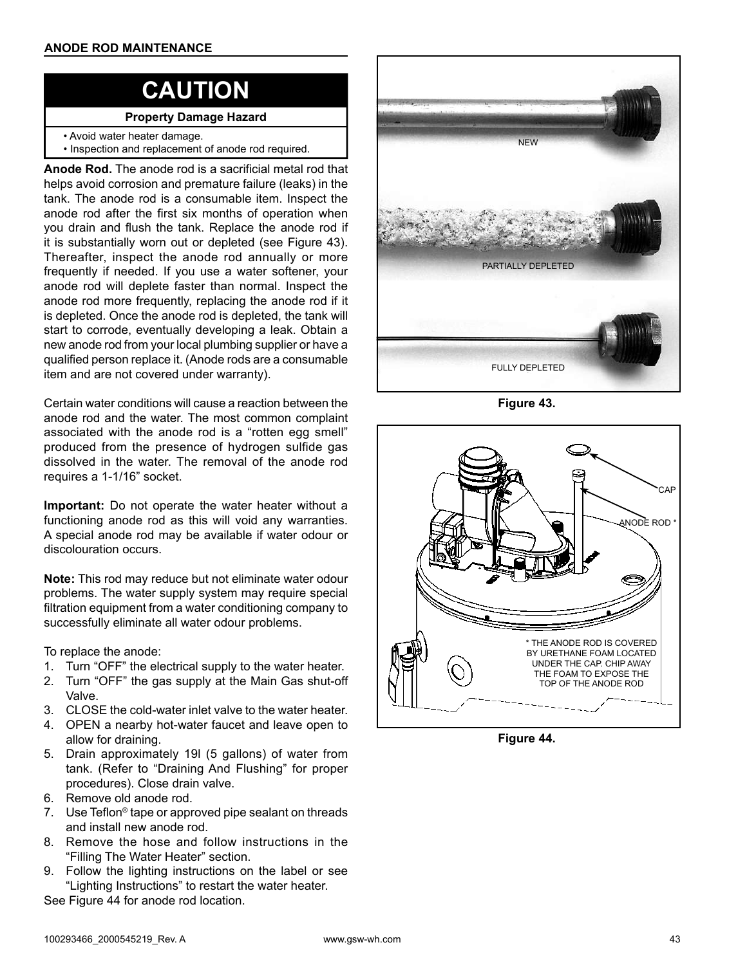### **CAUTION**

#### **Property Damage Hazard**

- Avoid water heater damage.
- Inspection and replacement of anode rod required.

**Anode Rod.** The anode rod is a sacrificial metal rod that helps avoid corrosion and premature failure (leaks) in the tank. The anode rod is a consumable item. Inspect the anode rod after the first six months of operation when you drain and flush the tank. Replace the anode rod if it is substantially worn out or depleted (see Figure 43). Thereafter, inspect the anode rod annually or more frequently if needed. If you use a water softener, your anode rod will deplete faster than normal. Inspect the anode rod more frequently, replacing the anode rod if it is depleted. Once the anode rod is depleted, the tank will start to corrode, eventually developing a leak. Obtain a new anode rod from your local plumbing supplier or have a qualified person replace it. (Anode rods are a consumable item and are not covered under warranty).

Certain water conditions will cause a reaction between the anode rod and the water. The most common complaint associated with the anode rod is a "rotten egg smell" produced from the presence of hydrogen sulfide gas dissolved in the water. The removal of the anode rod requires a 1-1/16" socket.

**Important:** Do not operate the water heater without a functioning anode rod as this will void any warranties. A special anode rod may be available if water odour or discolouration occurs.

**Note:** This rod may reduce but not eliminate water odour problems. The water supply system may require special filtration equipment from a water conditioning company to successfully eliminate all water odour problems.

To replace the anode:

- 1. Turn "OFF" the electrical supply to the water heater.
- 2. Turn "OFF" the gas supply at the Main Gas shut-off Valve.
- 3. CLOSE the cold-water inlet valve to the water heater.
- 4. OPEN a nearby hot-water faucet and leave open to allow for draining.
- 5. Drain approximately 19l (5 gallons) of water from tank. (Refer to "Draining And Flushing" for proper procedures). Close drain valve.
- 6. Remove old anode rod.
- 7. Use Teflon® tape or approved pipe sealant on threads and install new anode rod.
- 8. Remove the hose and follow instructions in the "Filling The Water Heater" section.
- 9. Follow the lighting instructions on the label or see "Lighting Instructions" to restart the water heater.

See Figure 44 for anode rod location.



**Figure 43.** 



**Figure 44.**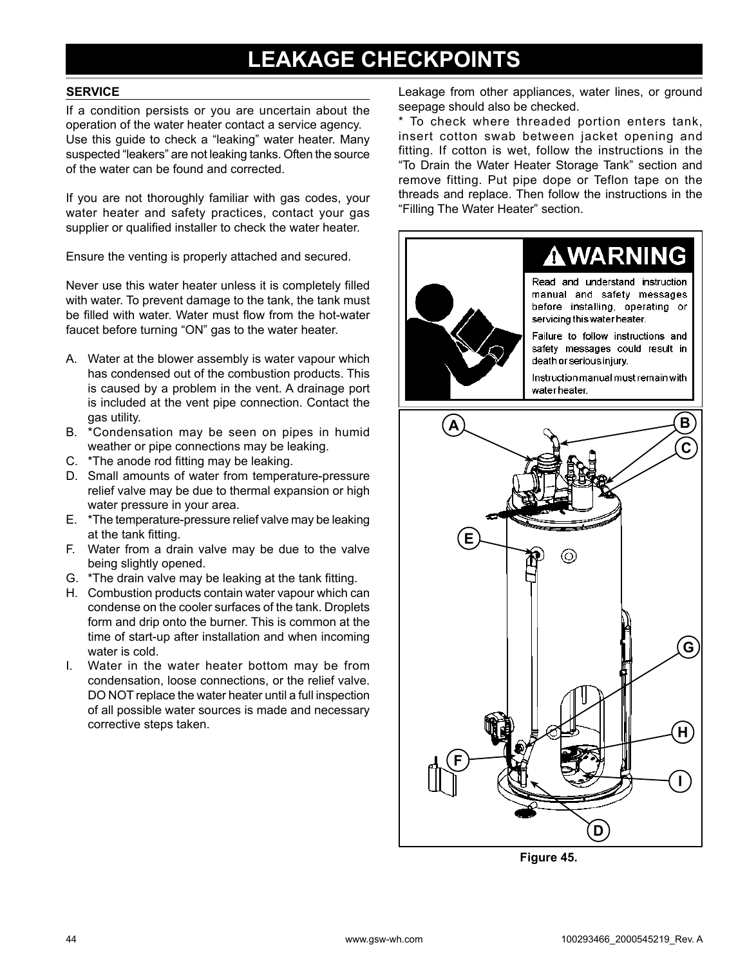### **LEAKAGE CHECKPOINTS**

#### **SERVICE**

If a condition persists or you are uncertain about the operation of the water heater contact a service agency. Use this guide to check a "leaking" water heater. Many suspected "leakers" are not leaking tanks. Often the source of the water can be found and corrected.

If you are not thoroughly familiar with gas codes, your water heater and safety practices, contact your gas supplier or qualified installer to check the water heater.

Ensure the venting is properly attached and secured.

Never use this water heater unless it is completely filled with water. To prevent damage to the tank, the tank must be filled with water. Water must flow from the hot-water faucet before turning "ON" gas to the water heater.

- A. Water at the blower assembly is water vapour which has condensed out of the combustion products. This is caused by a problem in the vent. A drainage port is included at the vent pipe connection. Contact the gas utility.
- B. \*Condensation may be seen on pipes in humid weather or pipe connections may be leaking.
- C. \*The anode rod fitting may be leaking.
- D. Small amounts of water from temperature-pressure relief valve may be due to thermal expansion or high water pressure in your area.
- E. \*The temperature-pressure relief valve may be leaking at the tank fitting.
- F. Water from a drain valve may be due to the valve being slightly opened.
- G. \*The drain valve may be leaking at the tank fitting.
- H. Combustion products contain water vapour which can condense on the cooler surfaces of the tank. Droplets form and drip onto the burner. This is common at the time of start-up after installation and when incoming water is cold.
- I. Water in the water heater bottom may be from condensation, loose connections, or the relief valve. DO NOT replace the water heater until a full inspection of all possible water sources is made and necessary corrective steps taken.

Leakage from other appliances, water lines, or ground seepage should also be checked.

\* To check where threaded portion enters tank, insert cotton swab between jacket opening and fitting. If cotton is wet, follow the instructions in the "To Drain the Water Heater Storage Tank" section and remove fitting. Put pipe dope or Teflon tape on the threads and replace. Then follow the instructions in the "Filling The Water Heater" section.





**Figure 45.**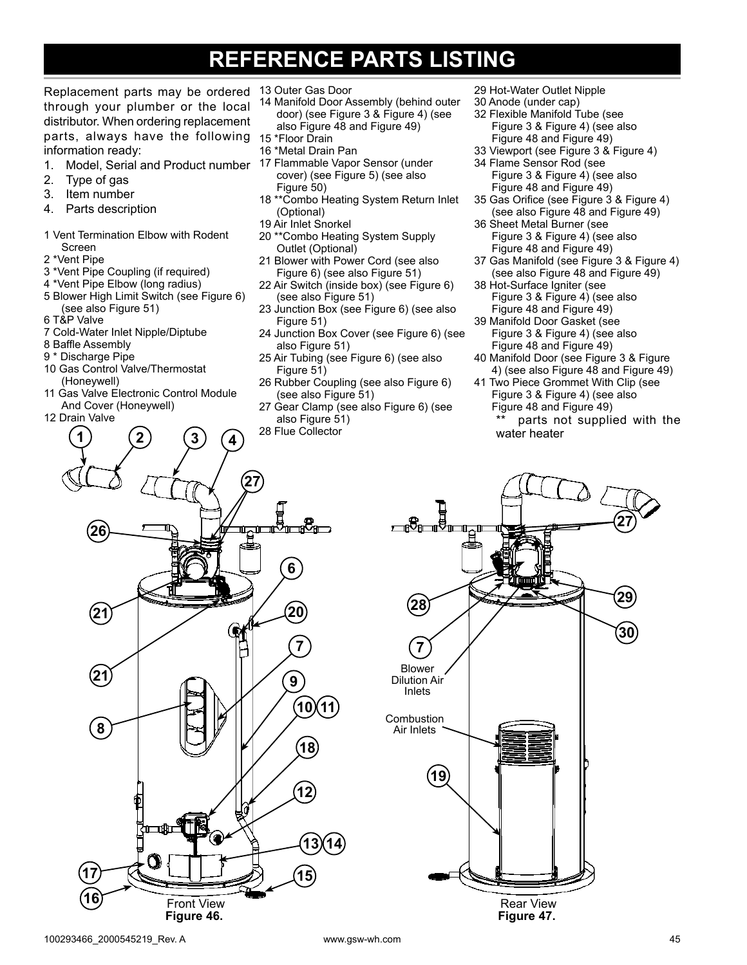### **REFERENCE PARTS LISTING**

Replacement parts may be ordered 13 Outer Gas Door through your plumber or the local distributor. When ordering replacement parts, always have the following 15 Floor Drain information ready:

- 1. Model, Serial and Product number
- 2. Type of gas
- 3. Item number
- 4. Parts description
- 1 Vent Termination Elbow with Rodent Screen
- 2 \*Vent Pipe
- 3 \*Vent Pipe Coupling (if required)
- 4 \*Vent Pipe Elbow (long radius)
- 5 Blower High Limit Switch (see Figure 6) (see also Figure 51)
- 6 T&P Valve
- 7 Cold-Water Inlet Nipple/Diptube
- 8 Baffle Assembly
- 9 \* Discharge Pipe
- 10 Gas Control Valve/Thermostat (Honeywell)
- 11 Gas Valve Electronic Control Module And Cover (Honeywell)
- 12 Drain Valve
- 
- 14 Manifold Door Assembly (behind outer door) (see Figure 3 & Figure 4) (see also Figure 48 and Figure 49)
- 
- 16 \*Metal Drain Pan
- 17 Flammable Vapor Sensor (under cover) (see Figure 5) (see also Figure 50)
- 18 \*\*Combo Heating System Return Inlet (Optional)
- 19 Air Inlet Snorkel
- 20 \*\*Combo Heating System Supply Outlet (Optional)
- 21 Blower with Power Cord (see also Figure 6) (see also Figure 51)
- 22 Air Switch (inside box) (see Figure 6) (see also Figure 51)
- 23 Junction Box (see Figure 6) (see also Figure 51)
- 24 Junction Box Cover (see Figure 6) (see also Figure 51)
- 25 Air Tubing (see Figure 6) (see also Figure 51)
- 26 Rubber Coupling (see also Figure 6) (see also Figure 51)
- 27 Gear Clamp (see also Figure 6) (see also Figure 51)
- 28 Flue Collector
- 29 Hot-Water Outlet Nipple
- 30 Anode (under cap)
- 32 Flexible Manifold Tube (see Figure 3 & Figure 4) (see also Figure 48 and Figure 49)
- 33 Viewport (see Figure 3 & Figure 4)
- 34 Flame Sensor Rod (see Figure 3 & Figure 4) (see also Figure 48 and Figure 49)
- 35 Gas Orifice (see Figure 3 & Figure 4) (see also Figure 48 and Figure 49)
- 36 Sheet Metal Burner (see Figure 3 & Figure 4) (see also Figure 48 and Figure 49)
- 37 Gas Manifold (see Figure 3 & Figure 4) (see also Figure 48 and Figure 49)
- 38 Hot-Surface Igniter (see Figure 3 & Figure 4) (see also Figure 48 and Figure 49)
- 39 Manifold Door Gasket (see Figure 3 & Figure 4) (see also Figure 48 and Figure 49)
- 40 Manifold Door (see Figure 3 & Figure 4) (see also Figure 48 and Figure 49)
- 41 Two Piece Grommet With Clip (see Figure 3 & Figure 4) (see also Figure 48 and Figure 49) parts not supplied with the



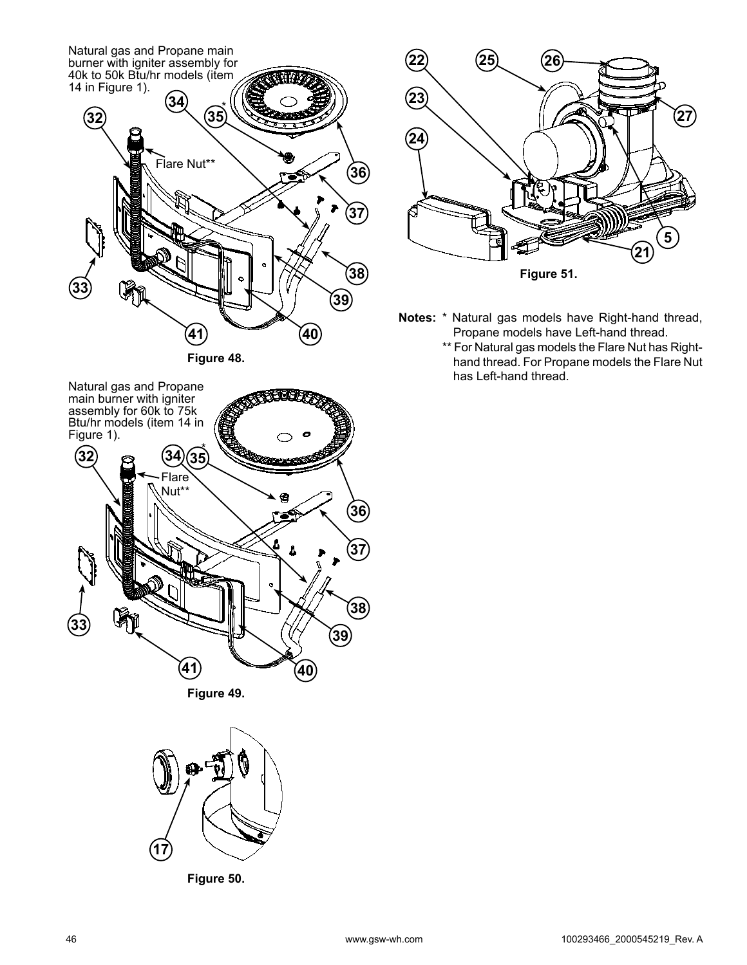

**Figure 48.** 







**Figure 50.** 



- **Notes:** \* Natural gas models have Right-hand thread, Propane models have Left-hand thread.
	- \*\* For Natural gas models the Flare Nut has Righthand thread. For Propane models the Flare Nut has Left-hand thread.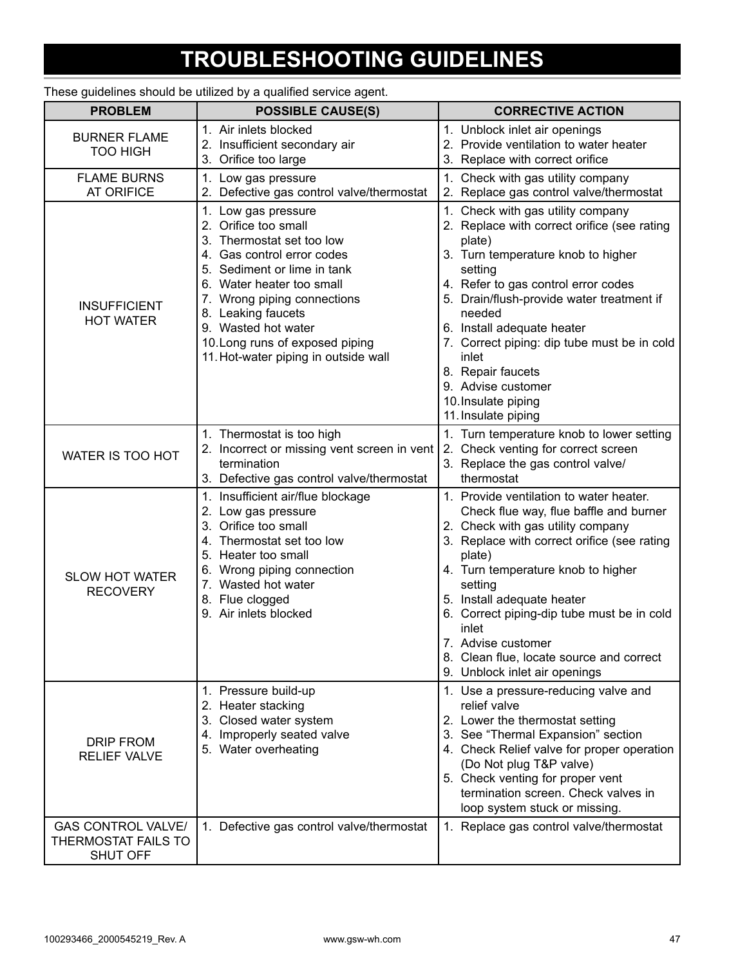# **TROUBLESHOOTING GUIDELINES**

| <b>PROBLEM</b>                                               | <b>POSSIBLE CAUSE(S)</b>                                                                                                                                                                                                                                                                                                  | <b>CORRECTIVE ACTION</b>                                                                                                                                                                                                                                                                                                                                                                                                 |
|--------------------------------------------------------------|---------------------------------------------------------------------------------------------------------------------------------------------------------------------------------------------------------------------------------------------------------------------------------------------------------------------------|--------------------------------------------------------------------------------------------------------------------------------------------------------------------------------------------------------------------------------------------------------------------------------------------------------------------------------------------------------------------------------------------------------------------------|
| <b>BURNER FLAME</b><br><b>TOO HIGH</b>                       | 1. Air inlets blocked<br>2. Insufficient secondary air<br>3. Orifice too large                                                                                                                                                                                                                                            | 1. Unblock inlet air openings<br>2. Provide ventilation to water heater<br>3. Replace with correct orifice                                                                                                                                                                                                                                                                                                               |
| <b>FLAME BURNS</b><br><b>AT ORIFICE</b>                      | 1. Low gas pressure<br>2. Defective gas control valve/thermostat                                                                                                                                                                                                                                                          | 1. Check with gas utility company<br>2. Replace gas control valve/thermostat                                                                                                                                                                                                                                                                                                                                             |
| <b>INSUFFICIENT</b><br><b>HOT WATER</b>                      | 1. Low gas pressure<br>2. Orifice too small<br>3. Thermostat set too low<br>4. Gas control error codes<br>5. Sediment or lime in tank<br>6. Water heater too small<br>7. Wrong piping connections<br>8. Leaking faucets<br>9. Wasted hot water<br>10. Long runs of exposed piping<br>11. Hot-water piping in outside wall | 1. Check with gas utility company<br>2. Replace with correct orifice (see rating<br>plate)<br>3. Turn temperature knob to higher<br>setting<br>4. Refer to gas control error codes<br>5. Drain/flush-provide water treatment if<br>needed<br>6. Install adequate heater<br>7. Correct piping: dip tube must be in cold<br>inlet<br>8. Repair faucets<br>9. Advise customer<br>10. Insulate piping<br>11. Insulate piping |
| WATER IS TOO HOT                                             | 1. Thermostat is too high<br>2. Incorrect or missing vent screen in vent<br>termination<br>3. Defective gas control valve/thermostat                                                                                                                                                                                      | 1. Turn temperature knob to lower setting<br>2. Check venting for correct screen<br>3. Replace the gas control valve/<br>thermostat                                                                                                                                                                                                                                                                                      |
| <b>SLOW HOT WATER</b><br><b>RECOVERY</b>                     | 1. Insufficient air/flue blockage<br>2. Low gas pressure<br>3. Orifice too small<br>4. Thermostat set too low<br>5. Heater too small<br>6. Wrong piping connection<br>7. Wasted hot water<br>8. Flue clogged<br>9. Air inlets blocked                                                                                     | 1. Provide ventilation to water heater.<br>Check flue way, flue baffle and burner<br>2. Check with gas utility company<br>3. Replace with correct orifice (see rating<br>plate)<br>4. Turn temperature knob to higher<br>setting<br>5. Install adequate heater<br>6. Correct piping-dip tube must be in cold<br>inlet<br>7. Advise customer<br>8. Clean flue, locate source and correct<br>9. Unblock inlet air openings |
| DRIP FROM<br><b>RELIEF VALVE</b>                             | 1. Pressure build-up<br>2. Heater stacking<br>3. Closed water system<br>4. Improperly seated valve<br>5. Water overheating                                                                                                                                                                                                | 1. Use a pressure-reducing valve and<br>relief valve<br>2. Lower the thermostat setting<br>3. See "Thermal Expansion" section<br>4. Check Relief valve for proper operation<br>(Do Not plug T&P valve)<br>5. Check venting for proper vent<br>termination screen. Check valves in<br>loop system stuck or missing.                                                                                                       |
| <b>GAS CONTROL VALVE/</b><br>THERMOSTAT FAILS TO<br>SHUT OFF | 1. Defective gas control valve/thermostat                                                                                                                                                                                                                                                                                 | 1. Replace gas control valve/thermostat                                                                                                                                                                                                                                                                                                                                                                                  |

These guidelines should be utilized by a qualified service agent.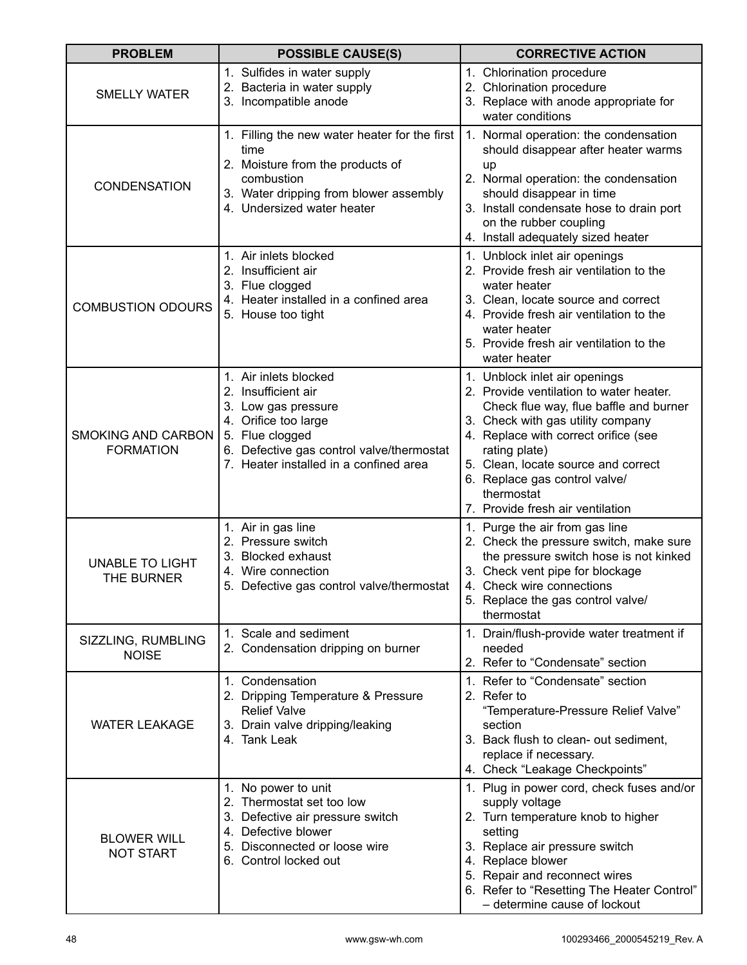| <b>PROBLEM</b>                         | <b>POSSIBLE CAUSE(S)</b>                                                                                                                                                                                 | <b>CORRECTIVE ACTION</b>                                                                                                                                                                                                                                                                                                                   |  |  |  |
|----------------------------------------|----------------------------------------------------------------------------------------------------------------------------------------------------------------------------------------------------------|--------------------------------------------------------------------------------------------------------------------------------------------------------------------------------------------------------------------------------------------------------------------------------------------------------------------------------------------|--|--|--|
| <b>SMELLY WATER</b>                    | 1. Sulfides in water supply<br>2. Bacteria in water supply<br>3. Incompatible anode                                                                                                                      | 1. Chlorination procedure<br>2. Chlorination procedure<br>3. Replace with anode appropriate for<br>water conditions                                                                                                                                                                                                                        |  |  |  |
| <b>CONDENSATION</b>                    | 1. Filling the new water heater for the first<br>time<br>2. Moisture from the products of<br>combustion<br>3. Water dripping from blower assembly<br>4. Undersized water heater                          | 1. Normal operation: the condensation<br>should disappear after heater warms<br>up<br>2. Normal operation: the condensation<br>should disappear in time<br>3. Install condensate hose to drain port<br>on the rubber coupling<br>4. Install adequately sized heater                                                                        |  |  |  |
| <b>COMBUSTION ODOURS</b>               | 1. Air inlets blocked<br>2. Insufficient air<br>3. Flue clogged<br>4. Heater installed in a confined area<br>5. House too tight                                                                          | 1. Unblock inlet air openings<br>2. Provide fresh air ventilation to the<br>water heater<br>3. Clean, locate source and correct<br>4. Provide fresh air ventilation to the<br>water heater<br>5. Provide fresh air ventilation to the<br>water heater                                                                                      |  |  |  |
| SMOKING AND CARBON<br><b>FORMATION</b> | 1. Air inlets blocked<br>2. Insufficient air<br>3. Low gas pressure<br>4. Orifice too large<br>5. Flue clogged<br>Defective gas control valve/thermostat<br>6.<br>7. Heater installed in a confined area | 1. Unblock inlet air openings<br>2. Provide ventilation to water heater.<br>Check flue way, flue baffle and burner<br>3. Check with gas utility company<br>4. Replace with correct orifice (see<br>rating plate)<br>5. Clean, locate source and correct<br>6. Replace gas control valve/<br>thermostat<br>7. Provide fresh air ventilation |  |  |  |
| <b>UNABLE TO LIGHT</b><br>THE BURNER   | 1. Air in gas line<br>2. Pressure switch<br>3. Blocked exhaust<br>4. Wire connection<br>5. Defective gas control valve/thermostat                                                                        | 1. Purge the air from gas line<br>2. Check the pressure switch, make sure<br>the pressure switch hose is not kinked<br>3. Check vent pipe for blockage<br>4.<br>Check wire connections<br>5. Replace the gas control valve/<br>thermostat                                                                                                  |  |  |  |
| SIZZLING, RUMBLING<br><b>NOISE</b>     | 1. Scale and sediment<br>2. Condensation dripping on burner                                                                                                                                              | 1. Drain/flush-provide water treatment if<br>needed<br>2. Refer to "Condensate" section                                                                                                                                                                                                                                                    |  |  |  |
| <b>WATER LEAKAGE</b>                   | 1. Condensation<br>2. Dripping Temperature & Pressure<br><b>Relief Valve</b><br>3. Drain valve dripping/leaking<br>4. Tank Leak                                                                          | 1. Refer to "Condensate" section<br>2. Refer to<br>"Temperature-Pressure Relief Valve"<br>section<br>3. Back flush to clean- out sediment,<br>replace if necessary.<br>4. Check "Leakage Checkpoints"                                                                                                                                      |  |  |  |
| <b>BLOWER WILL</b><br><b>NOT START</b> | 1. No power to unit<br>2. Thermostat set too low<br>3. Defective air pressure switch<br>4. Defective blower<br>5. Disconnected or loose wire<br>6. Control locked out                                    | 1. Plug in power cord, check fuses and/or<br>supply voltage<br>2. Turn temperature knob to higher<br>setting<br>3. Replace air pressure switch<br>4. Replace blower<br>5. Repair and reconnect wires<br>6. Refer to "Resetting The Heater Control"<br>- determine cause of lockout                                                         |  |  |  |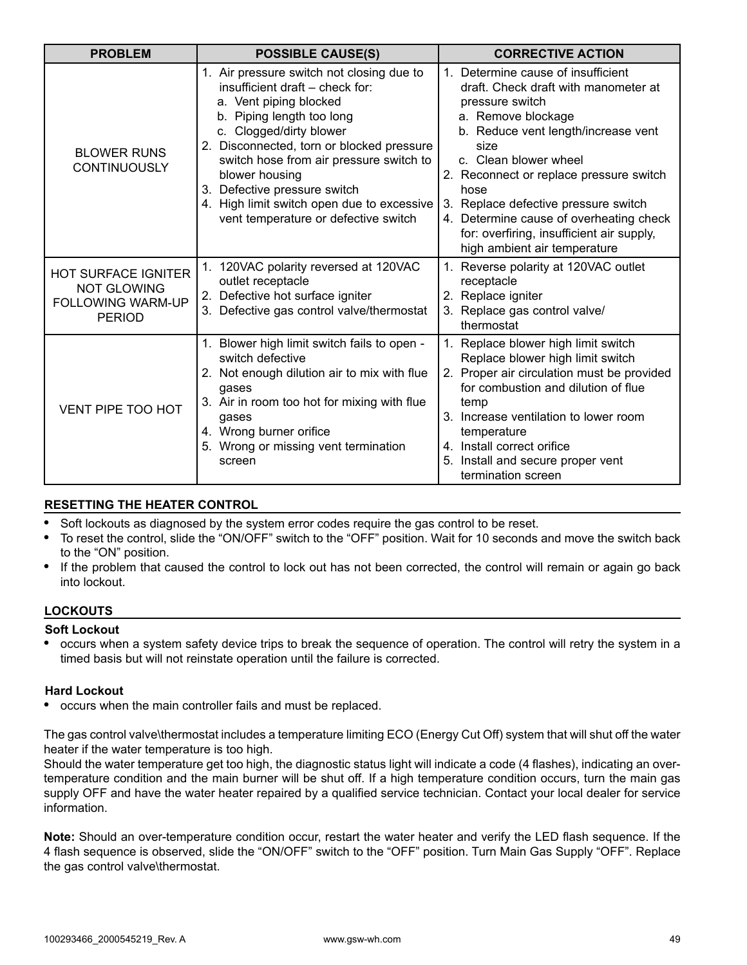| <b>PROBLEM</b>                                                                         | <b>POSSIBLE CAUSE(S)</b>                                                                                                                                                                                                                                                                                                                                                                       | <b>CORRECTIVE ACTION</b>                                                                                                                                                                                                                                                                                                                                                                                       |  |  |
|----------------------------------------------------------------------------------------|------------------------------------------------------------------------------------------------------------------------------------------------------------------------------------------------------------------------------------------------------------------------------------------------------------------------------------------------------------------------------------------------|----------------------------------------------------------------------------------------------------------------------------------------------------------------------------------------------------------------------------------------------------------------------------------------------------------------------------------------------------------------------------------------------------------------|--|--|
| <b>BLOWER RUNS</b><br><b>CONTINUOUSLY</b>                                              | 1. Air pressure switch not closing due to<br>insufficient draft - check for:<br>a. Vent piping blocked<br>b. Piping length too long<br>c. Clogged/dirty blower<br>2. Disconnected, torn or blocked pressure<br>switch hose from air pressure switch to<br>blower housing<br>3. Defective pressure switch<br>4. High limit switch open due to excessive<br>vent temperature or defective switch | 1. Determine cause of insufficient<br>draft. Check draft with manometer at<br>pressure switch<br>a. Remove blockage<br>b. Reduce vent length/increase vent<br>size<br>c. Clean blower wheel<br>2. Reconnect or replace pressure switch<br>hose<br>3. Replace defective pressure switch<br>4. Determine cause of overheating check<br>for: overfiring, insufficient air supply,<br>high ambient air temperature |  |  |
| <b>HOT SURFACE IGNITER</b><br><b>NOT GLOWING</b><br>FOLLOWING WARM-UP<br><b>PERIOD</b> | 1. 120VAC polarity reversed at 120VAC<br>outlet receptacle<br>2. Defective hot surface igniter<br>3. Defective gas control valve/thermostat                                                                                                                                                                                                                                                    | 1. Reverse polarity at 120VAC outlet<br>receptacle<br>2. Replace igniter<br>3. Replace gas control valve/<br>thermostat                                                                                                                                                                                                                                                                                        |  |  |
| VENT PIPE TOO HOT                                                                      | 1. Blower high limit switch fails to open -<br>switch defective<br>2. Not enough dilution air to mix with flue<br>qases<br>3. Air in room too hot for mixing with flue<br>gases<br>4. Wrong burner orifice<br>5. Wrong or missing vent termination<br>screen                                                                                                                                   | 1. Replace blower high limit switch<br>Replace blower high limit switch<br>2. Proper air circulation must be provided<br>for combustion and dilution of flue<br>temp<br>3. Increase ventilation to lower room<br>temperature<br>4. Install correct orifice<br>5. Install and secure proper vent<br>termination screen                                                                                          |  |  |

#### **RESETTING THE HEATER CONTROL**

- Soft lockouts as diagnosed by the system error codes require the gas control to be reset.
- To reset the control, slide the "ON/OFF" switch to the "OFF" position. Wait for 10 seconds and move the switch back to the "ON" position.
- If the problem that caused the control to lock out has not been corrected, the control will remain or again go back into lockout.

#### **LOCKOUTS**

#### **Soft Lockout**

**•** occurs when a system safety device trips to break the sequence of operation. The control will retry the system in a timed basis but will not reinstate operation until the failure is corrected.

#### **Hard Lockout**

**•** occurs when the main controller fails and must be replaced.

The gas control valve\thermostat includes a temperature limiting ECO (Energy Cut Off) system that will shut off the water heater if the water temperature is too high.

Should the water temperature get too high, the diagnostic status light will indicate a code (4 flashes), indicating an overtemperature condition and the main burner will be shut off. If a high temperature condition occurs, turn the main gas supply OFF and have the water heater repaired by a qualified service technician. Contact your local dealer for service information.

**Note:** Should an over-temperature condition occur, restart the water heater and verify the LED flash sequence. If the 4 flash sequence is observed, slide the "ON/OFF" switch to the "OFF" position. Turn Main Gas Supply "OFF". Replace the gas control valve\thermostat.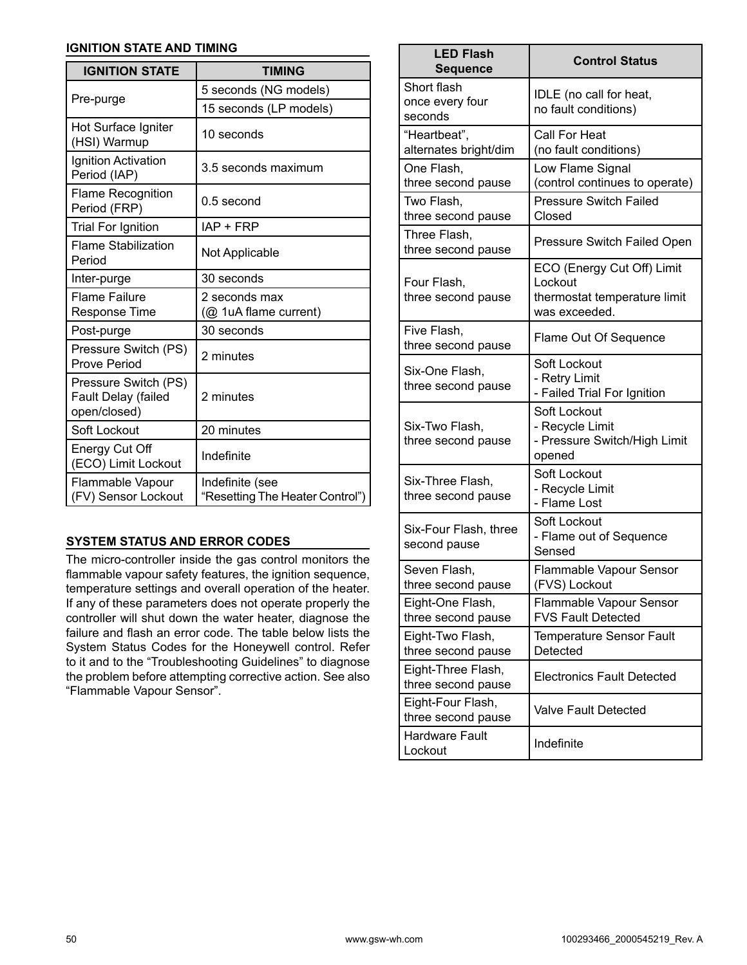#### **IGNITION STATE AND TIMING**

| <b>IGNITION STATE</b>                                       | <b>TIMING</b>                                      |  |  |  |  |
|-------------------------------------------------------------|----------------------------------------------------|--|--|--|--|
|                                                             | 5 seconds (NG models)                              |  |  |  |  |
| Pre-purge                                                   | 15 seconds (LP models)                             |  |  |  |  |
| Hot Surface Igniter<br>(HSI) Warmup                         | 10 seconds                                         |  |  |  |  |
| Ignition Activation<br>Period (IAP)                         | 3.5 seconds maximum                                |  |  |  |  |
| <b>Flame Recognition</b><br>Period (FRP)                    | 0.5 second                                         |  |  |  |  |
| <b>Trial For Ignition</b>                                   | IAP + FRP                                          |  |  |  |  |
| <b>Flame Stabilization</b><br>Period                        | Not Applicable                                     |  |  |  |  |
| Inter-purge                                                 | 30 seconds                                         |  |  |  |  |
| <b>Flame Failure</b>                                        | 2 seconds max                                      |  |  |  |  |
| <b>Response Time</b>                                        | (@ 1uA flame current)                              |  |  |  |  |
| Post-purge                                                  | 30 seconds                                         |  |  |  |  |
| Pressure Switch (PS)<br>Prove Period                        | 2 minutes                                          |  |  |  |  |
| Pressure Switch (PS)<br>Fault Delay (failed<br>open/closed) | 2 minutes                                          |  |  |  |  |
| Soft Lockout                                                | 20 minutes                                         |  |  |  |  |
| Energy Cut Off<br>(ECO) Limit Lockout                       | Indefinite                                         |  |  |  |  |
| Flammable Vapour<br>(FV) Sensor Lockout                     | Indefinite (see<br>"Resetting The Heater Control") |  |  |  |  |

#### **SYSTEM STATUS AND ERROR CODES**

The micro-controller inside the gas control monitors the flammable vapour safety features, the ignition sequence, temperature settings and overall operation of the heater. If any of these parameters does not operate properly the controller will shut down the water heater, diagnose the failure and flash an error code. The table below lists the System Status Codes for the Honeywell control. Refer to it and to the "Troubleshooting Guidelines" to diagnose the problem before attempting corrective action. See also "Flammable Vapour Sensor".

| <b>LED Flash</b><br><b>Sequence</b>       | <b>Control Status</b>                                                                  |  |  |  |
|-------------------------------------------|----------------------------------------------------------------------------------------|--|--|--|
| Short flash<br>once every four<br>seconds | IDLE (no call for heat,<br>no fault conditions)                                        |  |  |  |
| "Heartbeat",<br>alternates bright/dim     | Call For Heat<br>(no fault conditions)                                                 |  |  |  |
| One Flash,<br>three second pause          | Low Flame Signal<br>(control continues to operate)                                     |  |  |  |
| Two Flash,<br>three second pause          | <b>Pressure Switch Failed</b><br>Closed                                                |  |  |  |
| Three Flash,<br>three second pause        | Pressure Switch Failed Open                                                            |  |  |  |
| Four Flash,<br>three second pause         | ECO (Energy Cut Off) Limit<br>Lockout<br>thermostat temperature limit<br>was exceeded. |  |  |  |
| Five Flash,<br>three second pause         | Flame Out Of Sequence                                                                  |  |  |  |
| Six-One Flash,<br>three second pause      | Soft Lockout<br>- Retry Limit<br>- Failed Trial For Ignition                           |  |  |  |
| Six-Two Flash,<br>three second pause      | Soft Lockout<br>- Recycle Limit<br>- Pressure Switch/High Limit<br>opened              |  |  |  |
| Six-Three Flash,<br>three second pause    | Soft Lockout<br>- Recycle Limit<br>- Flame Lost                                        |  |  |  |
| Six-Four Flash, three<br>second pause     | Soft Lockout<br>- Flame out of Sequence<br>Sensed                                      |  |  |  |
| Seven Flash,<br>three second pause        | Flammable Vapour Sensor<br>(FVS) Lockout                                               |  |  |  |
| Eight-One Flash,<br>three second pause    | Flammable Vapour Sensor<br><b>FVS Fault Detected</b>                                   |  |  |  |
| Eight-Two Flash,<br>three second pause    | <b>Temperature Sensor Fault</b><br>Detected                                            |  |  |  |
| Eight-Three Flash,<br>three second pause  | <b>Electronics Fault Detected</b>                                                      |  |  |  |
| Eight-Four Flash,<br>three second pause   | Valve Fault Detected                                                                   |  |  |  |
| <b>Hardware Fault</b><br>Lockout          | Indefinite                                                                             |  |  |  |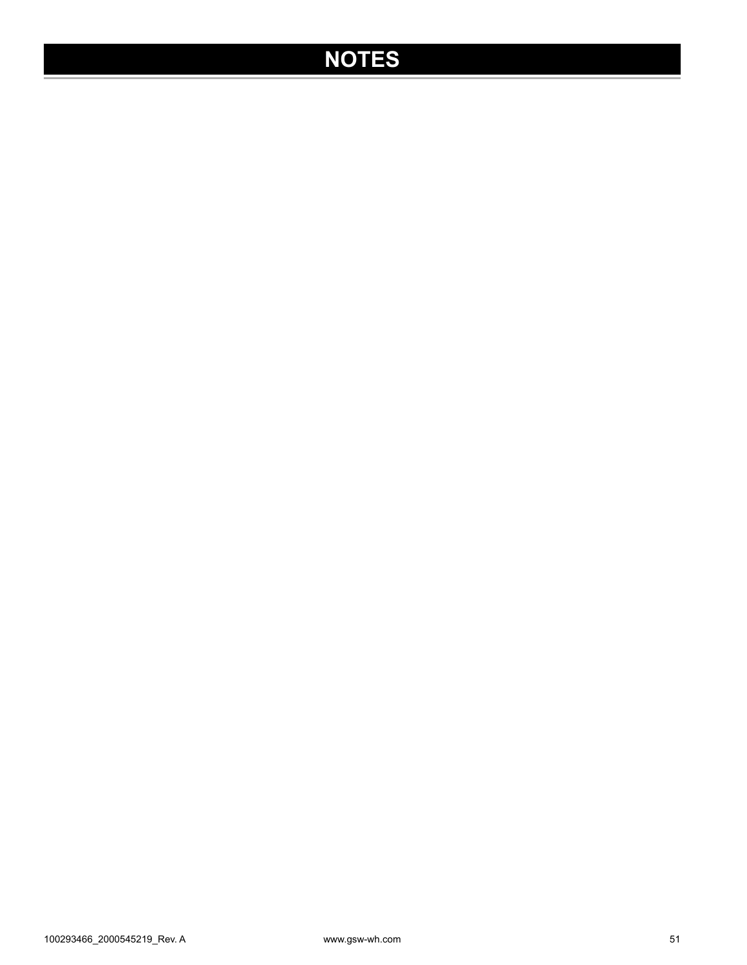# **NOTES**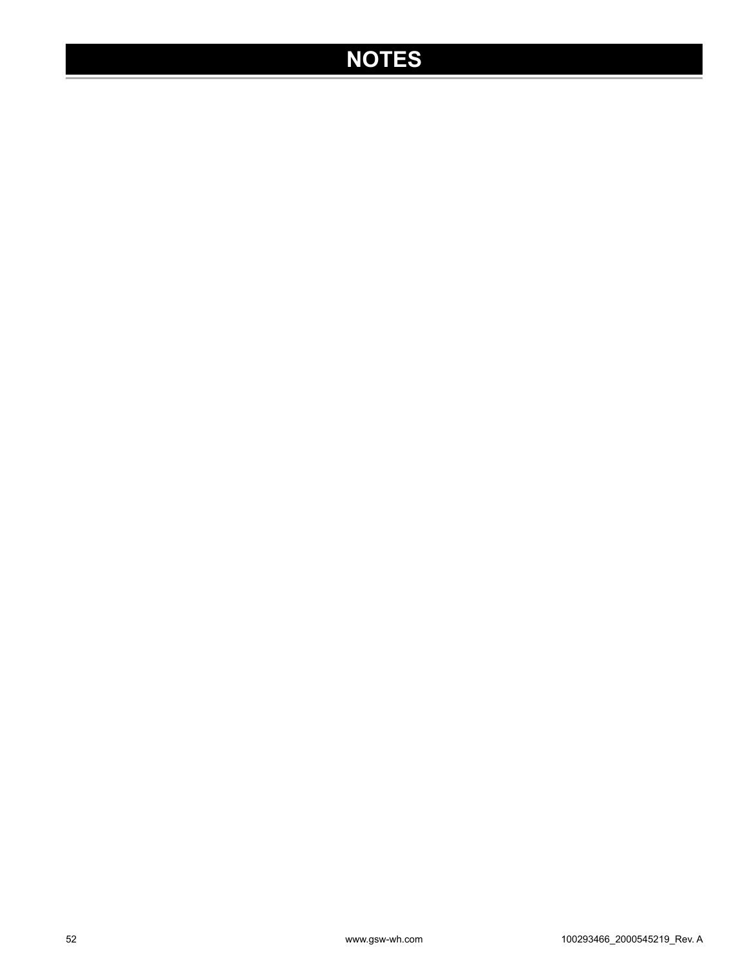# **NOTES**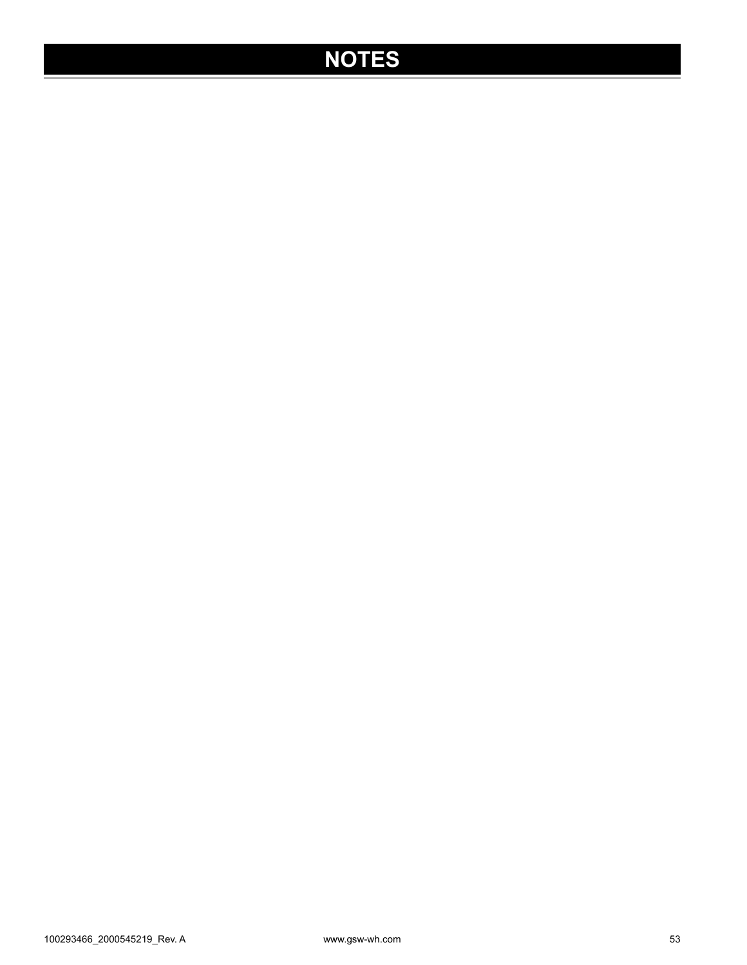# **NOTES**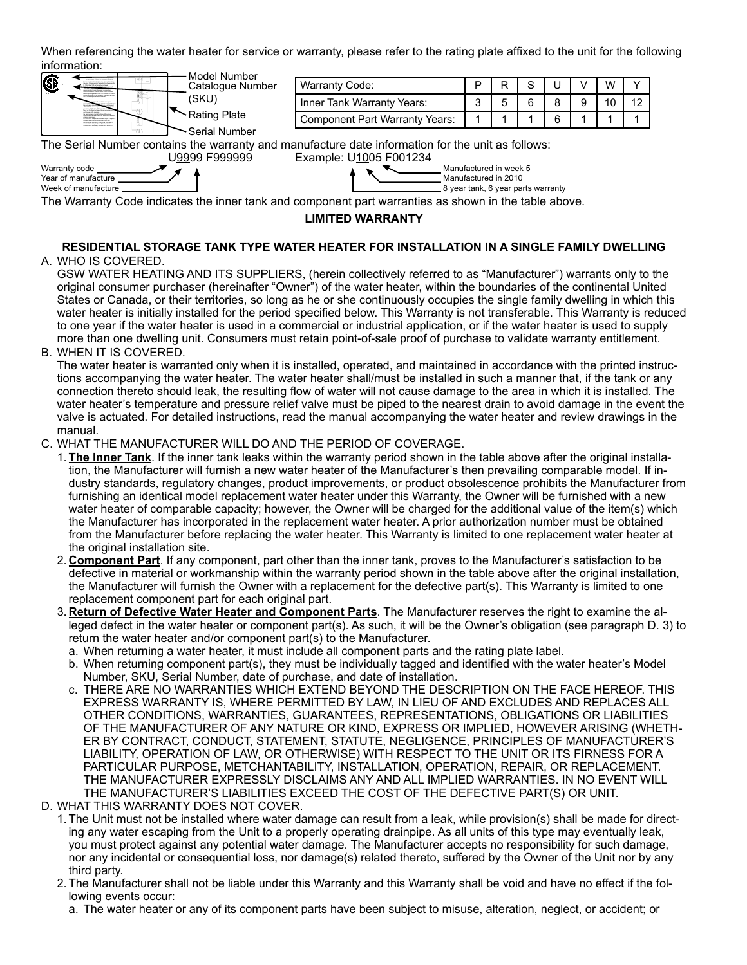When referencing the water heater for service or warranty, please refer to the rating plate affixed to the unit for the following information:

| IO<br>Van Comprise Automobile<br>(SKU)                                                            | Model Number<br>Catalogue Number | <b>Warranty Code:</b>                 | D                          |  |  |  |  | W |    |    |
|---------------------------------------------------------------------------------------------------|----------------------------------|---------------------------------------|----------------------------|--|--|--|--|---|----|----|
|                                                                                                   |                                  |                                       | Inner Tank Warranty Years: |  |  |  |  | Ω | 10 | 10 |
|                                                                                                   | Rating Plate                     | <b>Component Part Warranty Years:</b> |                            |  |  |  |  |   |    |    |
| - Serial Number                                                                                   |                                  |                                       |                            |  |  |  |  |   |    |    |
| The Serial Number contains the warranty and manufacture date information for the unit as follows: |                                  |                                       |                            |  |  |  |  |   |    |    |
|                                                                                                   |                                  | I IQQQQ FQQQQQQ                       | Fvamula: 111005 F001234    |  |  |  |  |   |    |    |

**LIMITED WARRANTY** U9999 F999999 Example: U1005 F001234 UUUU FUUUU EXample: U1005 F001234<br>Warranty code Manufactured in week 5<br>Year of manufactured in 2010 Year of manufacture **Manufacture Manufacture Manufacture of the CO** Manufactured in 2010 8 year tank, 6 year parts warranty

The Warranty Code indicates the inner tank and component part warranties as shown in the table above.

**LIMITED WARRANTY**

#### **RESIDENTIAL STORAGE TANK TYPE WATER HEATER FOR INSTALLATION IN A SINGLE FAMILY DWELLING** A. WHO IS COVERED.

- GSW WATER HEATING AND ITS SUPPLIERS, (herein collectively referred to as "Manufacturer") warrants only to the original consumer purchaser (hereinafter "Owner") of the water heater, within the boundaries of the continental United States or Canada, or their territories, so long as he or she continuously occupies the single family dwelling in which this water heater is initially installed for the period specified below. This Warranty is not transferable. This Warranty is reduced to one year if the water heater is used in a commercial or industrial application, or if the water heater is used to supply more than one dwelling unit. Consumers must retain point-of-sale proof of purchase to validate warranty entitlement.
- B. WHEN IT IS COVERED.

 The water heater is warranted only when it is installed, operated, and maintained in accordance with the printed instructions accompanying the water heater. The water heater shall/must be installed in such a manner that, if the tank or any connection thereto should leak, the resulting flow of water will not cause damage to the area in which it is installed. The water heater's temperature and pressure relief valve must be piped to the nearest drain to avoid damage in the event the valve is actuated. For detailed instructions, read the manual accompanying the water heater and review drawings in the manual.

#### C. WHAT THE MANUFACTURER WILL DO AND THE PERIOD OF COVERAGE.

- 1. **The Inner Tank**. If the inner tank leaks within the warranty period shown in the table above after the original installation, the Manufacturer will furnish a new water heater of the Manufacturer's then prevailing comparable model. If industry standards, regulatory changes, product improvements, or product obsolescence prohibits the Manufacturer from furnishing an identical model replacement water heater under this Warranty, the Owner will be furnished with a new water heater of comparable capacity; however, the Owner will be charged for the additional value of the item(s) which the Manufacturer has incorporated in the replacement water heater. A prior authorization number must be obtained from the Manufacturer before replacing the water heater. This Warranty is limited to one replacement water heater at the original installation site.
- 2. **Component Part**. If any component, part other than the inner tank, proves to the Manufacturer's satisfaction to be defective in material or workmanship within the warranty period shown in the table above after the original installation, the Manufacturer will furnish the Owner with a replacement for the defective part(s). This Warranty is limited to one replacement component part for each original part.
- 3. **Return of Defective Water Heater and Component Parts**. The Manufacturer reserves the right to examine the alleged defect in the water heater or component part(s). As such, it will be the Owner's obligation (see paragraph D. 3) to return the water heater and/or component part(s) to the Manufacturer.
	- a. When returning a water heater, it must include all component parts and the rating plate label.
	- b. When returning component part(s), they must be individually tagged and identified with the water heater's Model Number, SKU, Serial Number, date of purchase, and date of installation.
	- c. THERE ARE NO WARRANTIES WHICH EXTEND BEYOND THE DESCRIPTION ON THE FACE HEREOF. THIS EXPRESS WARRANTY IS, WHERE PERMITTED BY LAW, IN LIEU OF AND EXCLUDES AND REPLACES ALL OTHER CONDITIONS, WARRANTIES, GUARANTEES, REPRESENTATIONS, OBLIGATIONS OR LIABILITIES OF THE MANUFACTURER OF ANY NATURE OR KIND, EXPRESS OR IMPLIED, HOWEVER ARISING (WHETH-ER BY CONTRACT, CONDUCT, STATEMENT, STATUTE, NEGLIGENCE, PRINCIPLES OF MANUFACTURER'S LIABILITY, OPERATION OF LAW, OR OTHERWISE) WITH RESPECT TO THE UNIT OR ITS FIRNESS FOR A PARTICULAR PURPOSE, METCHANTABILITY, INSTALLATION, OPERATION, REPAIR, OR REPLACEMENT. THE MANUFACTURER EXPRESSLY DISCLAIMS ANY AND ALL IMPLIED WARRANTIES. IN NO EVENT WILL THE MANUFACTURER'S LIABILITIES EXCEED THE COST OF THE DEFECTIVE PART(S) OR UNIT.

D. WHAT THIS WARRANTY DOES NOT COVER.

- 1. The Unit must not be installed where water damage can result from a leak, while provision(s) shall be made for directing any water escaping from the Unit to a properly operating drainpipe. As all units of this type may eventually leak, you must protect against any potential water damage. The Manufacturer accepts no responsibility for such damage, nor any incidental or consequential loss, nor damage(s) related thereto, suffered by the Owner of the Unit nor by any third party.
- 2. The Manufacturer shall not be liable under this Warranty and this Warranty shall be void and have no effect if the following events occur:
	- a. The water heater or any of its component parts have been subject to misuse, alteration, neglect, or accident; or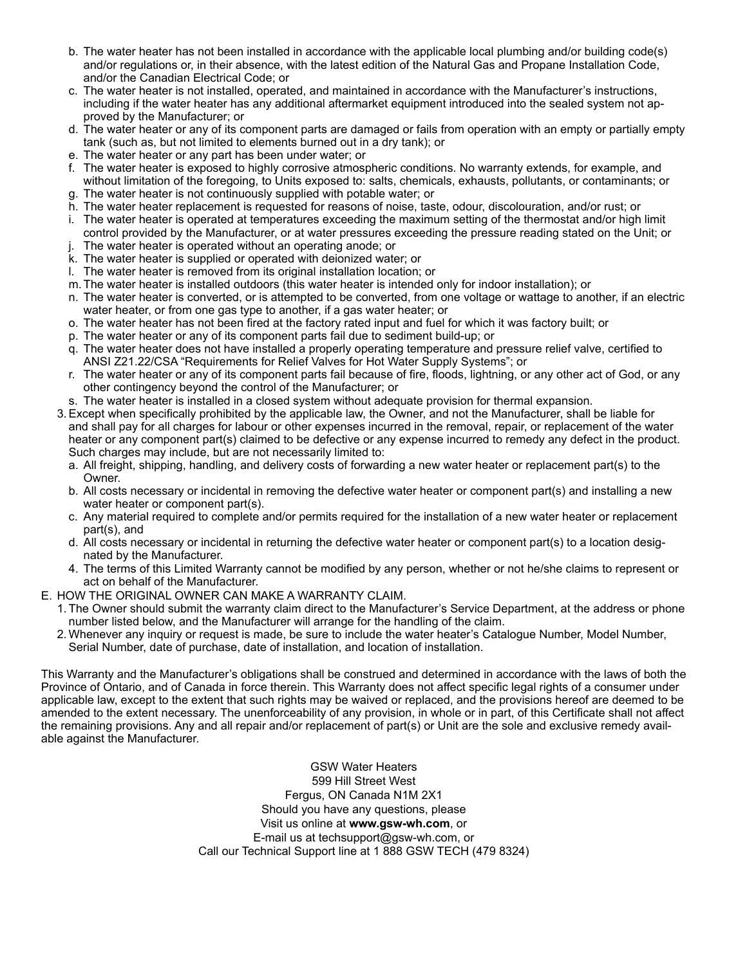- b. The water heater has not been installed in accordance with the applicable local plumbing and/or building code(s) and/or regulations or, in their absence, with the latest edition of the Natural Gas and Propane Installation Code, and/or the Canadian Electrical Code; or
- c. The water heater is not installed, operated, and maintained in accordance with the Manufacturer's instructions, including if the water heater has any additional aftermarket equipment introduced into the sealed system not approved by the Manufacturer; or
- d. The water heater or any of its component parts are damaged or fails from operation with an empty or partially empty tank (such as, but not limited to elements burned out in a dry tank); or
- e. The water heater or any part has been under water; or
- f. The water heater is exposed to highly corrosive atmospheric conditions. No warranty extends, for example, and without limitation of the foregoing, to Units exposed to: salts, chemicals, exhausts, pollutants, or contaminants; or
- g. The water heater is not continuously supplied with potable water; or
- h. The water heater replacement is requested for reasons of noise, taste, odour, discolouration, and/or rust; or
- i. The water heater is operated at temperatures exceeding the maximum setting of the thermostat and/or high limit control provided by the Manufacturer, or at water pressures exceeding the pressure reading stated on the Unit; or
- j. The water heater is operated without an operating anode; or
- k. The water heater is supplied or operated with deionized water; or
- l. The water heater is removed from its original installation location; or
- m. The water heater is installed outdoors (this water heater is intended only for indoor installation); or
- n. The water heater is converted, or is attempted to be converted, from one voltage or wattage to another, if an electric water heater, or from one gas type to another, if a gas water heater; or
- o. The water heater has not been fired at the factory rated input and fuel for which it was factory built; or
- p. The water heater or any of its component parts fail due to sediment build-up; or
- q. The water heater does not have installed a properly operating temperature and pressure relief valve, certified to ANSI Z21.22/CSA "Requirements for Relief Valves for Hot Water Supply Systems"; or
- r. The water heater or any of its component parts fail because of fire, floods, lightning, or any other act of God, or any other contingency beyond the control of the Manufacturer; or
- s. The water heater is installed in a closed system without adequate provision for thermal expansion.
- 3. Except when specifically prohibited by the applicable law, the Owner, and not the Manufacturer, shall be liable for and shall pay for all charges for labour or other expenses incurred in the removal, repair, or replacement of the water heater or any component part(s) claimed to be defective or any expense incurred to remedy any defect in the product. Such charges may include, but are not necessarily limited to:
	- a. All freight, shipping, handling, and delivery costs of forwarding a new water heater or replacement part(s) to the Owner.
	- b. All costs necessary or incidental in removing the defective water heater or component part(s) and installing a new water heater or component part(s).
	- c. Any material required to complete and/or permits required for the installation of a new water heater or replacement part(s), and
	- d. All costs necessary or incidental in returning the defective water heater or component part(s) to a location designated by the Manufacturer.
	- 4. The terms of this Limited Warranty cannot be modified by any person, whether or not he/she claims to represent or act on behalf of the Manufacturer.

#### E. HOW THE ORIGINAL OWNER CAN MAKE A WARRANTY CLAIM.

- 1. The Owner should submit the warranty claim direct to the Manufacturer's Service Department, at the address or phone number listed below, and the Manufacturer will arrange for the handling of the claim.
- 2. Whenever any inquiry or request is made, be sure to include the water heater's Catalogue Number, Model Number, Serial Number, date of purchase, date of installation, and location of installation.

This Warranty and the Manufacturer's obligations shall be construed and determined in accordance with the laws of both the Province of Ontario, and of Canada in force therein. This Warranty does not affect specific legal rights of a consumer under applicable law, except to the extent that such rights may be waived or replaced, and the provisions hereof are deemed to be amended to the extent necessary. The unenforceability of any provision, in whole or in part, of this Certificate shall not affect the remaining provisions. Any and all repair and/or replacement of part(s) or Unit are the sole and exclusive remedy available against the Manufacturer.

> GSW Water Heaters 599 Hill Street West Fergus, ON Canada N1M 2X1 Should you have any questions, please Visit us online at **www.gsw-wh.com**, or E-mail us at techsupport@gsw-wh.com, or Call our Technical Support line at 1 888 GSW TECH (479 8324)